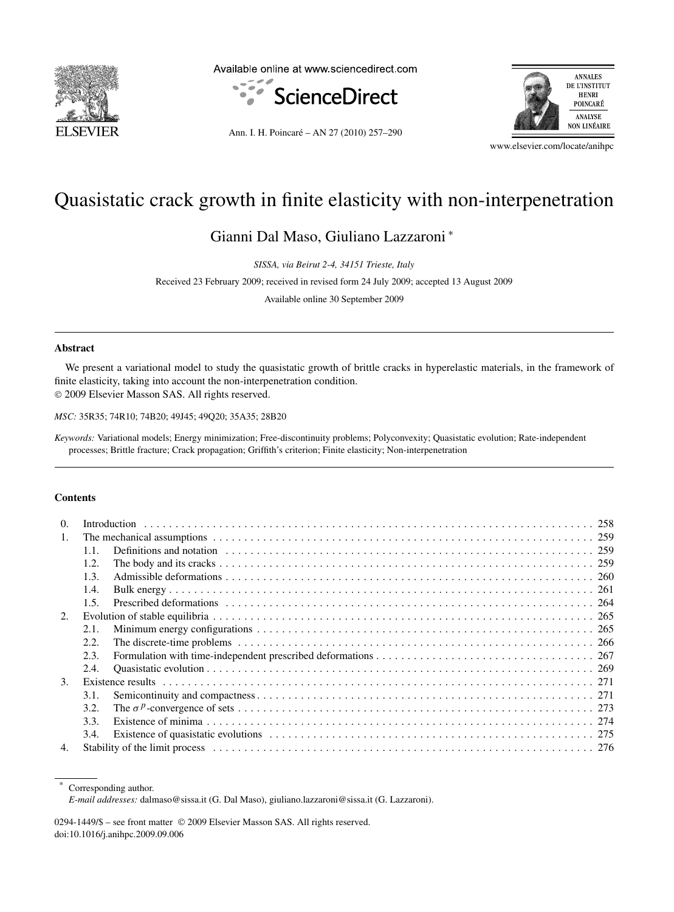

Available online at www.sciencedirect.com



Ann. I. H. Poincaré – AN 27 (2010) 257–290



www.elsevier.com/locate/anihpc

# Quasistatic crack growth in finite elasticity with non-interpenetration

Gianni Dal Maso, Giuliano Lazzaroni <sup>∗</sup>

*SISSA, via Beirut 2-4, 34151 Trieste, Italy*

Received 23 February 2009; received in revised form 24 July 2009; accepted 13 August 2009

Available online 30 September 2009

# **Abstract**

We present a variational model to study the quasistatic growth of brittle cracks in hyperelastic materials, in the framework of finite elasticity, taking into account the non-interpenetration condition.

© 2009 Elsevier Masson SAS. All rights reserved.

*MSC:* 35R35; 74R10; 74B20; 49J45; 49Q20; 35A35; 28B20

*Keywords:* Variational models; Energy minimization; Free-discontinuity problems; Polyconvexity; Quasistatic evolution; Rate-independent processes; Brittle fracture; Crack propagation; Griffith's criterion; Finite elasticity; Non-interpenetration

## **Contents**

| $\Omega$         |      |  |
|------------------|------|--|
| $\mathbf{1}$ .   |      |  |
|                  | 1.1. |  |
|                  | 1.2. |  |
|                  | 1.3. |  |
|                  | 1.4. |  |
|                  | 1.5  |  |
| 2.               |      |  |
|                  | 2.1. |  |
|                  | 2.2. |  |
|                  | 2.3. |  |
|                  | 2.4. |  |
| $\mathfrak{Z}$ . |      |  |
|                  | 3.1. |  |
|                  | 3.2. |  |
|                  | 3.3. |  |
|                  | 3.4. |  |
| $\overline{4}$ . |      |  |

Corresponding author.

*E-mail addresses:* dalmaso@sissa.it (G. Dal Maso), giuliano.lazzaroni@sissa.it (G. Lazzaroni).

0294-1449/\$ – see front matter © 2009 Elsevier Masson SAS. All rights reserved. doi:10.1016/j.anihpc.2009.09.006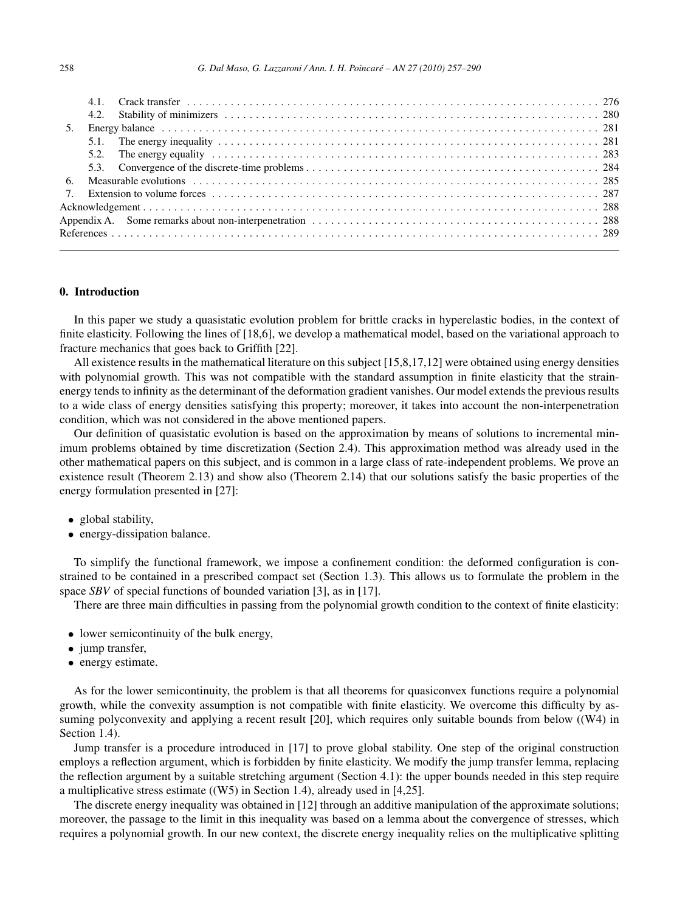|  |  | 5.1. The energy inequality $\ldots$ $\ldots$ $\ldots$ $\ldots$ $\ldots$ $\ldots$ $\ldots$ $\ldots$ $\ldots$ $\ldots$ $\ldots$ $\ldots$ $\ldots$ $\ldots$ $\ldots$ $\ldots$ $\ldots$ $\ldots$ $\ldots$ $\ldots$ $\ldots$ $\ldots$ $\ldots$ $\ldots$ $\ldots$ $\ldots$ $\ldots$ $\ldots$ $\ldots$ $\ldots$ $\ldots$ $\ldots$ $\$ |  |
|--|--|--------------------------------------------------------------------------------------------------------------------------------------------------------------------------------------------------------------------------------------------------------------------------------------------------------------------------------|--|
|  |  |                                                                                                                                                                                                                                                                                                                                |  |
|  |  |                                                                                                                                                                                                                                                                                                                                |  |
|  |  |                                                                                                                                                                                                                                                                                                                                |  |
|  |  |                                                                                                                                                                                                                                                                                                                                |  |
|  |  |                                                                                                                                                                                                                                                                                                                                |  |
|  |  |                                                                                                                                                                                                                                                                                                                                |  |
|  |  |                                                                                                                                                                                                                                                                                                                                |  |
|  |  |                                                                                                                                                                                                                                                                                                                                |  |

## **0. Introduction**

In this paper we study a quasistatic evolution problem for brittle cracks in hyperelastic bodies, in the context of finite elasticity. Following the lines of [18,6], we develop a mathematical model, based on the variational approach to fracture mechanics that goes back to Griffith [22].

All existence results in the mathematical literature on this subject [15,8,17,12] were obtained using energy densities with polynomial growth. This was not compatible with the standard assumption in finite elasticity that the strainenergy tends to infinity as the determinant of the deformation gradient vanishes. Our model extends the previous results to a wide class of energy densities satisfying this property; moreover, it takes into account the non-interpenetration condition, which was not considered in the above mentioned papers.

Our definition of quasistatic evolution is based on the approximation by means of solutions to incremental minimum problems obtained by time discretization (Section 2.4). This approximation method was already used in the other mathematical papers on this subject, and is common in a large class of rate-independent problems. We prove an existence result (Theorem 2.13) and show also (Theorem 2.14) that our solutions satisfy the basic properties of the energy formulation presented in [27]:

- global stability,
- energy-dissipation balance.

To simplify the functional framework, we impose a confinement condition: the deformed configuration is constrained to be contained in a prescribed compact set (Section 1.3). This allows us to formulate the problem in the space *SBV* of special functions of bounded variation [3], as in [17].

There are three main difficulties in passing from the polynomial growth condition to the context of finite elasticity:

- lower semicontinuity of the bulk energy,
- jump transfer,
- energy estimate.

As for the lower semicontinuity, the problem is that all theorems for quasiconvex functions require a polynomial growth, while the convexity assumption is not compatible with finite elasticity. We overcome this difficulty by assuming polyconvexity and applying a recent result [20], which requires only suitable bounds from below ((W4) in Section 1.4).

Jump transfer is a procedure introduced in [17] to prove global stability. One step of the original construction employs a reflection argument, which is forbidden by finite elasticity. We modify the jump transfer lemma, replacing the reflection argument by a suitable stretching argument (Section 4.1): the upper bounds needed in this step require a multiplicative stress estimate ((W5) in Section 1.4), already used in [4,25].

The discrete energy inequality was obtained in [12] through an additive manipulation of the approximate solutions; moreover, the passage to the limit in this inequality was based on a lemma about the convergence of stresses, which requires a polynomial growth. In our new context, the discrete energy inequality relies on the multiplicative splitting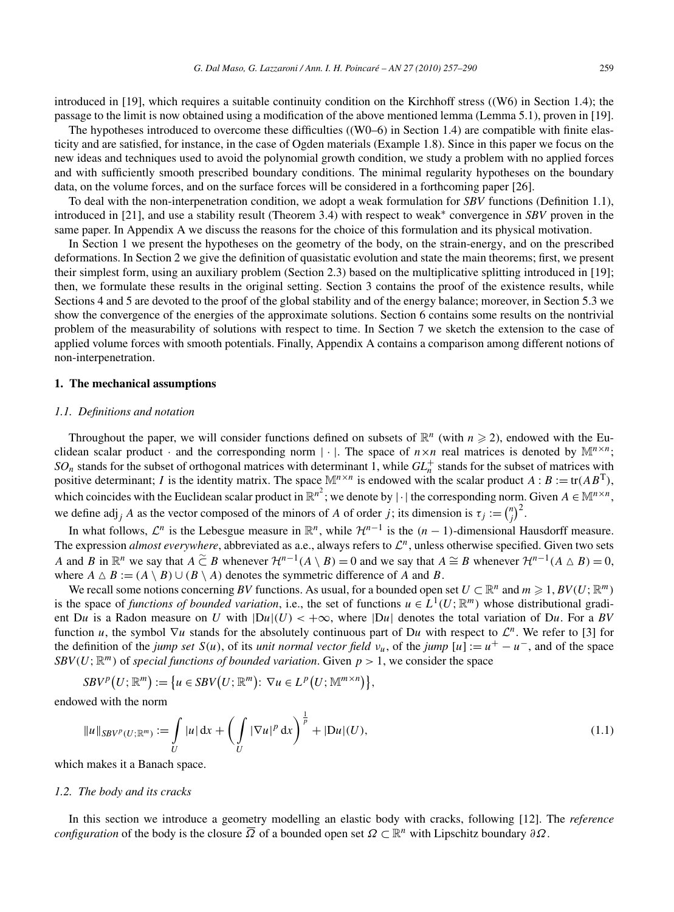introduced in [19], which requires a suitable continuity condition on the Kirchhoff stress ((W6) in Section 1.4); the passage to the limit is now obtained using a modification of the above mentioned lemma (Lemma 5.1), proven in [19].

The hypotheses introduced to overcome these difficulties ((W0–6) in Section 1.4) are compatible with finite elasticity and are satisfied, for instance, in the case of Ogden materials (Example 1.8). Since in this paper we focus on the new ideas and techniques used to avoid the polynomial growth condition, we study a problem with no applied forces and with sufficiently smooth prescribed boundary conditions. The minimal regularity hypotheses on the boundary data, on the volume forces, and on the surface forces will be considered in a forthcoming paper [26].

To deal with the non-interpenetration condition, we adopt a weak formulation for *SBV* functions (Definition 1.1), introduced in [21], and use a stability result (Theorem 3.4) with respect to weak<sup>∗</sup> convergence in *SBV* proven in the same paper. In Appendix A we discuss the reasons for the choice of this formulation and its physical motivation.

In Section 1 we present the hypotheses on the geometry of the body, on the strain-energy, and on the prescribed deformations. In Section 2 we give the definition of quasistatic evolution and state the main theorems; first, we present their simplest form, using an auxiliary problem (Section 2.3) based on the multiplicative splitting introduced in [19]; then, we formulate these results in the original setting. Section 3 contains the proof of the existence results, while Sections 4 and 5 are devoted to the proof of the global stability and of the energy balance; moreover, in Section 5.3 we show the convergence of the energies of the approximate solutions. Section 6 contains some results on the nontrivial problem of the measurability of solutions with respect to time. In Section 7 we sketch the extension to the case of applied volume forces with smooth potentials. Finally, Appendix A contains a comparison among different notions of non-interpenetration.

#### **1. The mechanical assumptions**

## *1.1. Definitions and notation*

Throughout the paper, we will consider functions defined on subsets of  $\mathbb{R}^n$  (with  $n \ge 2$ ), endowed with the Euclidean scalar product  $\cdot$  and the corresponding norm  $|\cdot|$ . The space of  $n \times n$  real matrices is denoted by  $\mathbb{M}^{n \times n}$ ;  $SO_n$  stands for the subset of orthogonal matrices with determinant 1, while  $GL_n^+$  stands for the subset of matrices with positive determinant; *I* is the identity matrix. The space  $M^{n \times n}$  is endowed with the scalar product  $A : B := \text{tr}(AB^T)$ , which coincides with the Euclidean scalar product in  $\mathbb{R}^{n^2}$ ; we denote by  $|\cdot|$  the corresponding norm. Given  $A \in \mathbb{M}^{n \times n}$ , we define adj<sub>j</sub> *A* as the vector composed of the minors of *A* of order *j*; its dimension is  $\tau_j := \binom{n}{j}$  $\binom{n}{j}^2$ .

In what follows,  $\mathcal{L}^n$  is the Lebesgue measure in  $\mathbb{R}^n$ , while  $\mathcal{H}^{n-1}$  is the  $(n-1)$ -dimensional Hausdorff measure. The expression *almost everywhere*, abbreviated as a.e., always refers to  $\mathcal{L}^n$ , unless otherwise specified. Given two sets *A* and *B* in  $\mathbb{R}^n$  we say that  $A \subseteq B$  whenever  $\mathcal{H}^{n-1}(A \setminus B) = 0$  and we say that  $A \cong B$  whenever  $\mathcal{H}^{n-1}(A \triangle B) = 0$ , where  $A \triangle B := (A \setminus B) \cup (B \setminus A)$  denotes the symmetric difference of *A* and *B*.

We recall some notions concerning *BV* functions. As usual, for a bounded open set  $U \subset \mathbb{R}^n$  and  $m \geq 1$ ,  $BV(U; \mathbb{R}^m)$ is the space of *functions of bounded variation*, i.e., the set of functions  $u \in L^1(U; \mathbb{R}^m)$  whose distributional gradient Du is a Radon measure on U with  $|Du|(U) < +\infty$ , where  $|Du|$  denotes the total variation of Du. For a BV function *u*, the symbol  $\nabla u$  stands for the absolutely continuous part of D*u* with respect to  $\mathcal{L}^n$ . We refer to [3] for the definition of the *jump set*  $S(u)$ , of its *unit normal vector field*  $v_u$ , of the *jump*  $[u] := u^+ - u^-$ , and of the space *SBV*(*U*;  $\mathbb{R}^m$ ) of *special functions of bounded variation*. Given  $p > 1$ , we consider the space

$$
SBV^{p}(U; \mathbb{R}^{m}) := \big\{ u \in SBV(U; \mathbb{R}^{m}) : \nabla u \in L^{p}(U; \mathbb{M}^{m \times n}) \big\},\
$$

endowed with the norm

$$
||u||_{SBV^{p}(U;\mathbb{R}^{m})} := \int_{U} |u| dx + \left(\int_{U} |\nabla u|^{p} dx\right)^{\frac{1}{p}} + |Du|(U), \tag{1.1}
$$

which makes it a Banach space.

## *1.2. The body and its cracks*

In this section we introduce a geometry modelling an elastic body with cracks, following [12]. The *reference configuration* of the body is the closure  $\Omega$  of a bounded open set  $\Omega \subset \mathbb{R}^n$  with Lipschitz boundary  $\partial \Omega$ .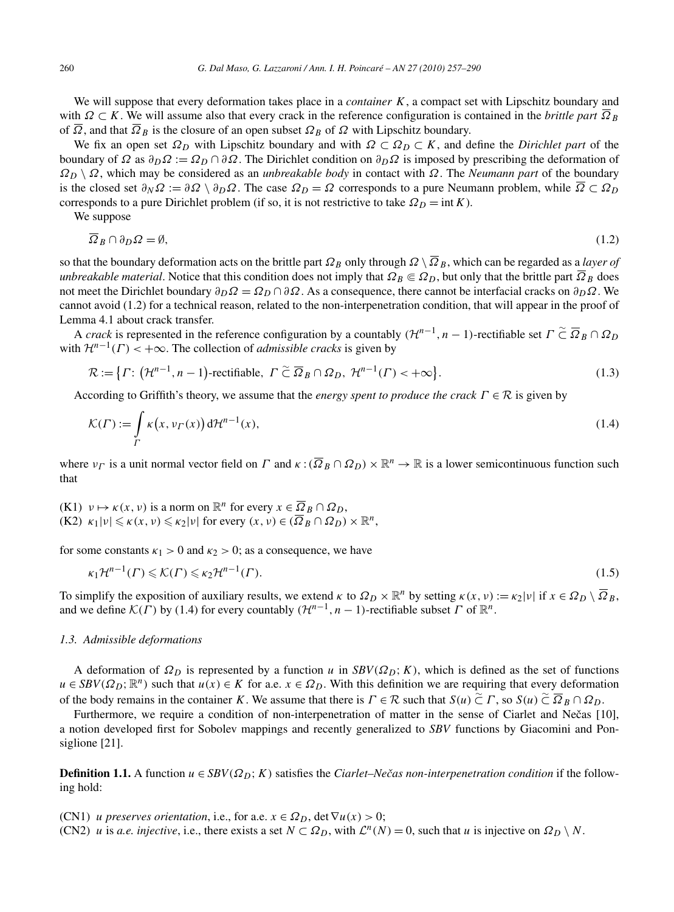We will suppose that every deformation takes place in a *container K*, a compact set with Lipschitz boundary and with  $\Omega \subset K$ . We will assume also that every crack in the reference configuration is contained in the *brittle part*  $\overline{\Omega}_B$ of  $\overline{\Omega}$ , and that  $\overline{\Omega}_B$  is the closure of an open subset  $\Omega_B$  of  $\Omega$  with Lipschitz boundary.

We fix an open set  $\Omega_D$  with Lipschitz boundary and with  $\Omega \subset \Omega_D \subset K$ , and define the *Dirichlet part* of the boundary of *Ω* as  $∂<sub>D</sub>Ω$  :=  $Ω<sub>D</sub> ∩ ∂Ω$ . The Dirichlet condition on  $∂<sub>D</sub>Ω$  is imposed by prescribing the deformation of *ΩD* \ *Ω*, which may be considered as an *unbreakable body* in contact with *Ω*. The *Neumann part* of the boundary is the closed set  $\partial_N \Omega := \partial \Omega \setminus \partial_D \Omega$ . The case  $\Omega_D = \Omega$  corresponds to a pure Neumann problem, while  $\overline{\Omega} \subset \Omega_D$ corresponds to a pure Dirichlet problem (if so, it is not restrictive to take  $\Omega_D = \text{int } K$ ).

We suppose

$$
\overline{\Omega}_B \cap \partial_D \Omega = \emptyset,\tag{1.2}
$$

so that the boundary deformation acts on the brittle part  $\Omega_B$  only through  $\Omega \setminus \overline{\Omega}_B$ , which can be regarded as a *layer of unbreakable material*. Notice that this condition does not imply that  $\Omega_B \subseteq \Omega_D$ , but only that the brittle part  $\overline{\Omega}_B$  does not meet the Dirichlet boundary  $\partial_D \Omega = \Omega_D \cap \partial \Omega$ . As a consequence, there cannot be interfacial cracks on  $\partial_D \Omega$ . We cannot avoid (1.2) for a technical reason, related to the non-interpenetration condition, that will appear in the proof of Lemma 4.1 about crack transfer.

A *crack* is represented in the reference configuration by a countably  $(H^{n-1}, n-1)$ -rectifiable set  $\Gamma \subseteq \overline{\Omega}_B \cap \Omega_D$ with  $\mathcal{H}^{n-1}(\Gamma) < +\infty$ . The collection of *admissible cracks* is given by

$$
\mathcal{R} := \left\{ \Gamma \colon \left( \mathcal{H}^{n-1}, n-1 \right) \text{-rectifiable}, \ \Gamma \subseteq \overline{\Omega}_B \cap \Omega_D, \ \mathcal{H}^{n-1}(\Gamma) < +\infty \right\}. \tag{1.3}
$$

According to Griffith's theory, we assume that the *energy spent to produce the crack*  $\Gamma \in \mathcal{R}$  is given by

$$
\mathcal{K}(\Gamma) := \int\limits_{\Gamma} \kappa(x, \nu_{\Gamma}(x)) d\mathcal{H}^{n-1}(x),\tag{1.4}
$$

where *ν<sub>Γ</sub>* is a unit normal vector field on *Γ* and  $\kappa$  :  $(\overline{\Omega}_B \cap \Omega_D) \times \mathbb{R}^n \to \mathbb{R}$  is a lower semicontinuous function such that

(K1)  $v \mapsto \kappa(x, v)$  is a norm on  $\mathbb{R}^n$  for every  $x \in \overline{\Omega}_B \cap \Omega_D$ ,  $(K2)$   $\kappa_1|\nu| \leq \kappa(x,\nu) \leq \kappa_2|\nu|$  for every  $(x,\nu) \in (\overline{\Omega}_B \cap \Omega_D) \times \mathbb{R}^n$ ,

for some constants  $\kappa_1 > 0$  and  $\kappa_2 > 0$ ; as a consequence, we have

$$
\kappa_1 \mathcal{H}^{n-1}(\Gamma) \leqslant \mathcal{K}(\Gamma) \leqslant \kappa_2 \mathcal{H}^{n-1}(\Gamma). \tag{1.5}
$$

To simplify the exposition of auxiliary results, we extend  $\kappa$  to  $\Omega_D \times \mathbb{R}^n$  by setting  $\kappa(x, v) := \kappa_2 |v|$  if  $x \in \Omega_D \setminus \overline{\Omega}_B$ , and we define  $K(\Gamma)$  by (1.4) for every countably  $(\mathcal{H}^{n-1}, n-1)$ -rectifiable subset  $\Gamma$  of  $\mathbb{R}^n$ .

## *1.3. Admissible deformations*

A deformation of  $\Omega_D$  is represented by a function *u* in  $SBV(\Omega_D; K)$ , which is defined as the set of functions  $u \in SBV(\Omega_D; \mathbb{R}^n)$  such that  $u(x) \in K$  for a.e.  $x \in \Omega_D$ . With this definition we are requiring that every deformation of the body remains in the container *K*. We assume that there is  $\Gamma \in \mathcal{R}$  such that  $S(u) \in \Gamma$ , so  $S(u) \in \overline{\Omega}_B \cap \Omega_D$ .

Furthermore, we require a condition of non-interpenetration of matter in the sense of Ciarlet and Nečas [10], a notion developed first for Sobolev mappings and recently generalized to *SBV* functions by Giacomini and Ponsiglione [21].

**Definition 1.1.** A function  $u \in SBV(\Omega_D; K)$  satisfies the *Ciarlet–Nečas non-interpenetration condition* if the following hold:

(CN1) *u* preserves orientation, i.e., for a.e.  $x \in \Omega_D$ , det  $\nabla u(x) > 0$ ;

(CN2) *u* is *a.e. injective*, i.e., there exists a set  $N \subset \Omega_D$ , with  $\mathcal{L}^n(N) = 0$ , such that *u* is injective on  $\Omega_D \setminus N$ .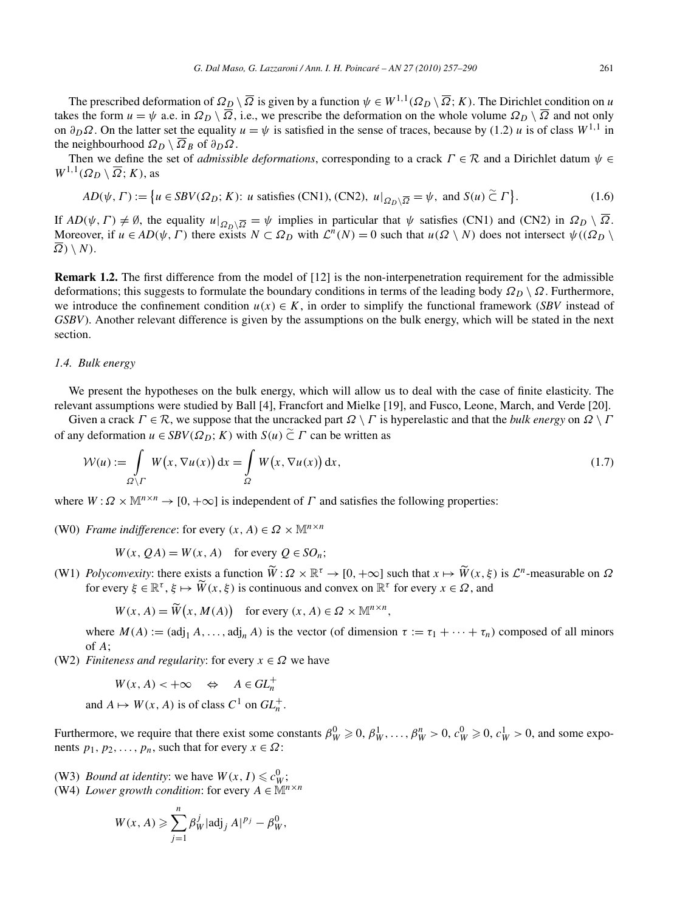The prescribed deformation of  $\Omega_D \setminus \overline{\Omega}$  is given by a function  $\psi \in W^{1,1}(\Omega_D \setminus \overline{\Omega}; K)$ . The Dirichlet condition on *u* takes the form  $u = \psi$  a.e. in  $\Omega_D \setminus \overline{\Omega}$ , i.e., we prescribe the deformation on the whole volume  $\Omega_D \setminus \overline{\Omega}$  and not only on  $\partial_D \Omega$ . On the latter set the equality  $u = \psi$  is satisfied in the sense of traces, because by (1.2) *u* is of class  $W^{1,1}$  in the neighbourhood  $\Omega_D \setminus \overline{\Omega}_B$  of  $\partial_D \Omega$ .

Then we define the set of *admissible deformations*, corresponding to a crack *Γ* ∈ R and a Dirichlet datum *ψ* ∈  $W^{1,1}(\Omega_D \setminus \overline{\Omega}; K)$ , as

$$
AD(\psi, \Gamma) := \{ u \in SBV(\Omega_D; K): u \text{ satisfies (CN1), (CN2), } u|_{\Omega_D \setminus \overline{\Omega}} = \psi, \text{ and } S(u) \overset{\sim}{\subset} \Gamma \}.
$$
 (1.6)

If  $AD(\psi, \Gamma) \neq \emptyset$ , the equality  $u|_{\Omega} \otimes \overline{\Omega} = \psi$  implies in particular that  $\psi$  satisfies (CN1) and (CN2) in  $\Omega$ Moreover, if  $u \in AD(\psi, \Gamma)$  there exists  $N \subset \Omega_D$  with  $\mathcal{L}^n(N) = 0$  such that  $u(\Omega \setminus N)$  does not intersect  $\psi((\Omega_D \setminus \mathcal{L}^n))$  $\overline{\Omega}$ ) \ *N*).

**Remark 1.2.** The first difference from the model of [12] is the non-interpenetration requirement for the admissible deformations; this suggests to formulate the boundary conditions in terms of the leading body  $\Omega_D \setminus \Omega$ . Furthermore, we introduce the confinement condition  $u(x) \in K$ , in order to simplify the functional framework (*SBV* instead of *GSBV*). Another relevant difference is given by the assumptions on the bulk energy, which will be stated in the next section.

# *1.4. Bulk energy*

We present the hypotheses on the bulk energy, which will allow us to deal with the case of finite elasticity. The relevant assumptions were studied by Ball [4], Francfort and Mielke [19], and Fusco, Leone, March, and Verde [20].

Given a crack  $\Gamma \in \mathcal{R}$ , we suppose that the uncracked part  $\Omega \setminus \Gamma$  is hyperelastic and that the *bulk energy* on  $\Omega \setminus \Gamma$ of any deformation  $u \in SBV(\Omega_D; K)$  with  $S(u) \stackrel{\sim}{\subset} \Gamma$  can be written as

$$
\mathcal{W}(u) := \int_{\Omega \setminus \Gamma} W(x, \nabla u(x)) dx = \int_{\Omega} W(x, \nabla u(x)) dx,
$$
\n(1.7)

where  $W: \Omega \times \mathbb{M}^{n \times n} \to [0, +\infty]$  is independent of  $\Gamma$  and satisfies the following properties:

(W0) *Frame indifference:* for every  $(x, A) \in \Omega \times \mathbb{M}^{n \times n}$ 

 $W(x, QA) = W(x, A)$  for every  $Q \in SO_n$ ;

(W1) *Polyconvexity*: there exists a function  $\widetilde{W}: \Omega \times \mathbb{R}^{\tau} \to [0, +\infty]$  such that  $x \mapsto \widetilde{W}(x, \xi)$  is  $\mathcal{L}^n$ -measurable on  $\Omega$ for every  $\xi \in \mathbb{R}^{\tau}$ ,  $\xi \mapsto \widetilde{W}(x,\xi)$  is continuous and convex on  $\mathbb{R}^{\tau}$  for every  $x \in \Omega$ , and

$$
W(x, A) = \widetilde{W}(x, M(A)) \quad \text{for every } (x, A) \in \Omega \times \mathbb{M}^{n \times n},
$$

where  $M(A) := (ad_{1}, A, \ldots, ad_{n}, A)$  is the vector (of dimension  $\tau := \tau_1 + \cdots + \tau_n$ ) composed of all minors of *A*;

(W2) *Finiteness and regularity:* for every  $x \in \Omega$  we have

$$
W(x, A) < +\infty \quad \Leftrightarrow \quad A \in GL_n^+
$$
\nand  $A \mapsto W(x, A)$  is of class  $C^1$  on  $GL_n^+$ .

Furthermore, we require that there exist some constants  $\beta_W^0 \ge 0$ ,  $\beta_W^1, \ldots, \beta_W^n > 0$ ,  $c_W^0 \ge 0$ ,  $c_W^1 > 0$ , and some exponents  $p_1, p_2, \ldots, p_n$ , such that for every  $x \in \Omega$ :

(W3) *Bound at identity:* we have  $W(x, I) \leq c_W^0$ ; (W4) *Lower growth condition*: for every  $A \in \mathbb{M}^{n \times n}$ 

$$
W(x, A) \geqslant \sum_{j=1}^{n} \beta_W^j |\text{adj}_j A|^{p_j} - \beta_W^0,
$$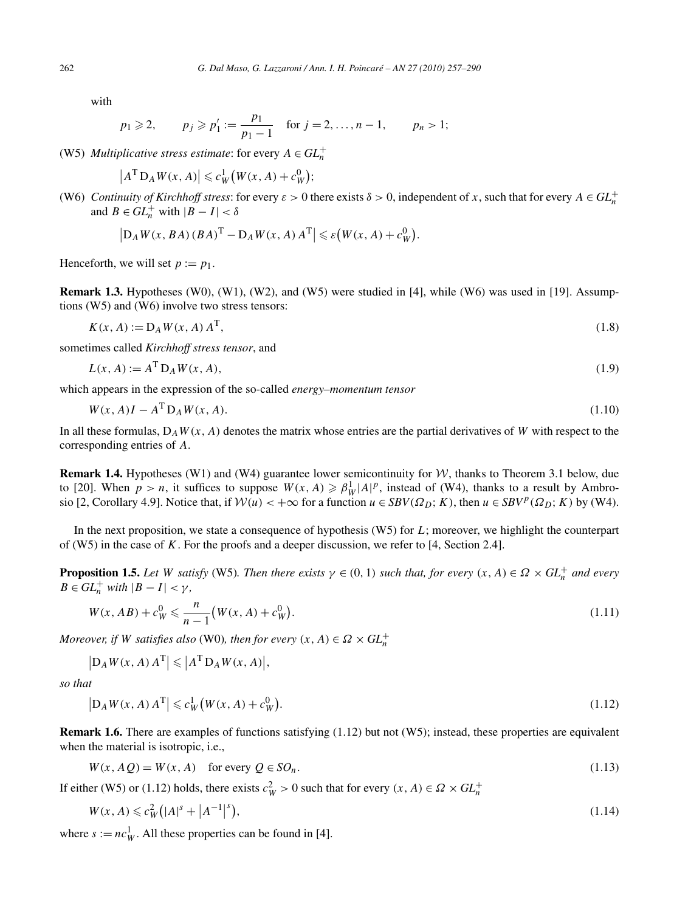with

$$
p_1 \ge 2
$$
,  $p_j \ge p'_1 := \frac{p_1}{p_1 - 1}$  for  $j = 2, ..., n - 1$ ,  $p_n > 1$ ;

(W5) *Multiplicative stress estimate:* for every  $A \in GL_n^+$ 

$$
\left|A^{\mathrm{T}}\mathbf{D}_{A}W(x,A)\right|\leq c_{W}^{1}\big(W(x,A)+c_{W}^{0}\big);
$$

(W6) *Continuity of Kirchhoff stress:* for every  $\varepsilon > 0$  there exists  $\delta > 0$ , independent of *x*, such that for every  $A \in GL_n^+$ and  $B \in GL_n^+$  with  $|B - I| < \delta$ 

$$
\left| \mathrm{D}_A W(x, BA) \left( BA \right)^{\mathrm{T}} - \mathrm{D}_A W(x, A) A^{\mathrm{T}} \right| \leq \varepsilon \big( W(x, A) + c_W^0 \big).
$$

Henceforth, we will set  $p := p_1$ .

**Remark 1.3.** Hypotheses (W0), (W1), (W2), and (W5) were studied in [4], while (W6) was used in [19]. Assumptions (W5) and (W6) involve two stress tensors:

$$
K(x, A) := D_A W(x, A) A^T,
$$
\n(1.8)

sometimes called *Kirchhoff stress tensor*, and

$$
L(x, A) := A^{\mathrm{T}} D_A W(x, A), \tag{1.9}
$$

which appears in the expression of the so-called *energy–momentum tensor*

$$
W(x, A)I - AT DA W(x, A).
$$
\n(1.10)

In all these formulas,  $D_A W(x, A)$  denotes the matrix whose entries are the partial derivatives of *W* with respect to the corresponding entries of *A*.

**Remark 1.4.** Hypotheses (W1) and (W4) guarantee lower semicontinuity for W, thanks to Theorem 3.1 below, due to [20]. When  $p > n$ , it suffices to suppose  $W(x, A) \ge \beta \frac{1}{W} |A|^p$ , instead of (W4), thanks to a result by Ambrosio [2, Corollary 4.9]. Notice that, if  $W(u) < +\infty$  for a function  $u \in SBV(\Omega_D; K)$ , then  $u \in SBV^p(\Omega_D; K)$  by (W4).

In the next proposition, we state a consequence of hypothesis (W5) for *L*; moreover, we highlight the counterpart of (W5) in the case of *K*. For the proofs and a deeper discussion, we refer to [4, Section 2.4].

**Proposition 1.5.** *Let W satisfy* (W5)*. Then there exists*  $\gamma \in (0, 1)$  *such that, for every*  $(x, A) \in \Omega \times GL_n^+$  *and every*  $B \in GL_n^+$  *with*  $|B - I| < \gamma$ *,* 

$$
W(x, AB) + c_W^0 \leq \frac{n}{n-1} \left( W(x, A) + c_W^0 \right). \tag{1.11}
$$

*Moreover, if W satisfies also* (W0)*, then for every*  $(x, A) \in \Omega \times GL_n^+$ 

$$
\left| \mathbf{D}_A W(x, A) A^{\mathrm{T}} \right| \leqslant \left| A^{\mathrm{T}} \mathbf{D}_A W(x, A) \right|,
$$

*so that*

$$
|D_A W(x, A) AT| \leq c_W^1(W(x, A) + c_W^0).
$$
\n(1.12)

**Remark 1.6.** There are examples of functions satisfying (1.12) but not (W5); instead, these properties are equivalent when the material is isotropic, i.e.,

$$
W(x, AQ) = W(x, A) \quad \text{for every } Q \in SO_n. \tag{1.13}
$$

If either (W5) or (1.12) holds, there exists  $c_W^2 > 0$  such that for every  $(x, A) \in \Omega \times GL_n^+$ 

$$
W(x, A) \leq c_W^2 \left( |A|^s + |A^{-1}|^s \right),\tag{1.14}
$$

where  $s := nc_W^1$ . All these properties can be found in [4].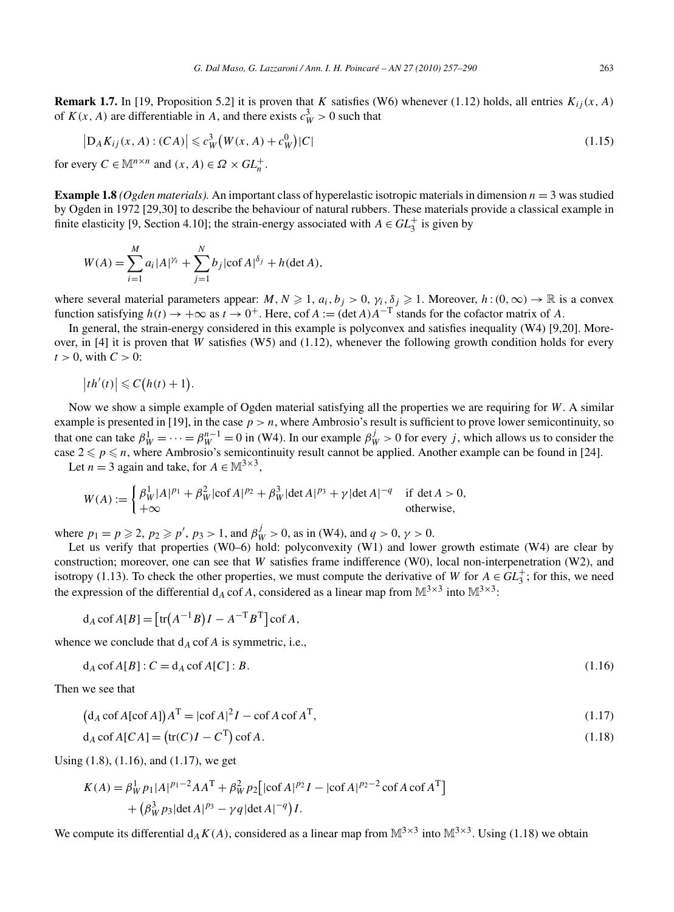**Remark 1.7.** In [19, Proposition 5.2] it is proven that *K* satisfies (W6) whenever (1.12) holds, all entries  $K_{ij}(x, A)$ of  $K(x, A)$  are differentiable in A, and there exists  $c_W^3 > 0$  such that

$$
\left| \mathcal{D}_A K_{ij}(x, A) : (CA) \right| \leq c_W^3 \left( W(x, A) + c_W^0 \right) |C| \tag{1.15}
$$

for every  $C \in \mathbb{M}^{n \times n}$  and  $(x, A) \in \Omega \times GL_n^+$ .

**Example 1.8** *(Ogden materials)*. An important class of hyperelastic isotropic materials in dimension  $n = 3$  was studied by Ogden in 1972 [29,30] to describe the behaviour of natural rubbers. These materials provide a classical example in finite elasticity [9, Section 4.10]; the strain-energy associated with  $A \in GL_3^+$  is given by

$$
W(A) = \sum_{i=1}^{M} a_i |A|^{\gamma_i} + \sum_{j=1}^{N} b_j |\text{cof } A|^{\delta_j} + h(\det A),
$$

where several material parameters appear:  $M, N \geq 1$ ,  $a_i, b_j > 0$ ,  $\gamma_i, \delta_j \geq 1$ . Moreover,  $h: (0, \infty) \to \mathbb{R}$  is a convex function satisfying  $h(t) \to +\infty$  as  $t \to 0^+$ . Here, cof  $A := (\det A)A^{-T}$  stands for the cofactor matrix of A.

In general, the strain-energy considered in this example is polyconvex and satisfies inequality (W4) [9,20]. Moreover, in [4] it is proven that *W* satisfies (W5) and (1.12), whenever the following growth condition holds for every  $t > 0$ , with  $C > 0$ :

 $|th'(t)| \leq C(h(t) + 1).$ 

Now we show a simple example of Ogden material satisfying all the properties we are requiring for *W*. A similar example is presented in [19], in the case  $p > n$ , where Ambrosio's result is sufficient to prove lower semicontinuity, so that one can take  $\beta_W^1 = \cdots = \beta_W^{n-1} = 0$  in (W4). In our example  $\beta_W^j > 0$  for every *j*, which allows us to consider the case  $2 \leqslant p \leqslant n$ , where Ambrosio's semicontinuity result cannot be applied. Another example can be found in [24]. Let *n* = 3 again and take, for  $A \in \mathbb{M}^{3 \times 3}$ 

 $W(A) := \begin{cases} \beta_W^1 |A|^{p_1} + \beta_W^2 |\cot A|^{p_2} + \beta_W^3 |\det A|^{p_3} + \gamma |\det A|^{-q} & \text{if } \det A > 0, \end{cases}$ 

where  $p_1 = p \ge 2$ ,  $p_2 \ge p'$ ,  $p_3 > 1$ , and  $\beta_W^j > 0$ , as in (W4), and  $q > 0$ ,  $\gamma > 0$ .

Let us verify that properties (W0–6) hold: polyconvexity (W1) and lower growth estimate (W4) are clear by construction; moreover, one can see that *W* satisfies frame indifference (W0), local non-interpenetration (W2), and isotropy (1.13). To check the other properties, we must compute the derivative of *W* for  $A \in GL_3^+$ ; for this, we need the expression of the differential  $d_A \text{ cof } A$ , considered as a linear map from  $\mathbb{M}^{3\times3}$  into  $\mathbb{M}^{3\times3}$ :

+∞ otherwise*,*

$$
d_A \operatorname{cof} A[B] = [\operatorname{tr}(A^{-1}B)I - A^{-T}B^{T}] \operatorname{cof} A,
$$

whence we conclude that  $d_A \text{cof } A$  is symmetric, i.e.,

$$
d_A \operatorname{cof} A[B] : C = d_A \operatorname{cof} A[C] : B. \tag{1.16}
$$

Then we see that

$$
(d_A \operatorname{cof} A[\operatorname{cof} A])A^{\mathrm{T}} = |\operatorname{cof} A|^2 I - \operatorname{cof} A \operatorname{cof} A^{\mathrm{T}},\tag{1.17}
$$

$$
d_A \operatorname{cof} A[CA] = (\operatorname{tr}(C)I - C^{T}) \operatorname{cof} A. \tag{1.18}
$$

Using (1.8), (1.16), and (1.17), we get

$$
K(A) = \beta_W^1 p_1 |A|^{p_1 - 2} A A^T + \beta_W^2 p_2 \left[ |\cot A|^{p_2} I - |\cot A|^{p_2 - 2} \cot A \cot A^T \right] + \left( \beta_W^3 p_3 |\det A|^{p_3} - \gamma q |\det A|^{-q} \right) I.
$$

We compute its differential  $d_A K(A)$ , considered as a linear map from  $M^{3\times 3}$  into  $M^{3\times 3}$ . Using (1.18) we obtain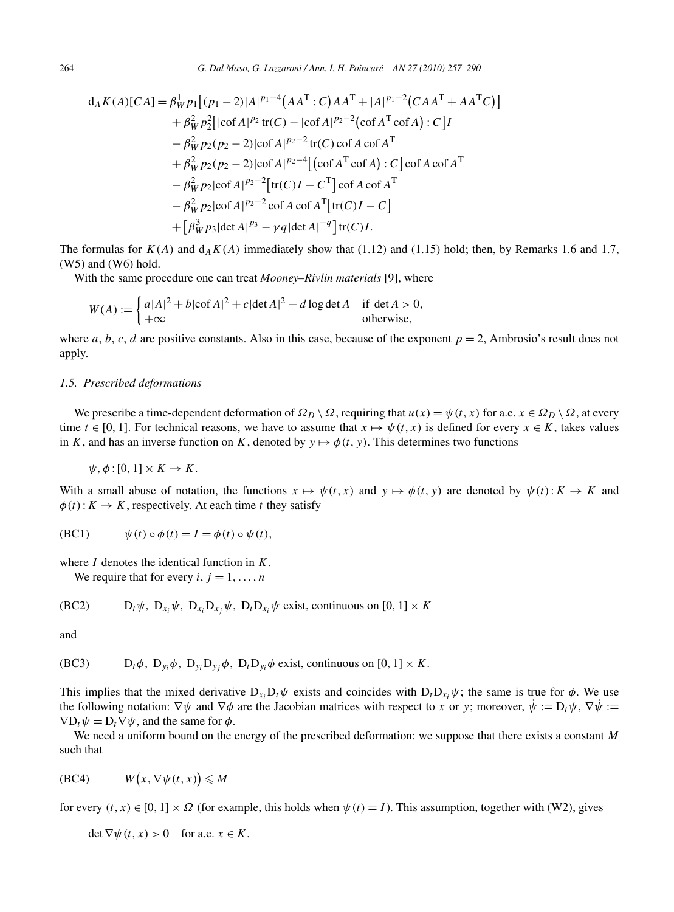$$
d_{A}K(A)[CA] = \beta_{W}^{1} p_{1} [(p_{1} - 2)|A|^{p_{1} - 4} (AA^{T} : C)AA^{T} + |A|^{p_{1} - 2} (CAA^{T} + AA^{T}C)]
$$
  
+  $\beta_{W}^{2} p_{2}^{2} [|cof A|^{p_{2}} tr(C) - |cof A|^{p_{2} - 2} (cof A^{T} cof A) : C]I$   
-  $\beta_{W}^{2} p_{2} (p_{2} - 2)|cof A|^{p_{2} - 2} tr(C) cof A cof A^{T}$   
+  $\beta_{W}^{2} p_{2} (p_{2} - 2)|cof A|^{p_{2} - 4} [(cof A^{T} cof A) : C] cof A cof A^{T}$   
-  $\beta_{W}^{2} p_{2}|cof A|^{p_{2} - 2} [tr(C)I - C^{T}] cof A cof A^{T}$   
-  $\beta_{W}^{2} p_{2}|cof A|^{p_{2} - 2} cof A cof A^{T}[tr(C)I - C]$   
+  $[\beta_{W}^{3} p_{3}|det A|^{p_{3}} - \gamma q|det A|^{-q}] tr(C)I.$ 

The formulas for  $K(A)$  and  $d_A K(A)$  immediately show that (1.12) and (1.15) hold; then, by Remarks 1.6 and 1.7, (W5) and (W6) hold.

With the same procedure one can treat *Mooney–Rivlin materials* [9], where

$$
W(A) := \begin{cases} a|A|^2 + b|\cos A|^2 + c|\det A|^2 - d\log \det A & \text{if } \det A > 0, \\ +\infty & \text{otherwise,} \end{cases}
$$

where *a*, *b*, *c*, *d* are positive constants. Also in this case, because of the exponent  $p = 2$ , Ambrosio's result does not apply.

# *1.5. Prescribed deformations*

We prescribe a time-dependent deformation of  $\Omega_D \setminus \Omega$ , requiring that  $u(x) = \psi(t, x)$  for a.e.  $x \in \Omega_D \setminus \Omega$ , at every time  $t \in [0, 1]$ . For technical reasons, we have to assume that  $x \mapsto \psi(t, x)$  is defined for every  $x \in K$ , takes values in *K*, and has an inverse function on *K*, denoted by  $y \mapsto \phi(t, y)$ . This determines two functions

$$
\psi, \phi : [0, 1] \times K \to K.
$$

With a small abuse of notation, the functions  $x \mapsto \psi(t, x)$  and  $y \mapsto \phi(t, y)$  are denoted by  $\psi(t): K \to K$  and  $\phi(t): K \to K$ , respectively. At each time *t* they satisfy

$$
(BC1) \qquad \psi(t) \circ \phi(t) = I = \phi(t) \circ \psi(t),
$$

where *I* denotes the identical function in *K*.

We require that for every *i*,  $j = 1, \ldots, n$ 

(BC2)  $D_t \psi$ ,  $D_x \psi$ ,  $D_x D_x \psi$ ,  $D_t D_x \psi$  exist, continuous on [0, 1]  $\times K$ 

and

(BC3)  $D_t \phi$ ,  $D_{y_i} \phi$ ,  $D_{y_i} D_{y_j} \phi$ ,  $D_t D_{y_i} \phi$  exist, continuous on [0, 1] × *K*.

This implies that the mixed derivative  $D_{x_i}D_t\psi$  exists and coincides with  $D_tD_{x_i}\psi$ ; the same is true for  $\phi$ . We use the following notation:  $\nabla \psi$  and  $\nabla \phi$  are the Jacobian matrices with respect to *x* or *y*; moreover,  $\dot{\psi} := D_t \psi$ ,  $\nabla \dot{\psi} := D_t \psi$  $\nabla D_t \psi = D_t \nabla \psi$ , and the same for  $\phi$ .

We need a uniform bound on the energy of the prescribed deformation: we suppose that there exists a constant *M* such that

$$
(BC4) \t W(x, \nabla \psi(t, x)) \leq M
$$

for every  $(t, x) \in [0, 1] \times \Omega$  (for example, this holds when  $\psi(t) = I$ ). This assumption, together with (W2), gives

$$
\det \nabla \psi(t, x) > 0 \quad \text{for a.e. } x \in K.
$$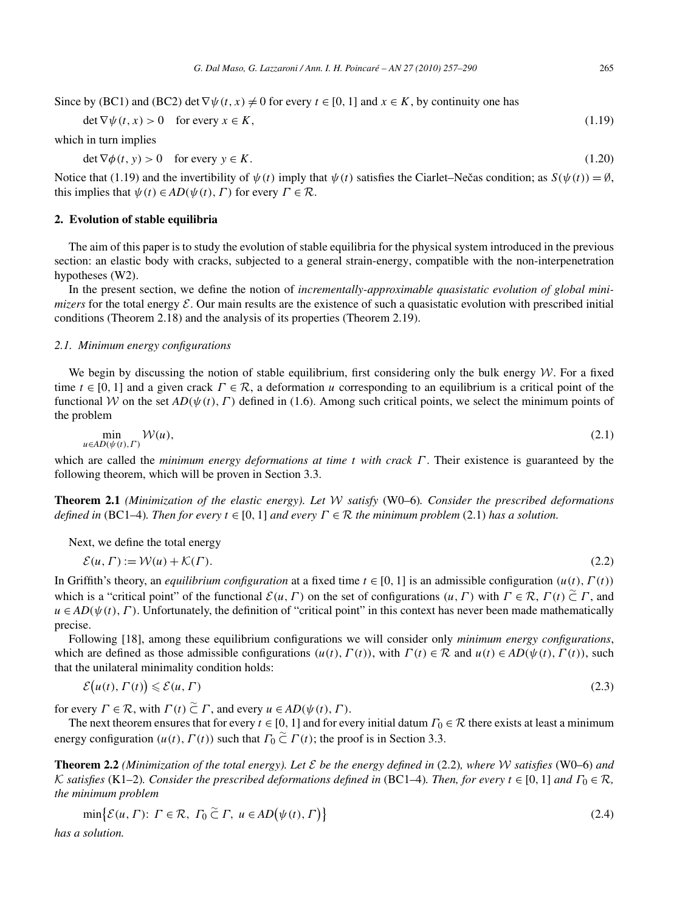Since by (BC1) and (BC2) det  $\nabla \psi(t, x) \neq 0$  for every  $t \in [0, 1]$  and  $x \in K$ , by continuity one has

$$
\det \nabla \psi(t, x) > 0 \quad \text{for every } x \in K,\tag{1.19}
$$

which in turn implies

$$
\det \nabla \phi(t, y) > 0 \quad \text{for every } y \in K. \tag{1.20}
$$

Notice that (1.19) and the invertibility of  $\psi(t)$  imply that  $\psi(t)$  satisfies the Ciarlet–Nečas condition; as  $S(\psi(t)) = \emptyset$ , this implies that  $\psi(t) \in AD(\psi(t), \Gamma)$  for every  $\Gamma \in \mathcal{R}$ .

# **2. Evolution of stable equilibria**

The aim of this paper is to study the evolution of stable equilibria for the physical system introduced in the previous section: an elastic body with cracks, subjected to a general strain-energy, compatible with the non-interpenetration hypotheses (W2).

In the present section, we define the notion of *incrementally-approximable quasistatic evolution of global minimizers* for the total energy  $\mathcal{E}$ . Our main results are the existence of such a quasistatic evolution with prescribed initial conditions (Theorem 2.18) and the analysis of its properties (Theorem 2.19).

## *2.1. Minimum energy configurations*

We begin by discussing the notion of stable equilibrium, first considering only the bulk energy  $W$ . For a fixed time  $t \in [0, 1]$  and a given crack  $\Gamma \in \mathcal{R}$ , a deformation *u* corresponding to an equilibrium is a critical point of the functional W on the set  $AD(\psi(t), \Gamma)$  defined in (1.6). Among such critical points, we select the minimum points of the problem

$$
\min_{u \in AD(\psi(t),\Gamma)} \mathcal{W}(u),\tag{2.1}
$$

which are called the *minimum energy deformations at time t with crack Γ* . Their existence is guaranteed by the following theorem, which will be proven in Section 3.3.

**Theorem 2.1** *(Minimization of the elastic energy). Let* W *satisfy* (W0–6)*. Consider the prescribed deformations defined in* (BC1–4)*. Then for every*  $t \in [0, 1]$  *and every*  $\Gamma \in \mathcal{R}$  *the minimum problem* (2.1) *has a solution.* 

Next, we define the total energy

$$
\mathcal{E}(u,\Gamma) := \mathcal{W}(u) + \mathcal{K}(\Gamma). \tag{2.2}
$$

In Griffith's theory, an *equilibrium configuration* at a fixed time  $t \in [0, 1]$  is an admissible configuration  $(u(t), \Gamma(t))$ which is a "critical point" of the functional  $\mathcal{E}(u, \Gamma)$  on the set of configurations  $(u, \Gamma)$  with  $\Gamma \in \mathcal{R}$ ,  $\Gamma(t) \subset \Gamma$ , and  $u \in AD(\psi(t), \Gamma)$ . Unfortunately, the definition of "critical point" in this context has never been made mathematically precise.

Following [18], among these equilibrium configurations we will consider only *minimum energy configurations*, which are defined as those admissible configurations  $(u(t), \Gamma(t))$ , with  $\Gamma(t) \in \mathcal{R}$  and  $u(t) \in AD(\psi(t), \Gamma(t))$ , such that the unilateral minimality condition holds:

$$
\mathcal{E}\big(u(t),\Gamma(t)\big) \leqslant \mathcal{E}(u,\Gamma) \tag{2.3}
$$

for every  $\Gamma \in \mathcal{R}$ , with  $\Gamma(t) \subset \Gamma$ , and every  $u \in AD(\psi(t), \Gamma)$ .

The next theorem ensures that for every  $t \in [0, 1]$  and for every initial datum  $\Gamma_0 \in \mathcal{R}$  there exists at least a minimum energy configuration  $(u(t), \Gamma(t))$  such that  $\Gamma_0 \stackrel{\sim}{\subset} \Gamma(t)$ ; the proof is in Section 3.3.

**Theorem 2.2** *(Minimization of the total energy). Let* E *be the energy defined in* (2.2)*, where* W *satisfies* (W0–6) *and* K *satisfies* (K1–2)*. Consider the prescribed deformations defined in* (BC1–4)*. Then, for every t* ∈ [0*,* 1] *and Γ*<sup>0</sup> ∈ R*, the minimum problem*

$$
\min \{ \mathcal{E}(u, \Gamma) : \Gamma \in \mathcal{R}, \ I_0 \widetilde{\subset} \Gamma, \ u \in AD(\psi(t), \Gamma) \} \tag{2.4}
$$

*has a solution.*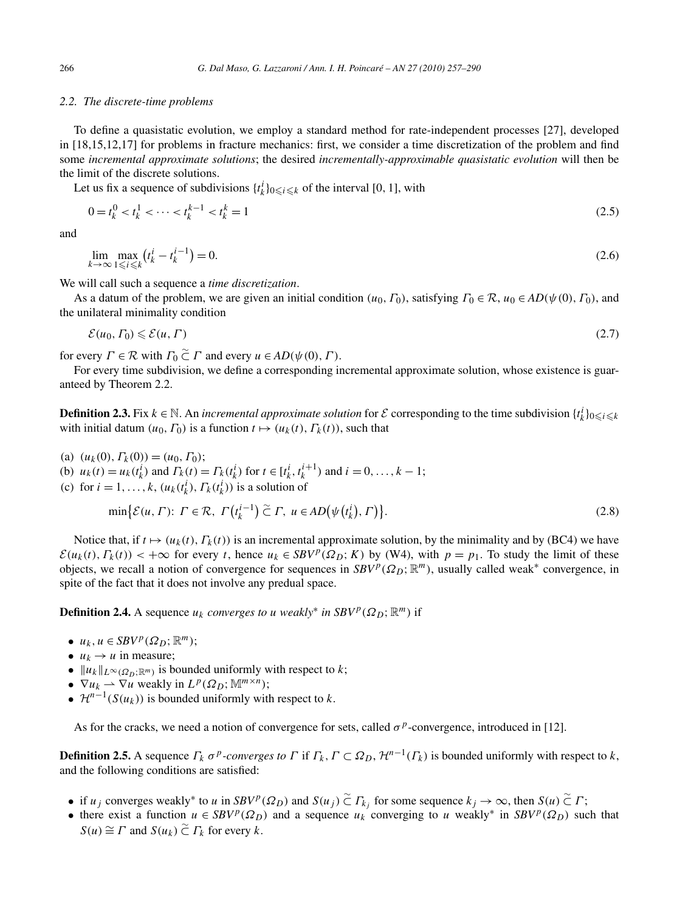#### *2.2. The discrete-time problems*

To define a quasistatic evolution, we employ a standard method for rate-independent processes [27], developed in [18,15,12,17] for problems in fracture mechanics: first, we consider a time discretization of the problem and find some *incremental approximate solutions*; the desired *incrementally-approximable quasistatic evolution* will then be the limit of the discrete solutions.

Let us fix a sequence of subdivisions  $\{t_k^i\}_{0 \leq i \leq k}$  of the interval [0, 1], with

$$
0 = t_k^0 < t_k^1 < \dots < t_k^{k-1} < t_k^k = 1 \tag{2.5}
$$

and

$$
\lim_{k \to \infty} \max_{1 \le i \le k} (t_k^i - t_k^{i-1}) = 0.
$$
\n(2.6)

We will call such a sequence a *time discretization*.

As a datum of the problem, we are given an initial condition  $(u_0, \Gamma_0)$ , satisfying  $\Gamma_0 \in \mathcal{R}$ ,  $u_0 \in AD(\psi(0), \Gamma_0)$ , and the unilateral minimality condition

$$
\mathcal{E}(u_0, \Gamma_0) \leqslant \mathcal{E}(u, \Gamma) \tag{2.7}
$$

for every  $\Gamma \in \mathcal{R}$  with  $\Gamma_0 \subset \Gamma$  and every  $u \in AD(\psi(0), \Gamma)$ .

For every time subdivision, we define a corresponding incremental approximate solution, whose existence is guaranteed by Theorem 2.2.

**Definition 2.3.** Fix  $k \in \mathbb{N}$ . An *incremental approximate solution* for  $\mathcal{E}$  corresponding to the time subdivision  $\{t_k^i\}_{0 \leq i \leq k}$ with initial datum  $(u_0, \Gamma_0)$  is a function  $t \mapsto (u_k(t), \Gamma_k(t))$ , such that

- $(u_k(0), \Gamma_k(0)) = (u_0, \Gamma_0);$
- (b)  $u_k(t) = u_k(t_k^i)$  and  $\Gamma_k(t) = \Gamma_k(t_k^i)$  for  $t \in [t_k^i, t_k^{i+1})$  and  $i = 0, ..., k 1$ ;
- (c) for  $i = 1, ..., k$ ,  $(u_k(t_k^i), \Gamma_k(t_k^i))$  is a solution of

$$
\min\{\mathcal{E}(u,\Gamma)\colon\Gamma\in\mathcal{R},\ \Gamma\left(t_k^{i-1}\right)\stackrel{\sim}{\subset}\Gamma,\ u\in AD\big(\psi\left(t_k^i\right),\Gamma\big)\}.\tag{2.8}
$$

Notice that, if  $t \mapsto (u_k(t), \Gamma_k(t))$  is an incremental approximate solution, by the minimality and by (BC4) we have  $\mathcal{E}(u_k(t), \Gamma_k(t)) < +\infty$  for every *t*, hence  $u_k \in SBV^p(\Omega_D; K)$  by (W4), with  $p = p_1$ . To study the limit of these objects, we recall a notion of convergence for sequences in  $SBV^p(\Omega_D;\mathbb{R}^m)$ , usually called weak<sup>\*</sup> convergence, in spite of the fact that it does not involve any predual space.

**Definition 2.4.** A sequence  $u_k$  *converges to u weakly<sup>\*</sup> in SBV<sup>p</sup>(* $\Omega_D$ *;*  $\mathbb{R}^m$ *)* if

- $u_k, u \in SBV^p(\Omega_D; \mathbb{R}^m);$
- $u_k \rightarrow u$  in measure;
- $||u_k||_{L^{\infty}(\Omega_D;\mathbb{R}^m)}$  is bounded uniformly with respect to *k*;
- $\nabla u_k \rightharpoonup \nabla u$  weakly in  $L^p(\Omega_D; \mathbb{M}^{m \times n})$ ;
- $\mathcal{H}^{n-1}(S(u_k))$  is bounded uniformly with respect to *k*.

As for the cracks, we need a notion of convergence for sets, called  $\sigma^p$ -convergence, introduced in [12].

**Definition 2.5.** A sequence  $\Gamma_k \sigma^p$ -converges to  $\Gamma$  if  $\Gamma_k, \Gamma \subset \Omega_D, \mathcal{H}^{n-1}(\Gamma_k)$  is bounded uniformly with respect to  $k$ , and the following conditions are satisfied:

- if  $u_j$  converges weakly<sup>\*</sup> to  $u$  in  $SBV^p(\Omega_D)$  and  $S(u_j) \overset{\sim}{\subset} \Gamma_{k_j}$  for some sequence  $k_j \to \infty$ , then  $S(u) \overset{\sim}{\subset} \Gamma$ ;
- there exist a function  $u \in SBV^p(\Omega_D)$  and a sequence  $u_k$  converging to *u* weakly<sup>\*</sup> in  $SBV^p(\Omega_D)$  such that  $S(u) \cong \Gamma$  and  $S(u_k) \cong \Gamma_k$  for every *k*.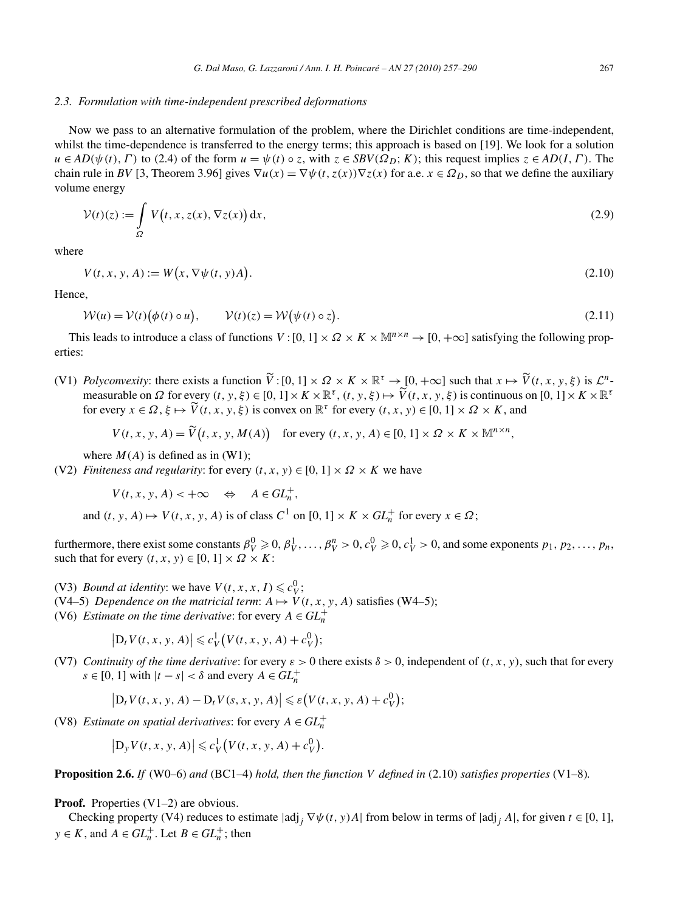#### *2.3. Formulation with time-independent prescribed deformations*

Now we pass to an alternative formulation of the problem, where the Dirichlet conditions are time-independent, whilst the time-dependence is transferred to the energy terms; this approach is based on [19]. We look for a solution  $u \in AD(\psi(t), \Gamma)$  to (2.4) of the form  $u = \psi(t) \circ z$ , with  $z \in SBV(\Omega_D; K)$ ; this request implies  $z \in AD(I, \Gamma)$ . The chain rule in *BV* [3, Theorem 3.96] gives  $\nabla u(x) = \nabla \psi(t, z(x)) \nabla z(x)$  for a.e.  $x \in \Omega_D$ , so that we define the auxiliary volume energy

$$
\mathcal{V}(t)(z) := \int_{\Omega} V(t, x, z(x), \nabla z(x)) dx,
$$
\n(2.9)

where

$$
V(t, x, y, A) := W(x, \nabla \psi(t, y)A).
$$
\n(2.10)

Hence,

$$
W(u) = V(t) \big( \phi(t) \circ u \big), \qquad V(t)(z) = W \big( \psi(t) \circ z \big). \tag{2.11}
$$

This leads to introduce a class of functions  $V : [0, 1] \times \Omega \times K \times \mathbb{M}^{n \times n} \to [0, +\infty]$  satisfying the following properties:

(V1) *Polyconvexity*: there exists a function  $\tilde{V}$  : [0, 1]  $\times \Omega \times K \times \mathbb{R}^{\tau} \to [0, +\infty]$  such that  $x \mapsto \tilde{V}(t, x, y, \xi)$  is  $\mathcal{L}^{n}$ measurable on  $\Omega$  for every  $(t, y, \xi) \in [0, 1] \times K \times \mathbb{R}^{\tau}$ ,  $(t, y, \xi) \mapsto \widetilde{V}(t, x, y, \xi)$  is continuous on  $[0, 1] \times K \times \mathbb{R}^{\tau}$ for every  $x \in \Omega$ ,  $\xi \mapsto \widetilde{V}(t, x, y, \xi)$  is convex on  $\mathbb{R}^{\tau}$  for every  $(t, x, y) \in [0, 1] \times \Omega \times K$ , and

$$
V(t, x, y, A) = \widetilde{V}(t, x, y, M(A)) \quad \text{for every } (t, x, y, A) \in [0, 1] \times \Omega \times K \times \mathbb{M}^{n \times n},
$$

where  $M(A)$  is defined as in (W1);

(V2) *Finiteness and regularity:* for every  $(t, x, y) \in [0, 1] \times \Omega \times K$  we have

 $V(t, x, y, A) < +\infty \quad \Leftrightarrow \quad A \in GL_n^+,$ 

and  $(t, y, A) \mapsto V(t, x, y, A)$  is of class  $C^1$  on  $[0, 1] \times K \times GL_n^+$  for every  $x \in \Omega$ ;

furthermore, there exist some constants  $\beta_V^0 \ge 0$ ,  $\beta_V^1$ , ...,  $\beta_V^n > 0$ ,  $c_V^0 \ge 0$ ,  $c_V^1 > 0$ , and some exponents  $p_1, p_2, ..., p_n$ , such that for every  $(t, x, y) \in [0, 1] \times \Omega \times K$ :

- (V3) *Bound at identity:* we have  $V(t, x, x, I) \leq c_V^0$ ;
- (V4–5) *Dependence on the matricial term:*  $A \mapsto V(t, x, y, A)$  satisfies (W4–5);
- (V6) *Estimate on the time derivative:* for every  $A \in GL_n^+$

 $|D_t V(t, x, y, A)| \leq c_V^1 (V(t, x, y, A) + c_V^0);$ 

(V7) *Continuity of the time derivative*: for every  $\varepsilon > 0$  there exists  $\delta > 0$ , independent of  $(t, x, y)$ , such that for every  $s \in [0, 1]$  with  $|t - s| < \delta$  and every  $A \in GL_n^+$ 

$$
\left| D_t V(t, x, y, A) - D_t V(s, x, y, A) \right| \leq \varepsilon \left( V(t, x, y, A) + c_V^0 \right);
$$

(V8) *Estimate on spatial derivatives*: for every  $A \in GL_n^+$ 

$$
\left| \mathcal{D}_{\mathcal{Y}} V(t, x, y, A) \right| \leqslant c_V^1 \big( V(t, x, y, A) + c_V^0 \big).
$$

**Proposition 2.6.** *If* (W0–6) *and* (BC1–4) *hold, then the function V defined in* (2.10) *satisfies properties* (V1–8)*.*

**Proof.** Properties (V1–2) are obvious.

Checking property (V4) reduces to estimate  $|adj_j \nabla \psi(t, y)A|$  from below in terms of  $|adj_j A|$ , for given  $t \in [0, 1]$ , *y* ∈ *K*, and *A* ∈ *GL*<sup> $+$ </sup><sub>*n*</sub>. Let *B* ∈ *GL*<sup> $+$ </sup><sub>*n*</sub><sup> $>$ </sup>; then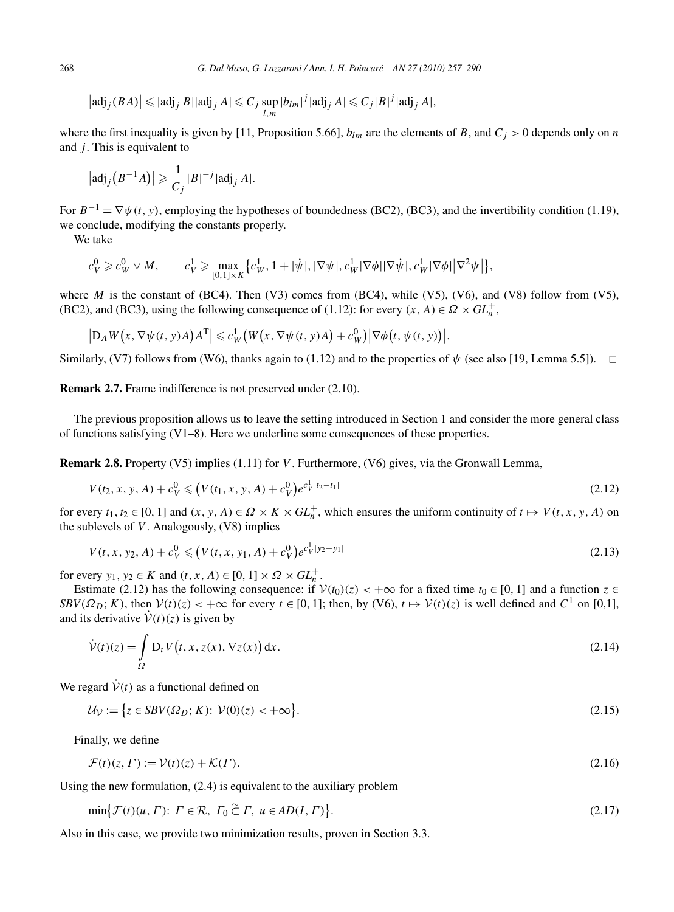$$
\left|\mathrm{adj}_j(BA)\right|\leqslant |\mathrm{adj}_j B||\mathrm{adj}_j A|\leqslant C_j \sup_{l,m}|b_{lm}|^j|\mathrm{adj}_j A|\leqslant C_j|B|^j|\mathrm{adj}_j A|,
$$

where the first inequality is given by [11, Proposition 5.66],  $b_{lm}$  are the elements of *B*, and  $C_i > 0$  depends only on *n* and *j*. This is equivalent to

$$
\left|\operatorname{adj}_j(B^{-1}A)\right| \geqslant \frac{1}{C_j}|B|^{-j}|\operatorname{adj}_j A|.
$$

For  $B^{-1} = \nabla \psi(t, y)$ , employing the hypotheses of boundedness (BC2), (BC3), and the invertibility condition (1.19), we conclude, modifying the constants properly.

We take

$$
c_V^0 \geqslant c_W^0 \vee M, \qquad c_V^1 \geqslant \max_{[0,1]\times K} \left\{c_W^1, 1+|\dot{\psi}|, |\nabla \psi|, c_W^1 |\nabla \phi||\nabla \dot{\psi}|, c_W^1 |\nabla \phi| \middle| \nabla^2 \psi \middle| \right\},\
$$

where *M* is the constant of (BC4). Then (V3) comes from (BC4), while (V5), (V6), and (V8) follow from (V5), (BC2), and (BC3), using the following consequence of (1.12): for every  $(x, A) \in \Omega \times GL_n^+$ ,

$$
\left| \mathcal{D}_A W(x, \nabla \psi(t, y) A) A^{\mathrm{T}} \right| \leq c_W^1 \big( W(x, \nabla \psi(t, y) A) + c_W^0 \big) \big| \nabla \phi(t, \psi(t, y)) \big|.
$$

Similarly, (V7) follows from (W6), thanks again to (1.12) and to the properties of  $\psi$  (see also [19, Lemma 5.5]).  $\Box$ 

**Remark 2.7.** Frame indifference is not preserved under  $(2.10)$ .

The previous proposition allows us to leave the setting introduced in Section 1 and consider the more general class of functions satisfying (V1–8). Here we underline some consequences of these properties.

**Remark 2.8.** Property (V5) implies (1.11) for *V* . Furthermore, (V6) gives, via the Gronwall Lemma,  $\mathcal{L}^{\text{max}}$ 

*ec*1

$$
V(t_2, x, y, A) + c_V^0 \leqslant (V(t_1, x, y, A) + c_V^0) e^{c_V^1 |t_2 - t_1|}
$$
\n(2.12)

for every  $t_1, t_2 \in [0, 1]$  and  $(x, y, A) \in \Omega \times K \times GL_n^+$ , which ensures the uniform continuity of  $t \mapsto V(t, x, y, A)$  on the sublevels of *V* . Analogously, (V8) implies

$$
V(t, x, y_2, A) + c_V^0 \leqslant (V(t, x, y_1, A) + c_V^0) e^{c_V^1 |y_2 - y_1|}
$$
\n(2.13)

for every  $y_1, y_2 \in K$  and  $(t, x, A) \in [0, 1] \times \Omega \times GL_n^+$ .

Estimate (2.12) has the following consequence: if  $V(t_0)(z) < +\infty$  for a fixed time  $t_0 \in [0, 1]$  and a function  $z \in$ *SBV*( $\Omega_D$ ; *K*), then  $V(t)(z) < +\infty$  for every  $t \in [0, 1]$ ; then, by (V6),  $t \mapsto V(t)(z)$  is well defined and  $C^1$  on [0,1], and its derivative  $\dot{\mathcal{V}}(t)(z)$  is given by

$$
\dot{\mathcal{V}}(t)(z) = \int_{\Omega} \mathcal{D}_t V(t, x, z(x), \nabla z(x)) dx.
$$
\n(2.14)

We regard  $\dot{\mathcal{V}}(t)$  as a functional defined on

$$
\mathcal{U}_{\mathcal{V}} := \{ z \in SBV(\Omega_D; K) : \mathcal{V}(0)(z) < +\infty \}. \tag{2.15}
$$

Finally, we define

$$
\mathcal{F}(t)(z,\Gamma) := \mathcal{V}(t)(z) + \mathcal{K}(\Gamma). \tag{2.16}
$$

Using the new formulation, (2.4) is equivalent to the auxiliary problem

$$
\min\bigl\{\mathcal{F}(t)(u,\Gamma)\colon\Gamma\in\mathcal{R},\ \Gamma_0\stackrel{\sim}{\subset}\Gamma,\ u\in AD(I,\Gamma)\bigr\}.\tag{2.17}
$$

Also in this case, we provide two minimization results, proven in Section 3.3.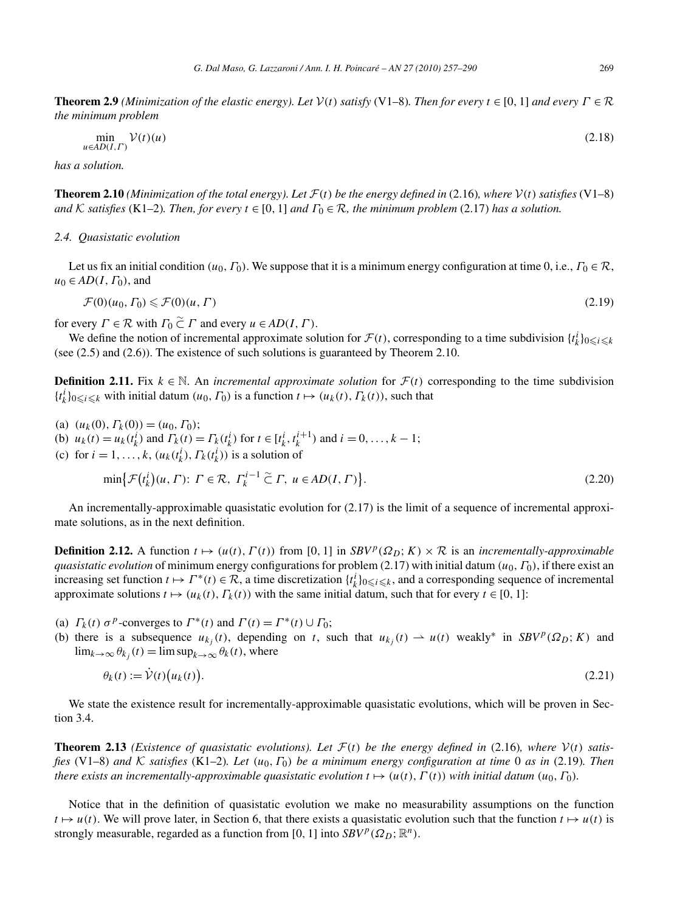**Theorem 2.9** *(Minimization of the elastic energy). Let*  $V(t)$  *satisfy* (V1–8)*. Then for every*  $t \in [0, 1]$  *and every*  $\Gamma \in \mathcal{R}$ *the minimum problem*

$$
\min_{u \in AD(I,\Gamma)} \mathcal{V}(t)(u) \tag{2.18}
$$

*has a solution.*

**Theorem 2.10** *(Minimization of the total energy). Let*  $\mathcal{F}(t)$  *be the energy defined in* (2.16)*, where*  $V(t)$  *satisfies* (V1–8) *and* K *satisfies* (K1–2)*. Then, for every*  $t \in [0, 1]$  *and*  $\Gamma_0 \in \mathcal{R}$ *, the minimum problem* (2.17) *has a solution.* 

#### *2.4. Quasistatic evolution*

Let us fix an initial condition  $(u_0, \Gamma_0)$ . We suppose that it is a minimum energy configuration at time 0, i.e.,  $\Gamma_0 \in \mathcal{R}$ ,  $u_0 \in AD(I, \Gamma_0)$ , and

$$
\mathcal{F}(0)(u_0, \Gamma_0) \leqslant \mathcal{F}(0)(u, \Gamma) \tag{2.19}
$$

for every  $\Gamma \in \mathcal{R}$  with  $\Gamma_0 \subset \Gamma$  and every  $u \in AD(I, \Gamma)$ .

We define the notion of incremental approximate solution for  $\mathcal{F}(t)$ , corresponding to a time subdivision  $\{t_k^i\}_{0 \leq i \leq k}$ (see (2.5) and (2.6)). The existence of such solutions is guaranteed by Theorem 2.10.

**Definition 2.11.** Fix  $k \in \mathbb{N}$ . An *incremental approximate solution* for  $\mathcal{F}(t)$  corresponding to the time subdivision  ${t_k}^i$ ,  ${i_k}^i$ , with initial datum  $(u_0, F_0)$  is a function  $t \mapsto (u_k(t), F_k(t))$ , such that

- (a)  $(u_k(0), \Gamma_k(0)) = (u_0, \Gamma_0);$ (b)  $u_k(t) = u_k(t_k^i)$  and  $\Gamma_k(t) = \Gamma_k(t_k^i)$  for  $t \in [t_k^i, t_k^{i+1})$  and  $i = 0, ..., k - 1$ ;
- (c) for  $i = 1, ..., k$ ,  $(u_k(t_k^i), \Gamma_k(t_k^i))$  is a solution of

$$
\min\{\mathcal{F}(t_k^i)(u,\Gamma)\colon\Gamma\in\mathcal{R},\ \Gamma_k^{i-1}\stackrel{\sim}{\subset}\Gamma,\ u\in AD(I,\Gamma)\}.
$$
\n(2.20)

An incrementally-approximable quasistatic evolution for (2.17) is the limit of a sequence of incremental approximate solutions, as in the next definition.

**Definition 2.12.** A function  $t \mapsto (u(t), \Gamma(t))$  from [0, 1] in *SBV<sup>p</sup>(* $\Omega_D$ *; K)* ×  $\mathcal{R}$  is an *incrementally-approximable quasistatic evolution* of minimum energy configurations for problem (2.17) with initial datum *(u*0*,Γ*0*)*, if there exist an increasing set function  $t \mapsto \Gamma^*(t) \in \mathcal{R}$ , a time discretization  $\{t_k^i\}_{0 \le i \le k}$ , and a corresponding sequence of incremental approximate solutions  $t \mapsto (u_k(t), \Gamma_k(t))$  with the same initial datum, such that for every  $t \in [0, 1]$ :

- (a)  $\Gamma_k(t)$   $\sigma^p$ -converges to  $\Gamma^*(t)$  and  $\Gamma(t) = \Gamma^*(t) \cup \Gamma_0$ ;
- (b) there is a subsequence  $u_{k_j}(t)$ , depending on *t*, such that  $u_{k_j}(t) \rightharpoonup u(t)$  weakly<sup>\*</sup> in  $SBV^p(\Omega_D; K)$  and  $\lim_{k\to\infty} \theta_{k_j}(t) = \limsup_{k\to\infty} \theta_k(t)$ , where

$$
\theta_k(t) := \dot{\mathcal{V}}(t) \big( u_k(t) \big). \tag{2.21}
$$

We state the existence result for incrementally-approximable quasistatic evolutions, which will be proven in Section 3.4.

**Theorem 2.13** *(Existence of quasistatic evolutions). Let*  $\mathcal{F}(t)$  *be the energy defined in* (2.16)*, where*  $\mathcal{V}(t)$  *satisfies* (V1–8) *and* K *satisfies* (K1–2)*. Let (u*0*,Γ*0*) be a minimum energy configuration at time* 0 *as in* (2.19)*. Then there exists an incrementally-approximable quasistatic evolution*  $t \mapsto (u(t), \Gamma(t))$  with initial datum  $(u_0, \Gamma_0)$ .

Notice that in the definition of quasistatic evolution we make no measurability assumptions on the function  $t \mapsto u(t)$ . We will prove later, in Section 6, that there exists a quasistatic evolution such that the function  $t \mapsto u(t)$  is strongly measurable, regarded as a function from [0, 1] into  $SBV^p(\Omega_D;\mathbb{R}^n)$ .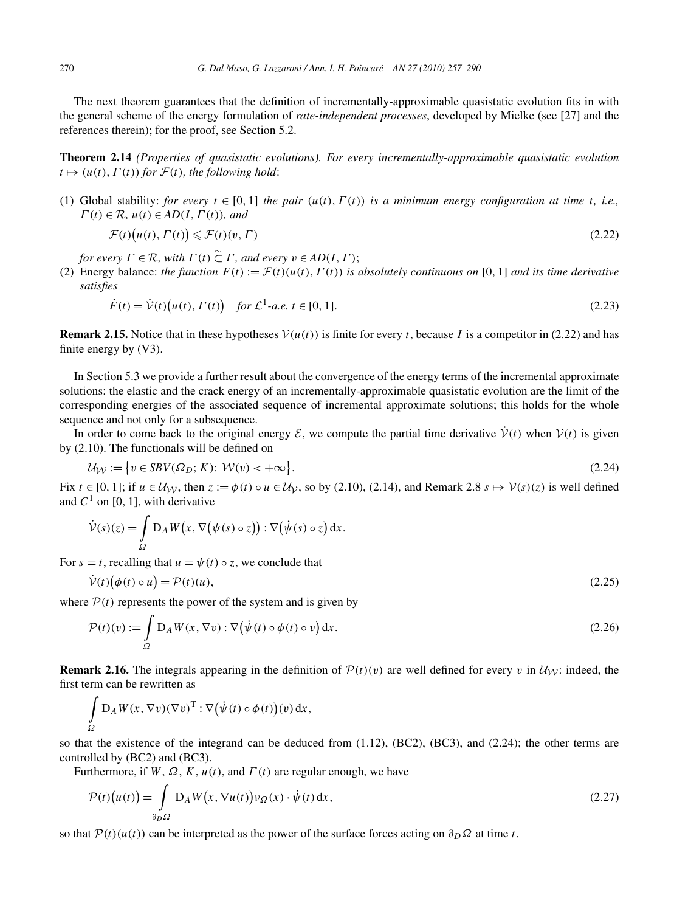The next theorem guarantees that the definition of incrementally-approximable quasistatic evolution fits in with the general scheme of the energy formulation of *rate-independent processes*, developed by Mielke (see [27] and the references therein); for the proof, see Section 5.2.

**Theorem 2.14** *(Properties of quasistatic evolutions). For every incrementally-approximable quasistatic evolution*  $t \mapsto (u(t), \Gamma(t))$  *for*  $\mathcal{F}(t)$ *, the following hold*:

(1) Global stability: *for every*  $t \in [0,1]$  *the pair*  $(u(t), \Gamma(t))$  *is a minimum energy configuration at time t, i.e.,*  $\Gamma(t) \in \mathcal{R}$ ,  $u(t) \in AD(I, \Gamma(t))$ *, and* 

$$
\mathcal{F}(t)\big(u(t),\,\Gamma(t)\big) \leqslant \mathcal{F}(t)(v,\,\Gamma) \tag{2.22}
$$

*for every*  $\Gamma \in \mathcal{R}$ *, with*  $\Gamma(t) \subseteq \Gamma$ *, and every*  $v \in AD(I, \Gamma)$ ;

(2) Energy balance: *the function*  $F(t) := \mathcal{F}(t)(u(t), \Gamma(t))$  *is absolutely continuous on* [0, 1] *and its time derivative satisfies*

$$
\dot{F}(t) = \dot{V}(t) (u(t), \Gamma(t)) \quad \text{for } \mathcal{L}^1\text{-a.e. } t \in [0, 1]. \tag{2.23}
$$

**Remark 2.15.** Notice that in these hypotheses  $V(u(t))$  is finite for every *t*, because *I* is a competitor in (2.22) and has finite energy by (V3).

In Section 5.3 we provide a further result about the convergence of the energy terms of the incremental approximate solutions: the elastic and the crack energy of an incrementally-approximable quasistatic evolution are the limit of the corresponding energies of the associated sequence of incremental approximate solutions; this holds for the whole sequence and not only for a subsequence.

In order to come back to the original energy  $\mathcal{E}$ , we compute the partial time derivative  $\dot{\mathcal{V}}(t)$  when  $\mathcal{V}(t)$  is given by (2.10). The functionals will be defined on

$$
\mathcal{U}_{\mathcal{W}} := \{ v \in SBV(\Omega_D; K) : \mathcal{W}(v) < +\infty \}. \tag{2.24}
$$

Fix  $t \in [0, 1]$ ; if  $u \in \mathcal{U}_{\mathcal{W}}$ , then  $z := \phi(t) \circ u \in \mathcal{U}_{\mathcal{V}}$ , so by (2.10), (2.14), and Remark 2.8  $s \mapsto \mathcal{V}(s)(z)$  is well defined and  $C^1$  on [0, 1], with derivative

$$
\dot{\mathcal{V}}(s)(z) = \int_{\Omega} \mathcal{D}_A W(x, \nabla(\psi(s) \circ z)) : \nabla(\dot{\psi}(s) \circ z) dx.
$$

For  $s = t$ , recalling that  $u = \psi(t) \circ z$ , we conclude that

$$
\dot{\mathcal{V}}(t)(\phi(t) \circ u) = \mathcal{P}(t)(u),\tag{2.25}
$$

where  $P(t)$  represents the power of the system and is given by

$$
\mathcal{P}(t)(v) := \int_{\Omega} \mathcal{D}_A W(x, \nabla v) : \nabla (\dot{\psi}(t) \circ \phi(t) \circ v) \, \mathrm{d}x. \tag{2.26}
$$

**Remark 2.16.** The integrals appearing in the definition of  $\mathcal{P}(t)(v)$  are well defined for every *v* in  $\mathcal{U}_W$ : indeed, the first term can be rewritten as

$$
\int_{\Omega} \mathrm{D}_{A} W(x, \nabla v)(\nabla v)^{\mathrm{T}} : \nabla (\dot{\psi}(t) \circ \phi(t))(v) \, \mathrm{d}x,
$$

so that the existence of the integrand can be deduced from  $(1.12)$ ,  $(BC2)$ ,  $(BC3)$ , and  $(2.24)$ ; the other terms are controlled by (BC2) and (BC3).

Furthermore, if *W*,  $\Omega$ , *K*,  $u(t)$ , and  $\Gamma(t)$  are regular enough, we have

$$
\mathcal{P}(t)\big(u(t)\big) = \int_{\partial_D \Omega} \mathcal{D}_A W\big(x, \nabla u(t)\big) \nu_{\Omega}(x) \cdot \dot{\psi}(t) \, \mathrm{d}x,\tag{2.27}
$$

so that  $\mathcal{P}(t)(u(t))$  can be interpreted as the power of the surface forces acting on  $\partial_D \Omega$  at time *t*.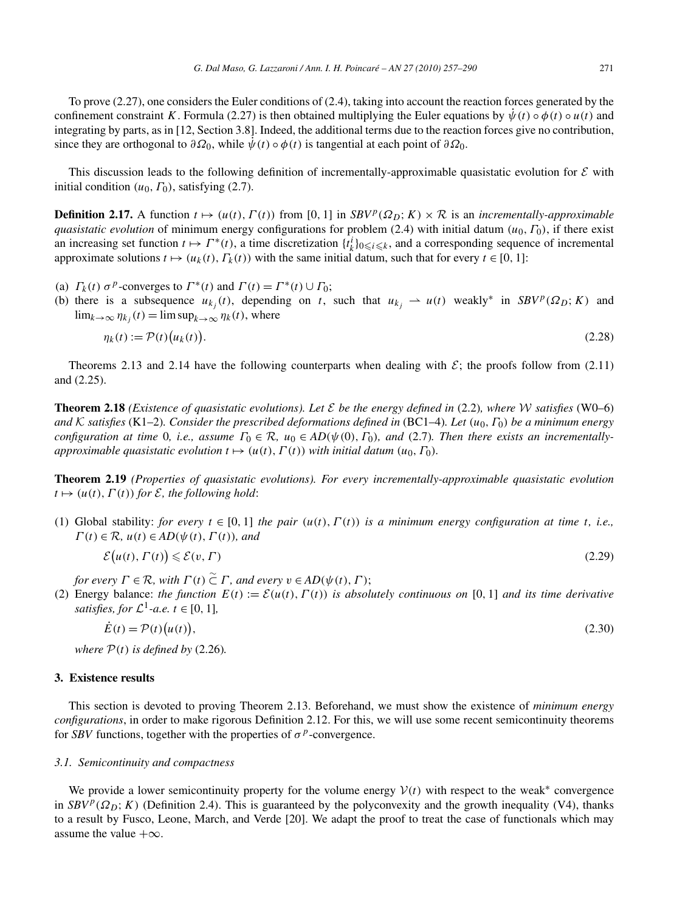To prove (2.27), one considers the Euler conditions of (2.4), taking into account the reaction forces generated by the confinement constraint *K*. Formula (2.27) is then obtained multiplying the Euler equations by  $\dot{\psi}(t) \circ \phi(t) \circ u(t)$  and integrating by parts, as in [12, Section 3.8]. Indeed, the additional terms due to the reaction forces give no contribution, since they are orthogonal to  $\partial \Omega_0$ , while  $\dot{\psi}(t) \circ \phi(t)$  is tangential at each point of  $\partial \Omega_0$ .

This discussion leads to the following definition of incrementally-approximable quasistatic evolution for  $\mathcal E$  with initial condition  $(u_0, \Gamma_0)$ , satisfying (2.7).

**Definition 2.17.** A function  $t \mapsto (u(t), \Gamma(t))$  from [0, 1] in *SBV<sup>p</sup>(* $\Omega_D$ ;  $K$ ) ×  $\mathcal{R}$  is an *incrementally-approximable quasistatic evolution* of minimum energy configurations for problem (2.4) with initial datum  $(u_0, \Gamma_0)$ , if there exist an increasing set function  $t \mapsto \Gamma^*(t)$ , a time discretization  $\{t_k^i\}_{0 \leq i \leq k}$ , and a corresponding sequence of incremental approximate solutions  $t \mapsto (u_k(t), \Gamma_k(t))$  with the same initial datum, such that for every  $t \in [0, 1]$ :

- (a)  $\Gamma_k(t)$   $\sigma^p$ -converges to  $\Gamma^*(t)$  and  $\Gamma(t) = \Gamma^*(t) \cup \Gamma_0$ ;
- (b) there is a subsequence  $u_{kj}(t)$ , depending on *t*, such that  $u_{kj} \rightharpoonup u(t)$  weakly<sup>\*</sup> in *SBV<sup>p</sup>(* $\Omega_D$ ; *K)* and  $\lim_{k\to\infty} \eta_{k_i}(t) = \limsup_{k\to\infty} \eta_k(t)$ , where

$$
\eta_k(t) := \mathcal{P}(t) \big( u_k(t) \big). \tag{2.28}
$$

Theorems 2.13 and 2.14 have the following counterparts when dealing with  $\mathcal{E}$ ; the proofs follow from (2.11) and (2.25).

**Theorem 2.18** *(Existence of quasistatic evolutions). Let*  $\mathcal{E}$  *be the energy defined in* (2.2)*, where W* satisfies (W0–6) *and* K *satisfies* (K1–2)*. Consider the prescribed deformations defined in* (BC1–4)*. Let (u*0*,Γ*0*) be a minimum energy configuration at time* 0*, i.e., assume*  $\Gamma_0 \in \mathcal{R}$ ,  $u_0 \in AD(\psi(0), \Gamma_0)$ *, and* (2.7)*. Then there exists an incrementallyapproximable quasistatic evolution*  $t \mapsto (u(t), \Gamma(t))$  *with initial datum*  $(u_0, \Gamma_0)$ *.* 

**Theorem 2.19** *(Properties of quasistatic evolutions). For every incrementally-approximable quasistatic evolution*  $t \mapsto (u(t), \Gamma(t))$  *for*  $\mathcal{E}$ *, the following hold:* 

(1) Global stability: *for every*  $t \in [0, 1]$  *the pair*  $(u(t), \Gamma(t))$  *is a minimum energy configuration at time t, i.e.,*  $\Gamma(t) \in \mathcal{R}$ ,  $u(t) \in AD(\psi(t), \Gamma(t))$ *, and* 

$$
\mathcal{E}\big(u(t),\Gamma(t)\big) \leqslant \mathcal{E}(v,\Gamma) \tag{2.29}
$$

*for every*  $\Gamma \in \mathcal{R}$ *, with*  $\Gamma(t) \subset \Gamma$ *, and every*  $v \in AD(\psi(t), \Gamma)$ ;

(2) Energy balance: *the function*  $E(t) := \mathcal{E}(u(t), \Gamma(t))$  *is absolutely continuous on* [0, 1] *and its time derivative satisfies, for*  $\mathcal{L}^1$ *-a.e.*  $t \in [0, 1]$ *,* 

$$
\dot{E}(t) = \mathcal{P}(t)\big(u(t)\big),\tag{2.30}
$$

*where*  $P(t)$  *is defined by* (2.26)*.* 

# **3. Existence results**

This section is devoted to proving Theorem 2.13. Beforehand, we must show the existence of *minimum energy configurations*, in order to make rigorous Definition 2.12. For this, we will use some recent semicontinuity theorems for *SBV* functions, together with the properties of  $\sigma^p$ -convergence.

## *3.1. Semicontinuity and compactness*

We provide a lower semicontinuity property for the volume energy <sup>V</sup>*(t)* with respect to the weak<sup>∗</sup> convergence in *SBV<sup>p</sup>*( $\Omega_D$ ; *K*) (Definition 2.4). This is guaranteed by the polyconvexity and the growth inequality (V4), thanks to a result by Fusco, Leone, March, and Verde [20]. We adapt the proof to treat the case of functionals which may assume the value  $+\infty$ .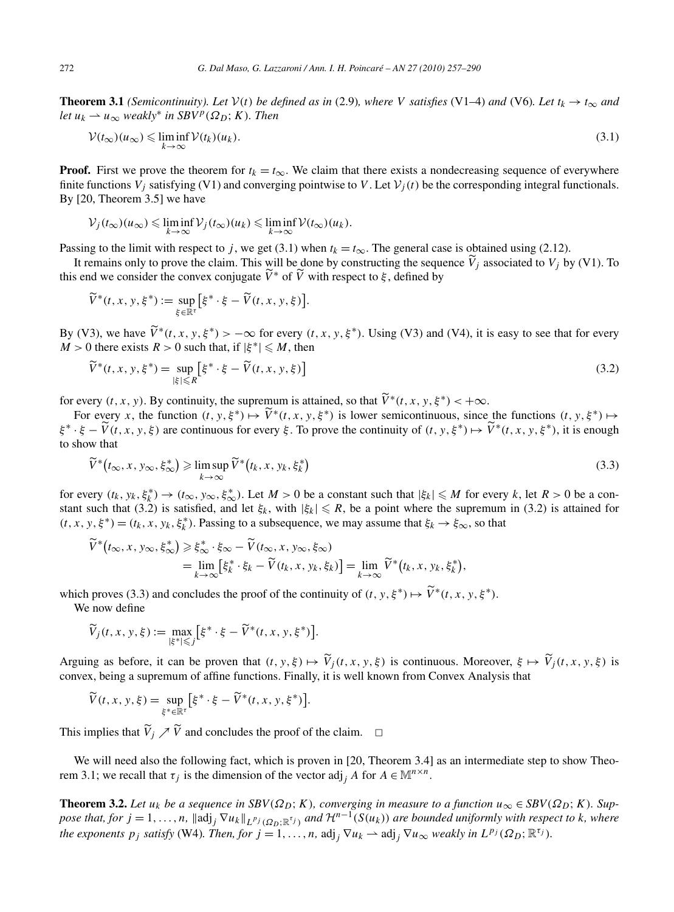**Theorem 3.1** *(Semicontinuity). Let*  $V(t)$  *be defined as in* (2.9)*, where V satisfies* (V1–4) *and* (V6)*. Let*  $t_k \to t_\infty$  *and let*  $u_k \rightharpoonup u_\infty$  *weakly<sup>\*</sup> in SBV<sup>p</sup>(* $\Omega_D$ *; K). Then* 

$$
\mathcal{V}(t_{\infty})(u_{\infty}) \leq \liminf_{k \to \infty} \mathcal{V}(t_k)(u_k). \tag{3.1}
$$

**Proof.** First we prove the theorem for  $t_k = t_\infty$ . We claim that there exists a nondecreasing sequence of everywhere finite functions  $V_i$  satisfying (V1) and converging pointwise to V. Let  $V_i(t)$  be the corresponding integral functionals. By [20, Theorem 3.5] we have

$$
\mathcal{V}_j(t_\infty)(u_\infty) \leqslant \liminf_{k \to \infty} \mathcal{V}_j(t_\infty)(u_k) \leqslant \liminf_{k \to \infty} \mathcal{V}(t_\infty)(u_k).
$$

Passing to the limit with respect to *j*, we get (3.1) when  $t_k = t_\infty$ . The general case is obtained using (2.12).

It remains only to prove the claim. This will be done by constructing the sequence  $V_j$  associated to  $V_j$  by (V1). To this end we consider the convex conjugate  $\widetilde{V}^*$  of  $\widetilde{V}$  with respect to  $\xi$ , defined by

$$
\widetilde{V}^*(t,x,y,\xi^*) := \sup_{\xi \in \mathbb{R}^\tau} \left[ \xi^* \cdot \xi - \widetilde{V}(t,x,y,\xi) \right].
$$

By (V3), we have  $\widetilde{V}^*(t, x, y, \xi^*)$  >  $-\infty$  for every  $(t, x, y, \xi^*)$ . Using (V3) and (V4), it is easy to see that for every *M* > 0 there exists  $R > 0$  such that, if  $|\xi^*| \le M$ , then

$$
\widetilde{V}^*(t, x, y, \xi^*) = \sup_{|\xi| \le R} \left[ \xi^* \cdot \xi - \widetilde{V}(t, x, y, \xi) \right]
$$
\n(3.2)

for every  $(t, x, y)$ . By continuity, the supremum is attained, so that  $\widetilde{V}^*(t, x, y, \xi^*) < +\infty$ .

For every *x*, the function  $(t, y, \xi^*) \mapsto \widetilde{V}^*(t, x, y, \xi^*)$  is lower semicontinuous, since the functions  $(t, y, \xi^*) \mapsto$  $\xi^* \cdot \xi - \widetilde{V}(t, x, y, \xi)$  are continuous for every  $\xi$ . To prove the continuity of  $(t, y, \xi^*) \mapsto \widetilde{V}^*(t, x, y, \xi^*)$ , it is enough to show that

$$
\widetilde{V}^*(t_{\infty}, x, y_{\infty}, \xi_{\infty}^*) \geq \limsup_{k \to \infty} \widetilde{V}^*(t_k, x, y_k, \xi_k^*)
$$
\n(3.3)

for every  $(t_k, y_k, \xi_k^*) \to (t_\infty, y_\infty, \xi_\infty^*)$ . Let  $M > 0$  be a constant such that  $|\xi_k| \le M$  for every  $k$ , let  $R > 0$  be a constant such that (3.2) is satisfied, and let  $\xi_k$ , with  $|\xi_k| \le R$ , be a point where the supremum in (3.2) is attained for  $(t, x, y, \xi^*) = (t_k, x, y_k, \xi^*_k)$ . Passing to a subsequence, we may assume that  $\xi_k \to \xi_\infty$ , so that

$$
\widetilde{V}^*(t_{\infty}, x, y_{\infty}, \xi_{\infty}^*) \geq \xi_{\infty}^* \cdot \xi_{\infty} - \widetilde{V}(t_{\infty}, x, y_{\infty}, \xi_{\infty})
$$
\n
$$
= \lim_{k \to \infty} \left[ \xi_k^* \cdot \xi_k - \widetilde{V}(t_k, x, y_k, \xi_k) \right] = \lim_{k \to \infty} \widetilde{V}^*(t_k, x, y_k, \xi_k^*),
$$

which proves (3.3) and concludes the proof of the continuity of  $(t, y, \xi^*) \mapsto \widetilde{V}^*(t, x, y, \xi^*)$ .

We now define

$$
\widetilde{V}_j(t,x,y,\xi) := \max_{|\xi^*| \leq j} \left[ \xi^* \cdot \xi - \widetilde{V}^*(t,x,y,\xi^*) \right].
$$

Arguing as before, it can be proven that  $(t, y, \xi) \mapsto V_j(t, x, y, \xi)$  is continuous. Moreover,  $\xi \mapsto V_j(t, x, y, \xi)$  is convex, being a supremum of affine functions. Finally, it is well known from Convex Analysis that

$$
\widetilde{V}(t,x,y,\xi) = \sup_{\xi^* \in \mathbb{R}^{\tau}} \left[ \xi^* \cdot \xi - \widetilde{V}^*(t,x,y,\xi^*) \right].
$$

This implies that  $\hat{V}_j \nearrow \hat{V}$  and concludes the proof of the claim.  $\Box$ 

We will need also the following fact, which is proven in [20, Theorem 3.4] as an intermediate step to show Theorem 3.1; we recall that  $\tau_j$  is the dimension of the vector adj<sub>*j*</sub> *A* for  $A \in \mathbb{M}^{n \times n}$ .

**Theorem 3.2.** Let  $u_k$  be a sequence in SBV( $\Omega_D$ ; K), converging in measure to a function  $u_\infty \in SBV(\Omega_D; K)$ . Suppose that, for  $j = 1, ..., n$ ,  $\|\text{adj}_j \nabla u_k\|_{L^{p_j}(\Omega_D; \mathbb{R}^{T_j})}$  and  $\mathcal{H}^{n-1}(S(u_k))$  are bounded uniformly with respect to k, where *the exponents*  $p_j$  *satisfy* (W4)*. Then, for*  $j = 1, ..., n$ ,  $\text{adj}_j \nabla u_k \to \text{adj}_j \nabla u_\infty$  *weakly in*  $L^{p_j}(\Omega_D; \mathbb{R}^{\tau_j})$ *.*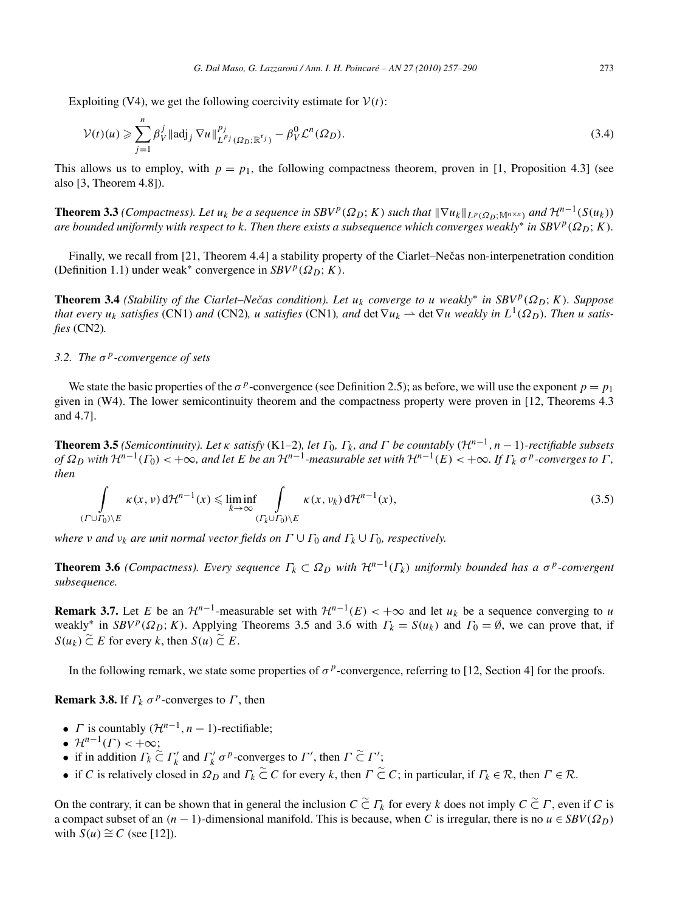Exploiting (V4), we get the following coercivity estimate for  $V(t)$ :

$$
\mathcal{V}(t)(u) \geqslant \sum_{j=1}^{n} \beta_V^j \|\text{adj}_j \nabla u\|_{L^{p_j}(\Omega_D; \mathbb{R}^{\tau_j})}^{p_j} - \beta_V^0 \mathcal{L}^n(\Omega_D). \tag{3.4}
$$

This allows us to employ, with  $p = p_1$ , the following compactness theorem, proven in [1, Proposition 4.3] (see also [3, Theorem 4.8]).

**Theorem 3.3** *(Compactness). Let*  $u_k$  *be a sequence in SBV<sup>p</sup>(* $\Omega_D$ *; K) such that*  $\|\nabla u_k\|_{L^p(\Omega_D; \mathbb{M}^{n \times n})}$  *and*  $\mathcal{H}^{n-1}(S(u_k))$ *are bounded uniformly with respect to k. Then there exists a subsequence which converges weakly<sup>\*</sup> in SBV<sup><i>p*</sup>( $\Omega_D$ ; *K*).

Finally, we recall from [21, Theorem 4.4] a stability property of the Ciarlet–Necas non-interpenetration condition (Definition 1.1) under weak<sup>\*</sup> convergence in  $SBV^p(\Omega_D; K)$ .

**Theorem 3.4** *(Stability of the Ciarlet–Nečas condition). Let*  $u_k$  *converge to*  $u$  *weakly<sup>\*</sup> in SBV<sup>p</sup>(* $\Omega_D$ *; K). Suppose that every*  $u_k$  *satisfies* (CN1) *and* (CN2)*, u satisfies* (CN1)*, and* det  $\nabla u_k \to$  det  $\nabla u$  *weakly in*  $L^1(\Omega_D)$ *. Then u satisfies* (CN2)*.*

#### *3.2. The σ <sup>p</sup>-convergence of sets*

We state the basic properties of the  $\sigma^p$ -convergence (see Definition 2.5); as before, we will use the exponent  $p = p_1$ given in (W4). The lower semicontinuity theorem and the compactness property were proven in [12, Theorems 4.3 and 4.7].

**Theorem 3.5** (Semicontinuity). Let  $\kappa$  satisfy (K1–2), let  $\Gamma_0$ ,  $\Gamma_k$ , and  $\Gamma$  be countably ( $\mathcal{H}^{n-1}$ ,  $n-1$ )-rectifiable subsets of  $\Omega_D$  with  $\mathcal{H}^{n-1}(\Gamma_0)$  <  $+\infty$ , and let E be an  $\mathcal{H}^{n-1}$ -measurable set with  $\mathcal{H}^{n-1}(E)$  <  $+\infty$ . If  $\Gamma_k$   $\sigma^p$ -converges to  $\Gamma$ , *then*

$$
\int_{(\Gamma \cup \Gamma_0) \backslash E} \kappa(x, \nu) d\mathcal{H}^{n-1}(x) \le \liminf_{k \to \infty} \int_{(\Gamma_k \cup \Gamma_0) \backslash E} \kappa(x, \nu_k) d\mathcal{H}^{n-1}(x),
$$
\n(3.5)

*where v and*  $v_k$  *are unit normal vector fields on*  $\Gamma \cup \Gamma_0$  *and*  $\Gamma_k \cup \Gamma_0$ *, respectively.* 

**Theorem 3.6** *(Compactness). Every sequence*  $\Gamma_k \subset \Omega_D$  *with*  $\mathcal{H}^{n-1}(\Gamma_k)$  *uniformly bounded has a*  $\sigma^p$ *-convergent subsequence.*

**Remark 3.7.** Let *E* be an  $\mathcal{H}^{n-1}$ -measurable set with  $\mathcal{H}^{n-1}(E) < +\infty$  and let  $u_k$  be a sequence converging to *u* weakly<sup>\*</sup> in *SBV<sup>p</sup>*( $\Omega_D$ ; *K*). Applying Theorems 3.5 and 3.6 with  $\Gamma_k = S(u_k)$  and  $\Gamma_0 = \emptyset$ , we can prove that, if  $S(u_k) \overset{\sim}{\subset} E$  for every *k*, then  $S(u) \overset{\sim}{\subset} E$ .

In the following remark, we state some properties of  $\sigma^p$ -convergence, referring to [12, Section 4] for the proofs.

**Remark 3.8.** If  $\Gamma_k \sigma^p$ -converges to  $\Gamma$ , then

- *Γ* is countably  $(H^{n-1}, n-1)$ -rectifiable;
- $\mathcal{H}^{n-1}(\Gamma) < +\infty;$
- if in addition  $\Gamma_k \n\t\subset \n\t\subset \n\t\Gamma'_k$  and  $\Gamma'_k \n\t\subset \n\tP'$  converges to  $\Gamma'$ , then  $\Gamma \n\t\subset \n\t\subset \n\t\Gamma'$ ;
- if *C* is relatively closed in  $\Omega_D$  and  $\Gamma_k \subset C$  for every *k*, then  $\Gamma \subset C$ ; in particular, if  $\Gamma_k \in \mathcal{R}$ , then  $\Gamma \in \mathcal{R}$ .

On the contrary, it can be shown that in general the inclusion  $C \nightharpoonup C_K$  for every  $k$  does not imply  $C \nightharpoonup C$ , even if  $C$  is a compact subset of an  $(n - 1)$ -dimensional manifold. This is because, when *C* is irregular, there is no  $u \in SBV(\Omega_D)$ with  $S(u) \cong C$  (see [12]).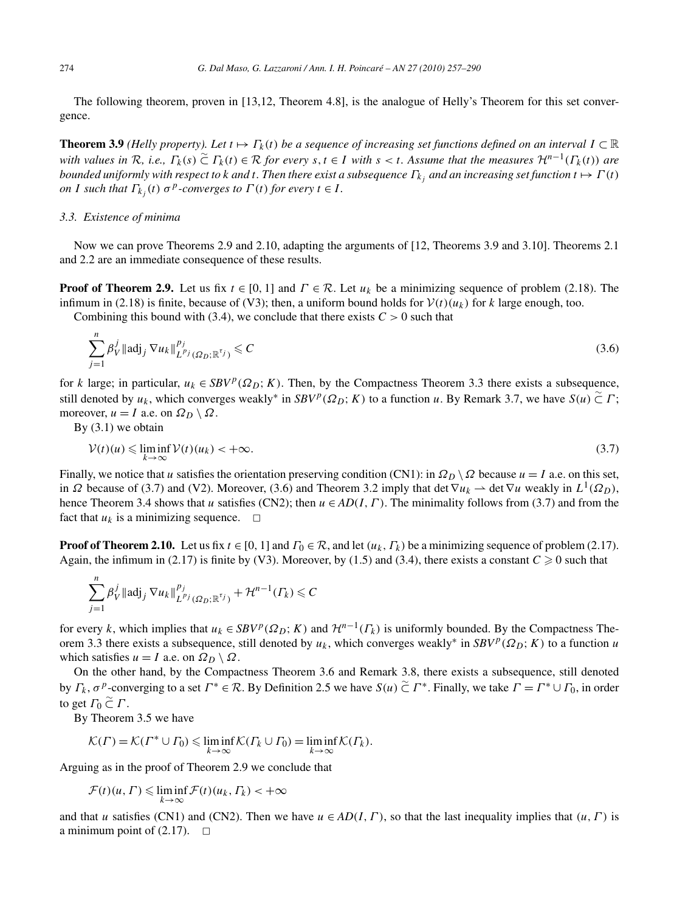The following theorem, proven in [13,12, Theorem 4.8], is the analogue of Helly's Theorem for this set convergence.

**Theorem 3.9** *(Helly property). Let*  $t \mapsto \Gamma_k(t)$  *be a sequence of increasing set functions defined on an interval*  $I \subset \mathbb{R}$ *with values in*  $\mathcal{R}$ *, i.e.,*  $\Gamma_k(s) \in \Gamma_k(t) \in \mathcal{R}$  *for every*  $s, t \in I$  *with*  $s < t$ *. Assume that the measures*  $\mathcal{H}^{n-1}(\Gamma_k(t))$  *are bounded uniformly with respect to k and t. Then there exist a subsequence*  $\Gamma_k$ *, and an increasing set function*  $t \mapsto \Gamma(t)$ *on I* such that  $\Gamma_{k_i}(t)$   $\sigma^p$ -converges to  $\Gamma(t)$  for every  $t \in I$ .

# *3.3. Existence of minima*

Now we can prove Theorems 2.9 and 2.10, adapting the arguments of [12, Theorems 3.9 and 3.10]. Theorems 2.1 and 2.2 are an immediate consequence of these results.

**Proof of Theorem 2.9.** Let us fix  $t \in [0, 1]$  and  $\Gamma \in \mathcal{R}$ . Let  $u_k$  be a minimizing sequence of problem (2.18). The infimum in (2.18) is finite, because of (V3); then, a uniform bound holds for  $V(t)(u_k)$  for *k* large enough, too.

Combining this bound with (3.4), we conclude that there exists  $C > 0$  such that

$$
\sum_{j=1}^{n} \beta_V^j \|\text{adj}_j \nabla u_k\|_{L^{p_j}(\Omega_D; \mathbb{R}^{r_j})}^{p_j} \leq C
$$
\n(3.6)

for *k* large; in particular,  $u_k \in SBV^p(\Omega_D; K)$ . Then, by the Compactness Theorem 3.3 there exists a subsequence, still denoted by  $u_k$ , which converges weakly<sup>\*</sup> in  $SBV^p(\Omega_D; K)$  to a function *u*. By Remark 3.7, we have  $S(u) \stackrel{\sim}{\subset} \Gamma$ ; moreover,  $u = I$  a.e. on  $\Omega_D \setminus \Omega$ .

By  $(3.1)$  we obtain

*n*

$$
\mathcal{V}(t)(u) \leq \liminf_{k \to \infty} \mathcal{V}(t)(u_k) < +\infty. \tag{3.7}
$$

Finally, we notice that *u* satisfies the orientation preserving condition (CN1): in  $\Omega_D \setminus \Omega$  because  $u = I$  a.e. on this set, in *Ω* because of (3.7) and (V2). Moreover, (3.6) and Theorem 3.2 imply that det  $\nabla u_k \rightharpoonup$  det  $\nabla u$  weakly in  $L^1(\Omega_D)$ , hence Theorem 3.4 shows that *u* satisfies (CN2); then *u* ∈ *AD(I,Γ )*. The minimality follows from (3.7) and from the fact that  $u_k$  is a minimizing sequence.  $\Box$ 

**Proof of Theorem 2.10.** Let us fix  $t \in [0, 1]$  and  $\Gamma_0 \in \mathcal{R}$ , and let  $(u_k, \Gamma_k)$  be a minimizing sequence of problem (2.17). Again, the infimum in (2.17) is finite by (V3). Moreover, by (1.5) and (3.4), there exists a constant  $C \ge 0$  such that

$$
\sum_{j=1}^{n} \beta_V^j \|\text{adj}_j \nabla u_k\|_{L^{p_j}(\Omega_D;\mathbb{R}^{\tau_j})}^{p_j} + \mathcal{H}^{n-1}(\Gamma_k) \leq C
$$

for every *k*, which implies that  $u_k \in SBV^p(\Omega_D; K)$  and  $\mathcal{H}^{n-1}(\Gamma_k)$  is uniformly bounded. By the Compactness Theorem 3.3 there exists a subsequence, still denoted by  $u_k$ , which converges weakly<sup>\*</sup> in *SBV<sup>p</sup>*( $\Omega_D$ ; *K*) to a function *u* which satisfies  $u = I$  a.e. on  $\Omega_D \setminus \Omega$ .

On the other hand, by the Compactness Theorem 3.6 and Remark 3.8, there exists a subsequence, still denoted by  $\Gamma_k$ ,  $\sigma^p$ -converging to a set  $\Gamma^* \in \mathcal{R}$ . By Definition 2.5 we have  $S(u) \subset \Gamma^*$ . Finally, we take  $\Gamma = \Gamma^* \cup \Gamma_0$ , in order to get  $\Gamma_0 \stackrel{\sim}{\subset} \Gamma$ .

By Theorem 3.5 we have

$$
\mathcal{K}(\Gamma) = \mathcal{K}(\Gamma^* \cup \Gamma_0) \leqslant \liminf_{k \to \infty} \mathcal{K}(\Gamma_k \cup \Gamma_0) = \liminf_{k \to \infty} \mathcal{K}(\Gamma_k).
$$

Arguing as in the proof of Theorem 2.9 we conclude that

$$
\mathcal{F}(t)(u,\Gamma) \leq \liminf_{k \to \infty} \mathcal{F}(t)(u_k,\Gamma_k) < +\infty
$$

and that *u* satisfies (CN1) and (CN2). Then we have  $u \in AD(I, \Gamma)$ , so that the last inequality implies that  $(u, \Gamma)$  is a minimum point of  $(2.17)$ .  $\Box$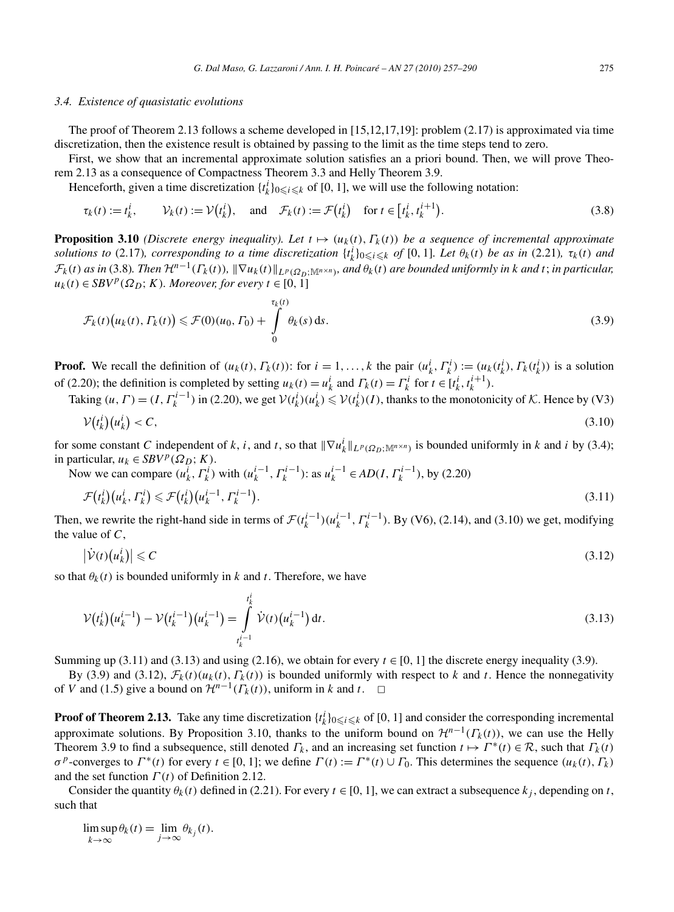#### *3.4. Existence of quasistatic evolutions*

The proof of Theorem 2.13 follows a scheme developed in [15,12,17,19]: problem (2.17) is approximated via time discretization, then the existence result is obtained by passing to the limit as the time steps tend to zero.

First, we show that an incremental approximate solution satisfies an a priori bound. Then, we will prove Theorem 2.13 as a consequence of Compactness Theorem 3.3 and Helly Theorem 3.9.

Henceforth, given a time discretization  $\{t_k^i\}_{0 \leq i \leq k}$  of [0, 1], we will use the following notation:

$$
\tau_k(t) := t_k^i, \qquad \mathcal{V}_k(t) := \mathcal{V}\left(t_k^i\right), \quad \text{and} \quad \mathcal{F}_k(t) := \mathcal{F}\left(t_k^i\right) \quad \text{for } t \in \left[t_k^i, t_k^{i+1}\right). \tag{3.8}
$$

**Proposition 3.10** *(Discrete energy inequality). Let*  $t \mapsto (u_k(t), \Gamma_k(t))$  *be a sequence of incremental approximate* solutions to (2.17), corresponding to a time discretization  $\{t_k^i\}_{0\leq i\leq k}$  of [0, 1]. Let  $\theta_k(t)$  be as in (2.21),  $\tau_k(t)$  and  $\mathcal{F}_k(t)$  as in (3.8). Then  $\mathcal{H}^{n-1}(\Gamma_k(t))$ ,  $\|\nabla u_k(t)\|_{L^p(\Omega_D; \mathbb{M}^{n \times n})}$ , and  $\theta_k(t)$  are bounded uniformly in k and t; in particular,  $u_k(t) \in SBV^p(\Omega_D; K)$ *. Moreover, for every*  $t \in [0, 1]$ 

$$
\mathcal{F}_k(t)\big(u_k(t),\Gamma_k(t)\big) \leqslant \mathcal{F}(0)(u_0,\Gamma_0) + \int\limits_0^{\tau_k(t)} \theta_k(s)\,\mathrm{d}s. \tag{3.9}
$$

**Proof.** We recall the definition of  $(u_k(t), \Gamma_k(t))$ : for  $i = 1, ..., k$  the pair  $(u_k^i, \Gamma_k^i) := (u_k(t_k^i), \Gamma_k(t_k^i))$  is a solution of (2.20); the definition is completed by setting  $u_k(t) = u_k^i$  and  $\Gamma_k(t) = \Gamma_k^i$  for  $t \in [t_k^i, t_k^{i+1})$ .

Taking  $(u, \Gamma) = (I, \Gamma_k^{i-1})$  in (2.20), we get  $V(t_k^i)(u_k^i) \leq V(t_k^i)(I)$ , thanks to the monotonicity of K. Hence by (V3)

$$
\mathcal{V}(t_k^i)(u_k^i) < C,\tag{3.10}
$$

for some constant *C* independent of *k*, *i*, and *t*, so that  $\|\nabla u_k^i\|_{L^p(\Omega_D; \mathbb{M}^{n \times n})}$  is bounded uniformly in *k* and *i* by (3.4); in particular,  $u_k \in SBV^p(\Omega_D; K)$ .

Now we can compare  $(u_k^i, \Gamma_k^i)$  with  $(u_k^{i-1}, \Gamma_k^{i-1})$ : as  $u_k^{i-1} \in AD(I, \Gamma_k^{i-1})$ , by (2.20)

$$
\mathcal{F}(t_k^i)(u_k^i, \Gamma_k^i) \le \mathcal{F}(t_k^i)(u_k^{i-1}, \Gamma_k^{i-1}).
$$
\n(3.11)

Then, we rewrite the right-hand side in terms of  $\mathcal{F}(t_k^{i-1})(u_k^{i-1}, \Gamma_k^{i-1})$ . By (V6), (2.14), and (3.10) we get, modifying the value of *C*,

$$
|\dot{\mathcal{V}}(t)(u_k^i)| \leqslant C \tag{3.12}
$$

so that  $\theta_k(t)$  is bounded uniformly in *k* and *t*. Therefore, we have

$$
\mathcal{V}(t_k^i)(u_k^{i-1}) - \mathcal{V}(t_k^{i-1})(u_k^{i-1}) = \int\limits_{t_k^{i-1}}^{t_k^i} \dot{\mathcal{V}}(t)(u_k^{i-1}) dt.
$$
\n(3.13)

Summing up (3.11) and (3.13) and using (2.16), we obtain for every  $t \in [0, 1]$  the discrete energy inequality (3.9).

By (3.9) and (3.12),  $\mathcal{F}_k(t)(u_k(t), \Gamma_k(t))$  is bounded uniformly with respect to *k* and *t*. Hence the nonnegativity of *V* and (1.5) give a bound on  $\mathcal{H}^{n-1}(F_k(t))$ , uniform in *k* and *t*.  $\Box$ 

**Proof of Theorem 2.13.** Take any time discretization  $\{t_k^i\}_{0\leq i\leq k}$  of [0, 1] and consider the corresponding incremental approximate solutions. By Proposition 3.10, thanks to the uniform bound on  $\mathcal{H}^{n-1}(\Gamma_k(t))$ , we can use the Helly Theorem 3.9 to find a subsequence, still denoted  $\Gamma_k$ , and an increasing set function  $t \mapsto \Gamma^*(t) \in \mathcal{R}$ , such that  $\Gamma_k(t)$ *σ*<sup>*p*</sup>-converges to *Γ*<sup>\*</sup>(*t*) for every *t* ∈ [0, 1]; we define *Γ*(*t*) := *Γ*<sup>\*</sup>(*t*)</sub> ∪ *Γ*<sub>0</sub>. This determines the sequence (*u<sub>k</sub>*(*t*), *Γ<sub>k</sub>*) and the set function *Γ (t)* of Definition 2.12.

Consider the quantity  $\theta_k(t)$  defined in (2.21). For every  $t \in [0, 1]$ , we can extract a subsequence  $k_j$ , depending on *t*, such that

lim sup  $\limsup_{k \to \infty} \theta_k(t) = \lim_{j \to \infty} \theta_{k_j}(t).$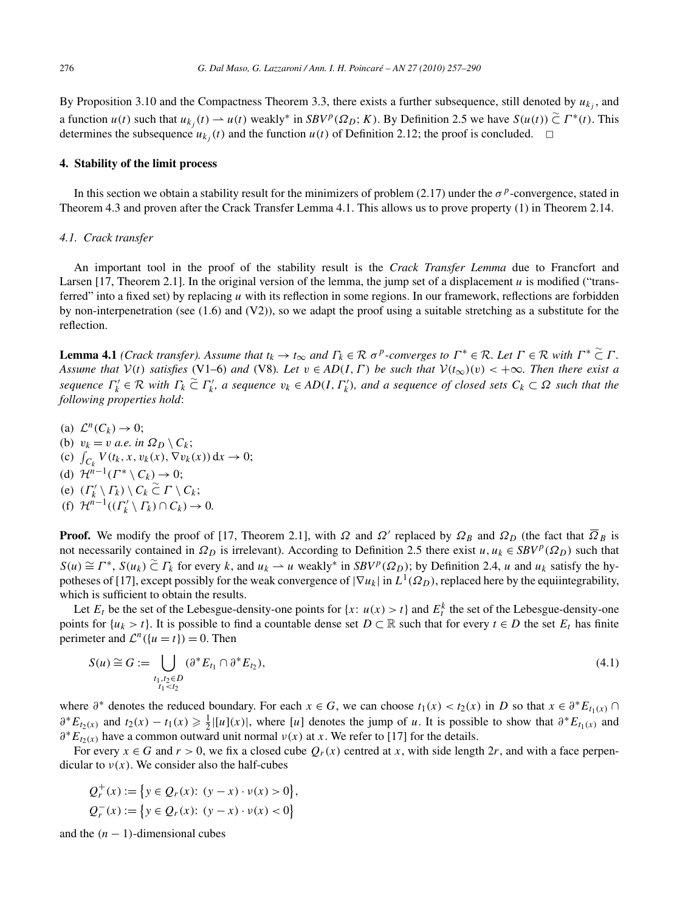By Proposition 3.10 and the Compactness Theorem 3.3, there exists a further subsequence, still denoted by  $u_{k_i}$ , and a function *u(t)* such that  $u_{k_j}(t) \to u(t)$  weakly<sup>\*</sup> in *SBV<sup>p</sup>(Ω<sub>D</sub>*; *K)*. By Definition 2.5 we have  $S(u(t)) \tilde{\subset} \Gamma^*(t)$ . This determines the subsequence  $u_{k_i}(t)$  and the function  $u(t)$  of Definition 2.12; the proof is concluded.  $\Box$ 

## **4. Stability of the limit process**

In this section we obtain a stability result for the minimizers of problem (2.17) under the *σ <sup>p</sup>*-convergence, stated in Theorem 4.3 and proven after the Crack Transfer Lemma 4.1. This allows us to prove property (1) in Theorem 2.14.

# *4.1. Crack transfer*

An important tool in the proof of the stability result is the *Crack Transfer Lemma* due to Francfort and Larsen [17, Theorem 2.1]. In the original version of the lemma, the jump set of a displacement *u* is modified ("transferred" into a fixed set) by replacing *u* with its reflection in some regions. In our framework, reflections are forbidden by non-interpenetration (see (1.6) and (V2)), so we adapt the proof using a suitable stretching as a substitute for the reflection.

**Lemma 4.1** *(Crack transfer). Assume that*  $t_k \to t_\infty$  *and*  $\Gamma_k \in \mathbb{R}$  *σ*<sup>*p*</sup>-converges to  $\Gamma^* \in \mathbb{R}$ . Let  $\Gamma \in \mathbb{R}$  with  $\Gamma^* \subset \Gamma$ . *Assume that*  $V(t)$  *satisfies* (V1–6) *and* (V8)*. Let*  $v \in AD(I, \Gamma)$  *be such that*  $V(t_{\infty})(v) < +\infty$ *. Then there exist a* sequence  $\Gamma'_k \in \mathcal{R}$  with  $\Gamma_k \stackrel{\sim}{\subset} \Gamma'_k$ , a sequence  $v_k \in AD(I, \Gamma'_k)$ , and a sequence of closed sets  $C_k \subset \Omega$  such that the *following properties hold*:

(a)  $\mathcal{L}^n(C_k) \to 0;$ (b)  $v_k = v$  *a.e.* in  $\Omega_D \setminus C_k$ ; (c)  $\int_{C_k} V(t_k, x, v_k(x), \nabla v_k(x)) dx \to 0;$ (d)  $\mathcal{H}^{n-1}(\Gamma^* \setminus C_k) \to 0;$ (e)  $(\Gamma_k' \setminus \Gamma_k) \setminus C_k \subset \Gamma \setminus C_k$ ; (f)  $\mathcal{H}^{n-1}((\Gamma'_k \setminus \Gamma_k) \cap C_k) \to 0.$ 

**Proof.** We modify the proof of [17, Theorem 2.1], with  $\Omega$  and  $\Omega'$  replaced by  $\Omega_B$  and  $\Omega_D$  (the fact that  $\overline{\Omega}_B$  is not necessarily contained in  $\Omega_D$  is irrelevant). According to Definition 2.5 there exist  $u, u_k \in SBV^p(\Omega_D)$  such that  $S(u) \cong \Gamma^*$ ,  $S(u_k) \cong \Gamma_k$  for every *k*, and  $u_k \to u$  weakly<sup>\*</sup> in *SBV<sup>p</sup>*( $\Omega_D$ ); by Definition 2.4, *u* and  $u_k$  satisfy the hypotheses of [17], except possibly for the weak convergence of  $|\nabla u_k|$  in  $L^1(\Omega_D)$ , replaced here by the equiintegrability, which is sufficient to obtain the results.

Let  $E_t$  be the set of the Lebesgue-density-one points for  $\{x: u(x) > t\}$  and  $E_t^k$  the set of the Lebesgue-density-one points for  $\{u_k > t\}$ . It is possible to find a countable dense set  $D \subset \mathbb{R}$  such that for every  $t \in D$  the set  $E_t$  has finite perimeter and  $\mathcal{L}^n({u = t}) = 0$ . Then

$$
S(u) \cong G := \bigcup_{\substack{t_1, t_2 \in D \\ t_1 < t_2}} (\partial^* E_{t_1} \cap \partial^* E_{t_2}), \tag{4.1}
$$

where  $\partial^*$  denotes the reduced boundary. For each  $x \in G$ , we can choose  $t_1(x) < t_2(x)$  in *D* so that  $x \in \partial^* E_{t_1(x)}$  $\partial^* E_{t_2(x)}$  and  $t_2(x) - t_1(x) \ge \frac{1}{2} |[u](x)|$ , where [*u*] denotes the jump of *u*. It is possible to show that  $\partial^* E_{t_1(x)}$  and  $∂<sup>*</sup>E<sub>t<sub>2</sub>(x)</sub>$  have a common outward unit normal *v*(*x*) at *x*. We refer to [17] for the details.

For every  $x \in G$  and  $r > 0$ , we fix a closed cube  $Q_r(x)$  centred at x, with side length  $2r$ , and with a face perpendicular to  $v(x)$ . We consider also the half-cubes

$$
Q_r^+(x) := \{ y \in Q_r(x): (y - x) \cdot v(x) > 0 \},
$$
  

$$
Q_r^-(x) := \{ y \in Q_r(x): (y - x) \cdot v(x) < 0 \}
$$

and the  $(n - 1)$ -dimensional cubes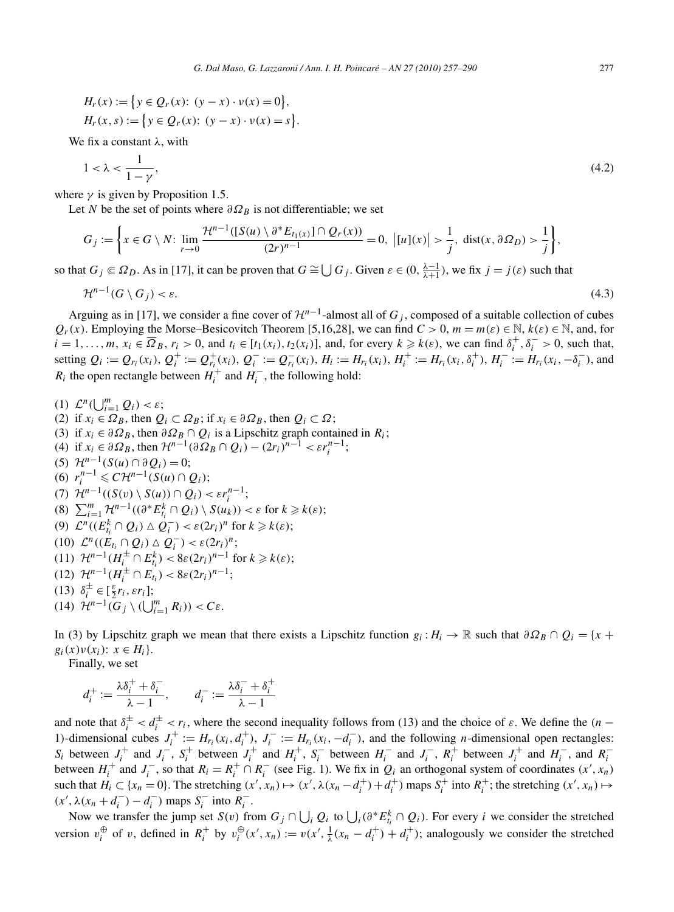$$
H_r(x) := \{ y \in Q_r(x): (y - x) \cdot v(x) = 0 \},
$$
  
\n
$$
H_r(x, s) := \{ y \in Q_r(x): (y - x) \cdot v(x) = s \}.
$$

We fix a constant *λ*, with

$$
1 < \lambda < \frac{1}{1 - \gamma},\tag{4.2}
$$

where  $\gamma$  is given by Proposition 1.5.

Let *N* be the set of points where  $\partial \Omega_B$  is not differentiable; we set

$$
G_j := \left\{ x \in G \setminus N: \lim_{r \to 0} \frac{\mathcal{H}^{n-1}([S(u) \setminus \partial^* E_{t_1(x)}] \cap Q_r(x))}{(2r)^{n-1}} = 0, \ |[u](x)| > \frac{1}{j}, \ \text{dist}(x, \partial \Omega_D) > \frac{1}{j} \right\},\
$$

so that  $G_j \\\in \Omega_D$ . As in [17], it can be proven that  $G \cong \bigcup G_j$ . Given  $\varepsilon \in (0, \frac{\lambda - 1}{\lambda + 1})$ , we fix  $j = j(\varepsilon)$  such that

$$
\mathcal{H}^{n-1}(G \setminus G_j) < \varepsilon. \tag{4.3}
$$

Arguing as in [17], we consider a fine cover of  $\mathcal{H}^{n-1}$ -almost all of  $G_j$ , composed of a suitable collection of cubes  $Q_r(x)$ . Employing the Morse–Besicovitch Theorem [5,16,28], we can find  $C > 0$ ,  $m = m(\varepsilon) \in \mathbb{N}$ ,  $k(\varepsilon) \in \mathbb{N}$ , and, for  $i = 1, ..., m$ ,  $x_i \in \overline{\Omega}_B$ ,  $r_i > 0$ , and  $t_i \in [t_1(x_i), t_2(x_i)]$ , and, for every  $k \ge k(\varepsilon)$ , we can find  $\delta_i^+, \delta_i^- > 0$ , such that, setting  $Q_i := Q_{r_i}(x_i)$ ,  $Q_i^+ := Q_{r_i}^+(x_i)$ ,  $Q_i^- := Q_{r_i}^-(x_i)$ ,  $H_i := H_{r_i}(x_i)$ ,  $H_i^+ := H_{r_i}(x_i, \delta_i^+)$ ,  $H_i^- := H_{r_i}(x_i, -\delta_i^-)$ , and *R<sub>i</sub>* the open rectangle between  $H_i^+$  and  $H_i^-$ , the following hold:

(1)  $\mathcal{L}^n(\bigcup_{i=1}^m Q_i) < \varepsilon;$ (2) if  $x_i \in \Omega_B$ , then  $Q_i \subset \Omega_B$ ; if  $x_i \in \partial \Omega_B$ , then  $Q_i \subset \Omega$ ; (3) if  $x_i \in \partial \Omega_B$ , then  $\partial \Omega_B \cap Q_i$  is a Lipschitz graph contained in  $R_i$ ; (4) if  $x_i \in \partial \Omega_B$ , then  $\mathcal{H}^{n-1}(\partial \Omega_B \cap Q_i) - (2r_i)^{n-1} < \varepsilon r_i^{n-1}$ ; (5)  $\mathcal{H}^{n-1}(S(u) \cap \partial Q_i) = 0;$  $f_i^{n-1}$  ≤  $C\mathcal{H}^{n-1}(S(u) \cap Q_i);$ (7)  $\mathcal{H}^{n-1}((S(v) \setminus S(u)) \cap Q_i) < \varepsilon r_i^{n-1};$ (8)  $\sum_{i=1}^{m} \mathcal{H}^{n-1}((\partial^* E_{t_i}^k \cap Q_i) \setminus S(u_k)) < \varepsilon$  for  $k \geq k(\varepsilon)$ ; (9)  $\mathcal{L}^n((E_{t_i}^k \cap Q_i) \triangle \dot{Q}_i^-) < \varepsilon(2r_i)^n$  for  $k \geqslant k(\varepsilon);$ (10)  $\mathcal{L}^n((E_{t_i} \cap Q_i) \triangle Q_i^-) < \varepsilon(2r_i)^n;$ (11)  $\mathcal{H}^{n-1}(H_i^{\pm} \cap E_{t_i}^k) < 8\varepsilon(2r_i)^{n-1}$  for  $k \ge k(\varepsilon)$ ;  $(12)$   $\mathcal{H}^{n-1}(H_i^{\pm} \cap E_{t_i}) < 8\varepsilon(2r_i)^{n-1};$ (13)  $\delta_i^{\pm} \in \left[\frac{\varepsilon}{2}r_i, \varepsilon r_i\right];$ (14)  $\mathcal{H}^{n-1}(G_j \setminus (\bigcup_{i=1}^m R_i)) < C\varepsilon$ .

In (3) by Lipschitz graph we mean that there exists a Lipschitz function  $g_i : H_i \to \mathbb{R}$  such that  $\partial \Omega_B \cap Q_i = \{x +$  $g_i(x)v(x_i)$ :  $x \in H_i$ .

Finally, we set

$$
d_i^+:=\frac{\lambda\delta_i^++\delta_i^-}{\lambda-1},\qquad d_i^-:=\frac{\lambda\delta_i^-+\delta_i^+}{\lambda-1}
$$

and note that  $\delta_i^{\pm} < d_i^{\pm} < r_i$ , where the second inequality follows from (13) and the choice of  $\varepsilon$ . We define the  $(n -$ 1)-dimensional cubes  $J_i^+ := H_{r_i}(x_i, d_i^+)$ ,  $J_i^- := H_{r_i}(x_i, -d_i^-)$ , and the following *n*-dimensional open rectangles:  $S_i$  between  $J_i^+$  and  $J_i^-$ ,  $S_i^+$  between  $J_i^+$  and  $H_i^+$ ,  $S_i^-$  between  $H_i^-$  and  $J_i^-$ ,  $R_i^+$  between  $J_i^+$  and  $H_i^-$ , and  $R_i^$ between  $H_i^+$  and  $J_i^-$ , so that  $R_i = R_i^+ \cap R_i^-$  (see Fig. 1). We fix in  $Q_i$  an orthogonal system of coordinates  $(x', x_n)$ such that  $H_i \subset \{x_n = 0\}$ . The stretching  $(x', x_n) \mapsto (x', \lambda(x_n - d_i^+) + d_i^+)$  maps  $S_i^+$  into  $R_i^+$ ; the stretching  $(x', x_n) \mapsto$  $(x', \lambda(x_n + d_i^-) - d_i^-)$  maps  $S_i^-$  into  $R_i^-$ .

Now we transfer the jump set  $S(v)$  from  $G_j \cap \bigcup_i Q_i$  to  $\bigcup_i (\partial^* E_{t_i}^k \cap Q_i)$ . For every *i* we consider the stretched version  $v_i^{\oplus}$  of v, defined in  $R_i^+$  by  $v_i^{\oplus}(x', x_n) := v(x', \frac{1}{\lambda}(x_n - d_i^+) + d_i^+)$ ; analogously we consider the stretched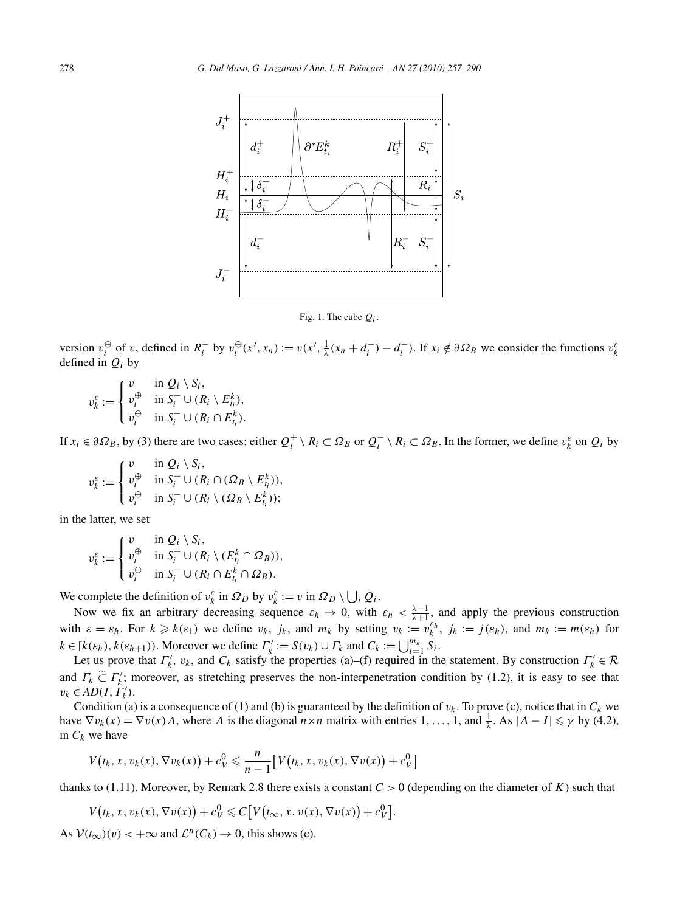

Fig. 1. The cube *Qi*.

version  $v_i^{\ominus}$  of v, defined in  $R_i^-$  by  $v_i^{\ominus}(x', x_n) := v(x', \frac{1}{\lambda}(x_n + d_i^-) - d_i^-)$ . If  $x_i \notin \partial \Omega_B$  we consider the functions  $v_k^{\ominus}$ defined in *Qi* by

$$
v_k^{\varepsilon} := \begin{cases} v & \text{in } Q_i \setminus S_i, \\ v_i^{\oplus} & \text{in } S_i^+ \cup (R_i \setminus E_{t_i}^k), \\ v_i^{\ominus} & \text{in } S_i^- \cup (R_i \cap E_{t_i}^k). \end{cases}
$$

If  $x_i \in \partial \Omega_B$ , by (3) there are two cases: either  $Q_i^+ \setminus R_i \subset \Omega_B$  or  $Q_i^- \setminus R_i \subset \Omega_B$ . In the former, we define  $v_k^{\varepsilon}$  on  $Q_i$  by

$$
v_k^{\varepsilon} := \begin{cases} v & \text{in } Q_i \setminus S_i, \\ v_i^{\oplus} & \text{in } S_i^+ \cup (R_i \cap (\Omega_B \setminus E_{t_i}^k)), \\ v_i^{\ominus} & \text{in } S_i^- \cup (R_i \setminus (\Omega_B \setminus E_{t_i}^k)); \end{cases}
$$

in the latter, we set

$$
v_k^{\varepsilon} := \begin{cases} v & \text{in } Q_i \setminus S_i, \\ v_i^{\oplus} & \text{in } S_i^+ \cup (R_i \setminus (E_{t_i}^k \cap \Omega_B)), \\ v_i^{\ominus} & \text{in } S_i^- \cup (R_i \cap E_{t_i}^k \cap \Omega_B). \end{cases}
$$

We complete the definition of  $v_k^{\varepsilon}$  in  $\Omega_D$  by  $v_k^{\varepsilon} := v$  in  $\Omega_D \setminus \bigcup_i Q_i$ .

Now we fix an arbitrary decreasing sequence  $\varepsilon_h \to 0$ , with  $\varepsilon_h < \frac{\lambda - 1}{\lambda + 1}$ , and apply the previous construction with  $\varepsilon = \varepsilon_h$ . For  $k \geq k(\varepsilon_1)$  we define  $v_k$ ,  $j_k$ , and  $m_k$  by setting  $v_k := v_k^{\varepsilon_h}$ ,  $j_k := j(\varepsilon_h)$ , and  $m_k := m(\varepsilon_h)$  for  $k \in [k(\varepsilon_h), k(\varepsilon_{h+1}))$ . Moreover we define  $\Gamma'_k := S(v_k) \cup \Gamma_k$  and  $C_k := \bigcup_{i=1}^{m_k} \overline{S}_i$ .

Let us prove that  $\Gamma'_k$ ,  $v_k$ , and  $C_k$  satisfy the properties (a)–(f) required in the statement. By construction  $\Gamma'_k \in \mathcal{R}$ and  $\Gamma_k \nightharpoonup \Gamma'_k$ ; moreover, as stretching preserves the non-interpenetration condition by (1.2), it is easy to see that  $v_k \in AD(I, \tilde{\Gamma}'_k).$ 

Condition (a) is a consequence of (1) and (b) is guaranteed by the definition of  $v_k$ . To prove (c), notice that in  $C_k$  we have  $\nabla v_k(x) = \nabla v(x) \Lambda$ , where  $\Lambda$  is the diagonal  $n \times n$  matrix with entries  $1, \ldots, 1$ , and  $\frac{1}{\lambda}$ . As  $|\Lambda - I| \le \gamma$  by (4.2), in  $C_k$  we have

$$
V(t_k, x, v_k(x), \nabla v_k(x)) + c_V^0 \leqslant \frac{n}{n-1} \big[ V(t_k, x, v_k(x), \nabla v(x)) + c_V^0 \big]
$$

thanks to (1.11). Moreover, by Remark 2.8 there exists a constant  $C > 0$  (depending on the diameter of  $K$ ) such that

$$
V(t_k, x, v_k(x), \nabla v(x)) + c_V^0 \leqslant C \big[ V(t_\infty, x, v(x), \nabla v(x)) + c_V^0 \big].
$$

As  $V(t_{\infty})(v) < +\infty$  and  $\mathcal{L}^n(C_k) \to 0$ , this shows (c).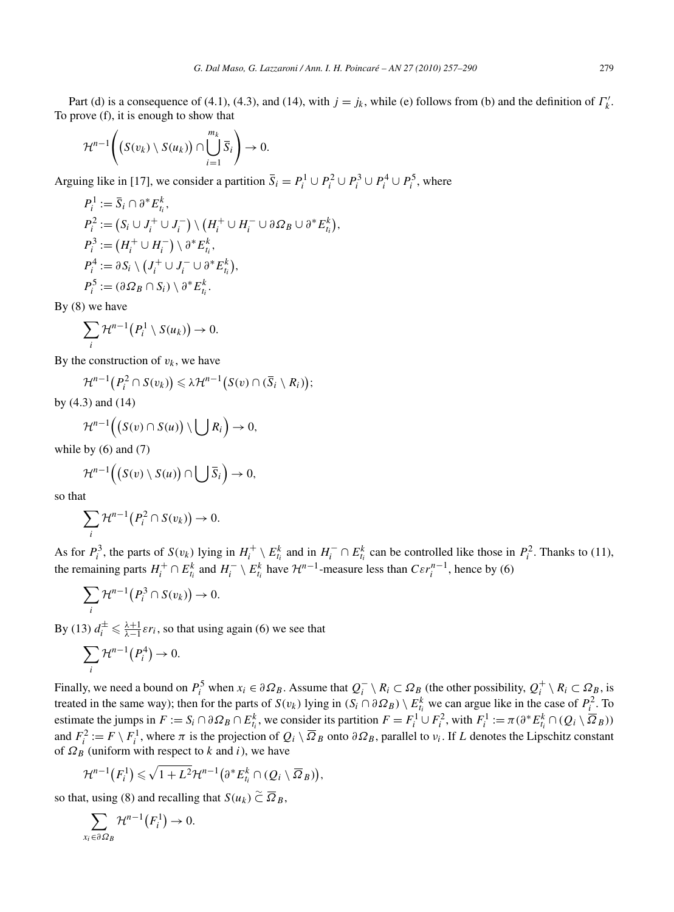Part (d) is a consequence of (4.1), (4.3), and (14), with  $j = j_k$ , while (e) follows from (b) and the definition of  $\Gamma'_k$ . To prove (f), it is enough to show that

$$
\mathcal{H}^{n-1}\bigg(\big(S(v_k)\setminus S(u_k)\big)\cap\bigcup_{i=1}^{m_k}\overline{S}_i\bigg)\to 0.
$$

Arguing like in [17], we consider a partition  $\overline{S}_i = P_i^1 \cup P_i^2 \cup P_i^3 \cup P_i^4 \cup P_i^5$ , where

$$
P_i^1 := \overline{S}_i \cap \partial^* E_{t_i}^k,
$$
  
\n
$$
P_i^2 := (S_i \cup J_i^+ \cup J_i^-) \setminus (H_i^+ \cup H_i^- \cup \partial \Omega_B \cup \partial^* E_{t_i}^k),
$$
  
\n
$$
P_i^3 := (H_i^+ \cup H_i^-) \setminus \partial^* E_{t_i}^k,
$$
  
\n
$$
P_i^4 := \partial S_i \setminus (J_i^+ \cup J_i^- \cup \partial^* E_{t_i}^k),
$$
  
\n
$$
P_i^5 := (\partial \Omega_B \cap S_i) \setminus \partial^* E_{t_i}^k.
$$

By (8) we have

$$
\sum_i \mathcal{H}^{n-1}\big(P_i^1 \setminus S(u_k)\big) \to 0.
$$

By the construction of  $v_k$ , we have

$$
\mathcal{H}^{n-1}\big(P_i^2\cap S(v_k)\big)\leqslant \lambda\mathcal{H}^{n-1}\big(S(v)\cap (\overline{S}_i\setminus R_i)\big);
$$

by (4.3) and (14)

$$
\mathcal{H}^{n-1}\Big(\big(S(v)\cap S(u)\big)\setminus\bigcup R_i\Big)\to 0,
$$

while by  $(6)$  and  $(7)$ 

$$
\mathcal{H}^{n-1}\Big(\big(S(v)\setminus S(u)\big)\cap\bigcup\overline{S}_i\Big)\to 0,
$$

so that

$$
\sum_i \mathcal{H}^{n-1}\big(P_i^2 \cap S(v_k)\big) \to 0.
$$

As for  $P_i^3$ , the parts of  $S(v_k)$  lying in  $H_i^+\setminus E_{t_i}^k$  and in  $H_i^-\cap E_{t_i}^k$  can be controlled like those in  $P_i^2$ . Thanks to (11), the remaining parts  $H_i^+ \cap E_{t_i}^k$  and  $H_i^- \setminus E_{t_i}^k$  have  $\mathcal{H}^{n-1}$ -measure less than  $C\varepsilon r_i^{n-1}$ , hence by (6)

$$
\sum_i \mathcal{H}^{n-1}(P_i^3 \cap S(v_k)) \to 0.
$$

By (13)  $d_i^{\pm} \le \frac{\lambda+1}{\lambda-1} \varepsilon r_i$ , so that using again (6) we see that

$$
\sum_i \mathcal{H}^{n-1}(P_i^4) \to 0.
$$

Finally, we need a bound on  $P_i^5$  when  $x_i \in \partial \Omega_B$ . Assume that  $Q_i^- \setminus R_i \subset \Omega_B$  (the other possibility,  $Q_i^+ \setminus R_i \subset \Omega_B$ , is treated in the same way); then for the parts of  $S(v_k)$  lying in  $(S_i \cap \partial \Omega_B) \setminus E_{t_i}^k$  we can argue like in the case of  $P_i^2$ . To estimate the jumps in  $F := S_i \cap \partial \Omega_B \cap E_{t_i}^k$ , we consider its partition  $F = F_i^1 \cup F_i^2$ , with  $F_i^1 := \pi(\partial^* E_{t_i}^k \cap (Q_i \setminus \overline{\Omega}_B))$ and  $F_i^2 := F \setminus F_i^1$ , where  $\pi$  is the projection of  $Q_i \setminus \overline{\Omega}_B$  onto  $\partial \Omega_B$ , parallel to  $v_i$ . If *L* denotes the Lipschitz constant of  $\Omega_B$  (uniform with respect to *k* and *i*), we have

$$
\mathcal{H}^{n-1}(F_i^1) \leqslant \sqrt{1+L^2}\mathcal{H}^{n-1}\big(\partial^*E_{t_i}^k\cap (Q_i\setminus\overline{\Omega}_B)\big),\,
$$

so that, using (8) and recalling that  $S(u_k) \overset{\sim}{\subset} \overline{\Omega}_B$ ,

$$
\sum_{x_i \in \partial \Omega_B} \mathcal{H}^{n-1}(F_i^1) \to 0.
$$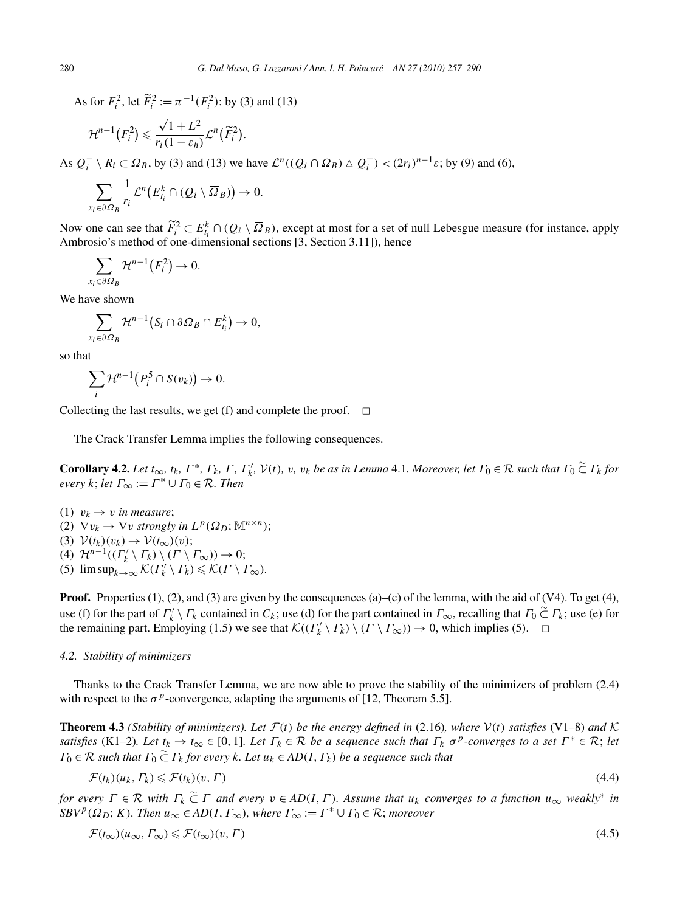As for  $F_i^2$ , let  $\tilde{F}_i^2 := \pi^{-1}(F_i^2)$ : by (3) and (13)

$$
\mathcal{H}^{n-1}(F_i^2) \leq \frac{\sqrt{1+L^2}}{r_i(1-\varepsilon_h)} \mathcal{L}^n(\widetilde{F}_i^2).
$$

As  $Q_i^- \setminus R_i \subset \Omega_B$ , by (3) and (13) we have  $\mathcal{L}^n((Q_i \cap \Omega_B) \triangle Q_i^-) < (2r_i)^{n-1}\varepsilon$ ; by (9) and (6),

$$
\sum_{x_i \in \partial \Omega_B} \frac{1}{r_i} \mathcal{L}^n \big( E_{t_i}^k \cap (Q_i \setminus \overline{\Omega}_B) \big) \to 0.
$$

Now one can see that  $\overline{F}_i^2 \subset E_{t_i}^k \cap (Q_i \setminus \overline{\Omega}_B)$ , except at most for a set of null Lebesgue measure (for instance, apply Ambrosio's method of one-dimensional sections [3, Section 3.11]), hence

$$
\sum_{x_i \in \partial \Omega_B} \mathcal{H}^{n-1}(F_i^2) \to 0.
$$

We have shown

$$
\sum_{x_i \in \partial \Omega_B} \mathcal{H}^{n-1}(S_i \cap \partial \Omega_B \cap E_{t_i}^k) \to 0,
$$

so that

$$
\sum_i \mathcal{H}^{n-1}(P_i^5 \cap S(v_k)) \to 0.
$$

Collecting the last results, we get (f) and complete the proof.  $\Box$ 

The Crack Transfer Lemma implies the following consequences.

**Corollary 4.2.** Let  $t_{\infty}$ ,  $t_k$ ,  $\Gamma^*$ ,  $\Gamma_k$ ,  $\Gamma$ ,  $\Gamma'_k$ ,  $\mathcal{V}(t)$ ,  $v$ ,  $v_k$  be as in Lemma 4.1. Moreover, let  $\Gamma_0 \in \mathcal{R}$  such that  $\Gamma_0 \subset \Gamma_k$  for *every k*; *let*  $\Gamma_{\infty} := \Gamma^* \cup \Gamma_0 \in \mathcal{R}$ *. Then* 

- (1)  $v_k \rightarrow v$  *in measure*;
- (2)  $\nabla v_k \to \nabla v$  *strongly in*  $L^p(\Omega_D; \mathbb{M}^{n \times n})$ ;
- (3)  $\mathcal{V}(t_k)(v_k) \rightarrow \mathcal{V}(t_\infty)(v);$
- (4)  $\mathcal{H}^{n-1}((\Gamma'_k \setminus \Gamma_k) \setminus (\Gamma \setminus \Gamma_\infty)) \to 0;$
- (5)  $\limsup_{k\to\infty} \mathcal{K}(F'_k \setminus F_k) \leq \mathcal{K}(F \setminus F_\infty)$ *.*

**Proof.** Properties (1), (2), and (3) are given by the consequences (a)–(c) of the lemma, with the aid of (V4). To get (4), use (f) for the part of  $\Gamma_k' \setminus \Gamma_k$  contained in  $C_k$ ; use (d) for the part contained in  $\Gamma_\infty$ , recalling that  $\Gamma_0 \subset \Gamma_k$ ; use (e) for the remaining part. Employing (1.5) we see that  $\mathcal{K}((\Gamma_k' \setminus \Gamma_k) \setminus (\Gamma \setminus \Gamma_\infty)) \to 0$ , which implies (5).  $\Box$ 

# *4.2. Stability of minimizers*

Thanks to the Crack Transfer Lemma, we are now able to prove the stability of the minimizers of problem (2.4) with respect to the  $\sigma^p$ -convergence, adapting the arguments of [12, Theorem 5.5].

**Theorem 4.3** *(Stability of minimizers). Let*  $\mathcal{F}(t)$  *be the energy defined in* (2.16)*, where*  $\mathcal{V}(t)$  *satisfies* (V1–8*) and*  $\mathcal{K}$ *satisfies* (K1–2)*. Let*  $t_k \to t_\infty \in [0, 1]$ *. Let*  $\Gamma_k \in \mathcal{R}$  *be a sequence such that*  $\Gamma_k \sigma^p$ -converges to a set  $\Gamma^* \in \mathcal{R}$ ; let  $\Gamma_0 \in \mathcal{R}$  *such that*  $\Gamma_0 \subseteq \Gamma_k$  *for every*  $k$ *. Let*  $u_k \in AD(I, \Gamma_k)$  *be a sequence such that* 

$$
\mathcal{F}(t_k)(u_k, \Gamma_k) \leqslant \mathcal{F}(t_k)(v, \Gamma) \tag{4.4}
$$

*for every*  $\Gamma \in \mathcal{R}$  *with*  $\Gamma_k \subseteq \Gamma$  *and every*  $v \in AD(I, \Gamma)$ *. Assume that*  $u_k$  *converges to a function*  $u_\infty$  *weakly*<sup>\*</sup> *in SBV<sup>p</sup>*( $\Omega_D$ ; *K*)*. Then*  $u_{\infty} \in AD(I, \Gamma_{\infty})$ *, where*  $\Gamma_{\infty} := \Gamma^* \cup \Gamma_0 \in \mathcal{R}$ ; *moreover* 

$$
\mathcal{F}(t_{\infty})(u_{\infty}, \Gamma_{\infty}) \leq \mathcal{F}(t_{\infty})(v, \Gamma) \tag{4.5}
$$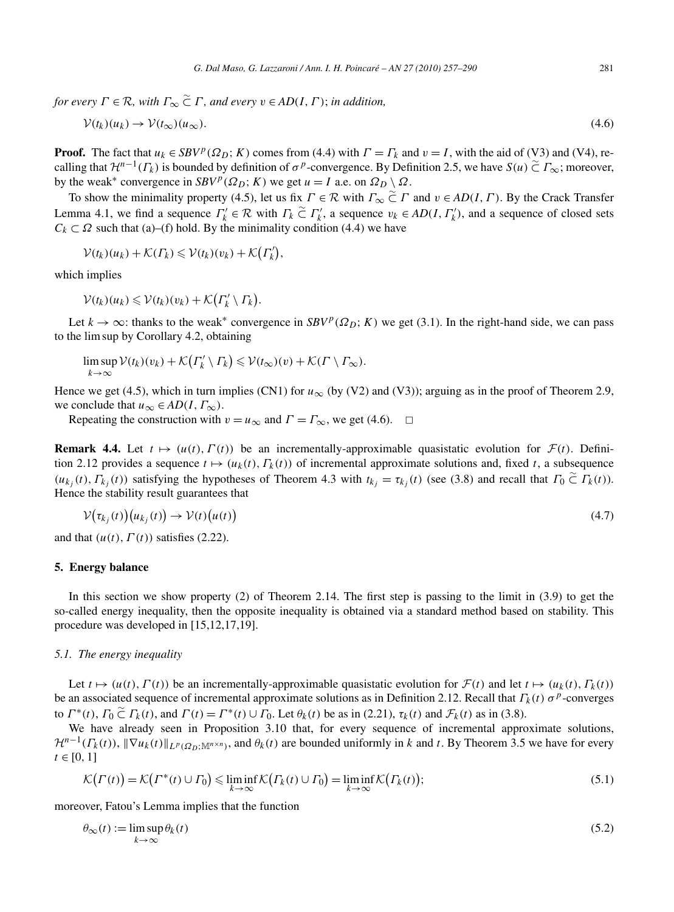*for every*  $\Gamma \in \mathcal{R}$ , with  $\Gamma_{\infty} \stackrel{\sim}{\subset} \Gamma$ , and every  $v \in AD(I, \Gamma)$ ; *in addition*,

$$
\mathcal{V}(t_k)(u_k) \to \mathcal{V}(t_\infty)(u_\infty). \tag{4.6}
$$

**Proof.** The fact that  $u_k \in SBV^p(\Omega_D; K)$  comes from (4.4) with  $\Gamma = \Gamma_k$  and  $v = I$ , with the aid of (V3) and (V4), recalling that  $\mathcal{H}^{n-1}(\Gamma_k)$  is bounded by definition of  $\sigma^p$ -convergence. By Definition 2.5, we have  $S(u) \subset \Gamma_\infty$ ; moreover, by the weak<sup>\*</sup> convergence in  $SBV^p(\Omega_D; K)$  we get  $u = I$  a.e. on  $\Omega_D \setminus \Omega$ .

To show the minimality property (4.5), let us fix  $\Gamma \in \mathcal{R}$  with  $\Gamma_{\infty} \stackrel{\sim}{\subset} \Gamma$  and  $v \in AD(I, \Gamma)$ . By the Crack Transfer Lemma 4.1, we find a sequence  $\Gamma_k' \in \mathcal{R}$  with  $\Gamma_k \subset \Gamma_k'$ , a sequence  $v_k \in AD(I, \Gamma_k')$ , and a sequence of closed sets  $C_k \subset \Omega$  such that (a)–(f) hold. By the minimality condition (4.4) we have

$$
\mathcal{V}(t_k)(u_k) + \mathcal{K}(T_k) \leq \mathcal{V}(t_k)(v_k) + \mathcal{K}(T'_k),
$$

which implies

$$
\mathcal{V}(t_k)(u_k) \leqslant \mathcal{V}(t_k)(v_k) + \mathcal{K}\bigl(\Gamma_k'\setminus\Gamma_k\bigr).
$$

Let  $k \to \infty$ : thanks to the weak<sup>\*</sup> convergence in *SBV<sup>p</sup>*( $\Omega_D$ ; *K*) we get (3.1). In the right-hand side, we can pass to the lim sup by Corollary 4.2, obtaining

$$
\limsup_{k\to\infty}\mathcal{V}(t_k)(v_k)+\mathcal{K}\big(\Gamma_k'\setminus\Gamma_k\big)\leqslant\mathcal{V}(t_\infty)(v)+\mathcal{K}(\Gamma\setminus\Gamma_\infty).
$$

Hence we get (4.5), which in turn implies (CN1) for  $u_{\infty}$  (by (V2) and (V3)); arguing as in the proof of Theorem 2.9, we conclude that  $u_{\infty} \in AD(I, \Gamma_{\infty})$ .

Repeating the construction with  $v = u_{\infty}$  and  $\Gamma = \Gamma_{\infty}$ , we get (4.6).  $\Box$ 

**Remark 4.4.** Let  $t \mapsto (u(t), \Gamma(t))$  be an incrementally-approximable quasistatic evolution for  $\mathcal{F}(t)$ . Definition 2.12 provides a sequence  $t \mapsto (u_k(t), \Gamma_k(t))$  of incremental approximate solutions and, fixed t, a subsequence  $(u_{k_j}(t), \Gamma_{k_j}(t))$  satisfying the hypotheses of Theorem 4.3 with  $t_{k_j} = \tau_{k_j}(t)$  (see (3.8) and recall that  $\Gamma_0 \subset \Gamma_k(t)$ ). Hence the stability result guarantees that

$$
\mathcal{V}(\tau_{k_j}(t))\big(u_{k_j}(t)\big) \to \mathcal{V}(t)\big(u(t)\big) \tag{4.7}
$$

and that  $(u(t), \Gamma(t))$  satisfies (2.22).

# **5. Energy balance**

In this section we show property (2) of Theorem 2.14. The first step is passing to the limit in (3.9) to get the so-called energy inequality, then the opposite inequality is obtained via a standard method based on stability. This procedure was developed in [15,12,17,19].

## *5.1. The energy inequality*

Let  $t \mapsto (u(t), \Gamma(t))$  be an incrementally-approximable quasistatic evolution for  $\mathcal{F}(t)$  and let  $t \mapsto (u_k(t), \Gamma_k(t))$ be an associated sequence of incremental approximate solutions as in Definition 2.12. Recall that  $\Gamma_k(t)$   $\sigma^p$ -converges to  $\Gamma^*(t)$ ,  $\Gamma_0 \subset \Gamma_k(t)$ , and  $\Gamma(t) = \Gamma^*(t) \cup \Gamma_0$ . Let  $\theta_k(t)$  be as in (2.21),  $\tau_k(t)$  and  $\mathcal{F}_k(t)$  as in (3.8).

We have already seen in Proposition 3.10 that, for every sequence of incremental approximate solutions,  $\mathcal{H}^{n-1}(F_k(t))$ ,  $\|\nabla u_k(t)\|_{L^p(\Omega_D;\mathbb{M}^{n\times n})}$ , and  $\theta_k(t)$  are bounded uniformly in *k* and *t*. By Theorem 3.5 we have for every *t* ∈ [0*,* 1]

$$
\mathcal{K}\big(\Gamma(t)\big) = \mathcal{K}\big(\Gamma^*(t) \cup \Gamma_0\big) \leq \liminf_{k \to \infty} \mathcal{K}\big(\Gamma_k(t) \cup \Gamma_0\big) = \liminf_{k \to \infty} \mathcal{K}\big(\Gamma_k(t)\big);
$$
\n(5.1)

moreover, Fatou's Lemma implies that the function

$$
\theta_{\infty}(t) := \limsup_{k \to \infty} \theta_k(t) \tag{5.2}
$$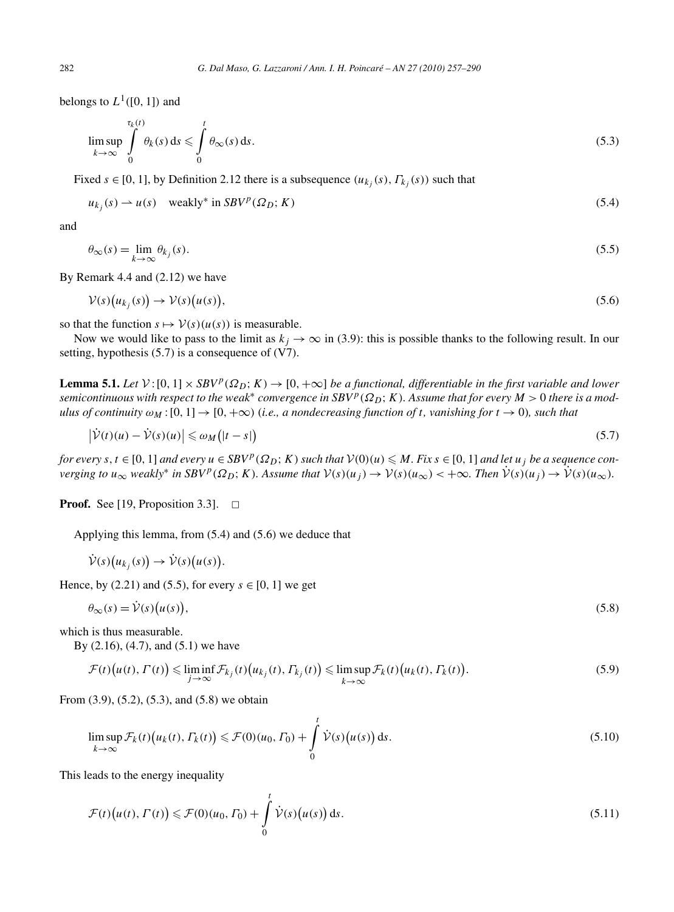belongs to  $L^1([0, 1])$  and

$$
\limsup_{k \to \infty} \int_{0}^{\tau_k(t)} \theta_k(s) \, ds \leqslant \int_{0}^{t} \theta_{\infty}(s) \, ds. \tag{5.3}
$$

Fixed  $s \in [0, 1]$ , by Definition 2.12 there is a subsequence  $(u_{k_i}(s), \Gamma_{k_i}(s))$  such that

$$
u_{k_j}(s) \rightharpoonup u(s) \quad \text{weakly* in } SBV^p(\Omega_D; K) \tag{5.4}
$$

and

$$
\theta_{\infty}(s) = \lim_{k \to \infty} \theta_{k_j}(s). \tag{5.5}
$$

By Remark 4.4 and (2.12) we have

$$
\mathcal{V}(s)\big(u_{k_j}(s)\big) \to \mathcal{V}(s)\big(u(s)\big),\tag{5.6}
$$

so that the function  $s \mapsto \mathcal{V}(s)(u(s))$  is measurable.

Now we would like to pass to the limit as  $k_j \to \infty$  in (3.9): this is possible thanks to the following result. In our setting, hypothesis (5.7) is a consequence of (V7).

**Lemma 5.1.** *Let*  $V$  : [0, 1]  $\times$  *SBV<sup>p</sup>*( $\Omega_D$ ; *K*)  $\rightarrow$  [0,  $+\infty$ ] *be a functional, differentiable in the first variable and lower*  $s$ *emicontinuous with respect to the weak<sup>∗</sup> <i>convergence in SBV<sup>p</sup>(* $\Omega_p$ *; K). Assume that for every*  $M > 0$  *there is a modulus of continuity*  $\omega_M$ : [0, 1]  $\rightarrow$  [0,  $+\infty$ ) (*i.e., a nondecreasing function of t, vanishing for*  $t \rightarrow 0$ *), such that* 

$$
\left|\dot{\mathcal{V}}(t)(u) - \dot{\mathcal{V}}(s)(u)\right| \leq \omega_M \left(|t - s|\right) \tag{5.7}
$$

for every s,  $t \in [0, 1]$  and every  $u \in SBV^p(\Omega_D; K)$  such that  $V(0)(u) \leq M$ . Fix  $s \in [0, 1]$  and let  $u_j$  be a sequence con*verging to*  $u_{\infty}$  *weakly*<sup>\*</sup> *in SBV*<sup>*p*</sup>( $\Omega_D$ ; *K*)*. Assume that*  $V(s)(u_i) \to V(s)(u_{\infty}) < +\infty$ *. Then*  $\dot{V}(s)(u_i) \to \dot{V}(s)(u_{\infty})$ *.* 

**Proof.** See [19, Proposition 3.3].  $\Box$ 

Applying this lemma, from (5.4) and (5.6) we deduce that

$$
\dot{\mathcal{V}}(s)(u_{k_j}(s)) \to \dot{\mathcal{V}}(s)(u(s)).
$$

Hence, by (2.21) and (5.5), for every  $s \in [0, 1]$  we get

$$
\theta_{\infty}(s) = \dot{\mathcal{V}}(s)\big(u(s)\big),\tag{5.8}
$$

which is thus measurable.

 $\ddot{\phantom{0}}$ 

By (2.16), (4.7), and (5.1) we have

$$
\mathcal{F}(t)\big(u(t),\,\Gamma(t)\big) \leqslant \liminf_{j\to\infty} \mathcal{F}_{k_j}(t)\big(u_{k_j}(t),\,\Gamma_{k_j}(t)\big) \leqslant \limsup_{k\to\infty} \mathcal{F}_k(t)\big(u_k(t),\,\Gamma_k(t)\big). \tag{5.9}
$$

From (3.9), (5.2), (5.3), and (5.8) we obtain

$$
\limsup_{k \to \infty} \mathcal{F}_k(t) \big( u_k(t), \Gamma_k(t) \big) \leqslant \mathcal{F}(0) (u_0, \Gamma_0) + \int_0^t \dot{\mathcal{V}}(s) \big( u(s) \big) \, \mathrm{d}s. \tag{5.10}
$$

This leads to the energy inequality

$$
\mathcal{F}(t)\big(u(t),\,\Gamma(t)\big) \leqslant \mathcal{F}(0)(u_0,\,\Gamma_0) + \int\limits_0^t \dot{\mathcal{V}}(s)\big(u(s)\big) \,\mathrm{d}s. \tag{5.11}
$$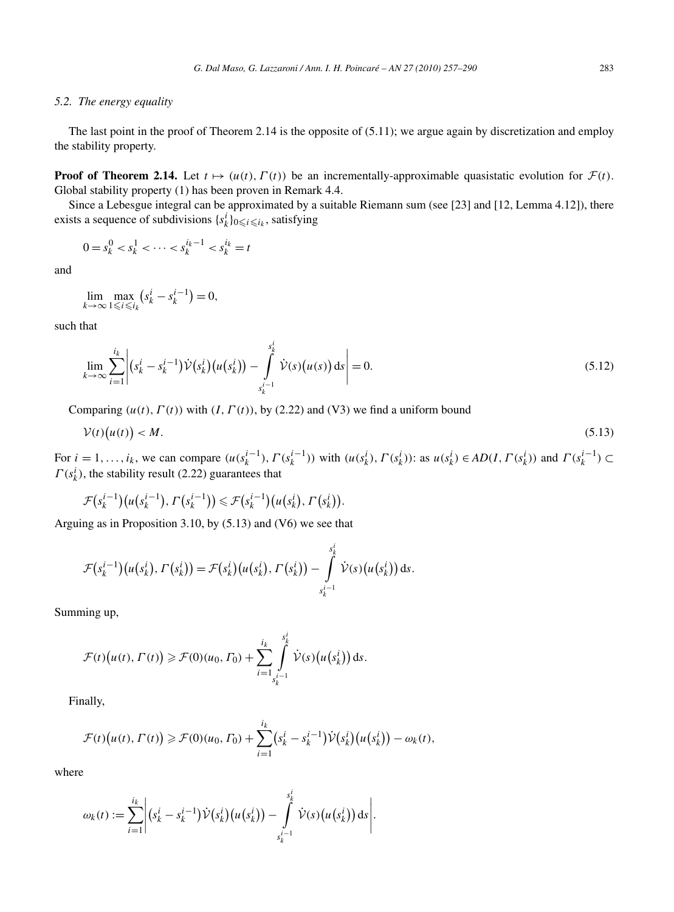# *5.2. The energy equality*

The last point in the proof of Theorem 2.14 is the opposite of  $(5.11)$ ; we argue again by discretization and employ the stability property.

**Proof of Theorem 2.14.** Let  $t \mapsto (u(t), \Gamma(t))$  be an incrementally-approximable quasistatic evolution for  $\mathcal{F}(t)$ . Global stability property (1) has been proven in Remark 4.4.

Since a Lebesgue integral can be approximated by a suitable Riemann sum (see [23] and [12, Lemma 4.12]), there exists a sequence of subdivisions  $\{s_k^i\}_{0 \leq i \leq i_k}$ , satisfying

$$
0 = s_k^0 < s_k^1 < \dots < s_k^{i_k - 1} < s_k^{i_k} = t
$$

and

$$
\lim_{k \to \infty} \max_{1 \leq i \leq i_k} (s_k^i - s_k^{i-1}) = 0,
$$

such that

$$
\lim_{k \to \infty} \sum_{i=1}^{i_k} \left| \left( s_k^i - s_k^{i-1} \right) \dot{\mathcal{V}} \left( s_k^i \right) \left( u \left( s_k^i \right) \right) - \int_{s_k^{i-1}}^{s_k^i} \dot{\mathcal{V}}(s) \left( u(s) \right) \mathrm{d}s \right| = 0. \tag{5.12}
$$

Comparing  $(u(t), \Gamma(t))$  with  $(I, \Gamma(t))$ , by (2.22) and (V3) we find a uniform bound

$$
\mathcal{V}(t)\big(u(t)\big)
$$

For  $i = 1, ..., i_k$ , we can compare  $(u(s_k^{i-1}), \Gamma(s_k^{i-1}))$  with  $(u(s_k^i), \Gamma(s_k^i))$ : as  $u(s_k^i) \in AD(I, \Gamma(s_k^i))$  and  $\Gamma(s_k^{i-1}) \subset$  $\Gamma(s_k^i)$ , the stability result (2.22) guarantees that

$$
\mathcal{F}(s_k^{i-1})(u(s_k^{i-1}),\,\Gamma(s_k^{i-1})) \leq \mathcal{F}(s_k^{i-1})(u(s_k^{i}),\,\Gamma(s_k^{i})).
$$

Arguing as in Proposition 3.10, by (5.13) and (V6) we see that

$$
\mathcal{F}(s_k^{i-1})(u(s_k^i),\,\Gamma(s_k^i))=\mathcal{F}(s_k^i)(u(s_k^i),\,\Gamma(s_k^i))-\int\limits_{s_k^{i-1}}^{s_k^i}\dot{\mathcal{V}}(s)(u(s_k^i))\,\mathrm{d}s.
$$

Summing up,

$$
\mathcal{F}(t)\big(u(t),\Gamma(t)\big) \geqslant \mathcal{F}(0)(u_0,\Gamma_0)+\sum_{i=1}^{i_k}\int\limits_{s_k^i-1}^{s_k^i}\dot{\mathcal{V}}(s)\big(u\big(s_k^i\big)\big)\,\mathrm{d}s.
$$

Finally,

$$
\mathcal{F}(t)(u(t),\Gamma(t)) \geq \mathcal{F}(0)(u_0,\Gamma_0) + \sum_{i=1}^{i_k} (s_k^i - s_k^{i-1}) \dot{\mathcal{V}}(s_k^i)(u(s_k^i)) - \omega_k(t),
$$

where

$$
\omega_k(t) := \sum_{i=1}^{i_k} \left| (s_k^i - s_k^{i-1}) \dot{\mathcal{V}}(s_k^i) (u(s_k^i)) - \int_{s_k^{i-1}}^{s_k^i} \dot{\mathcal{V}}(s) (u(s_k^i)) ds \right|.
$$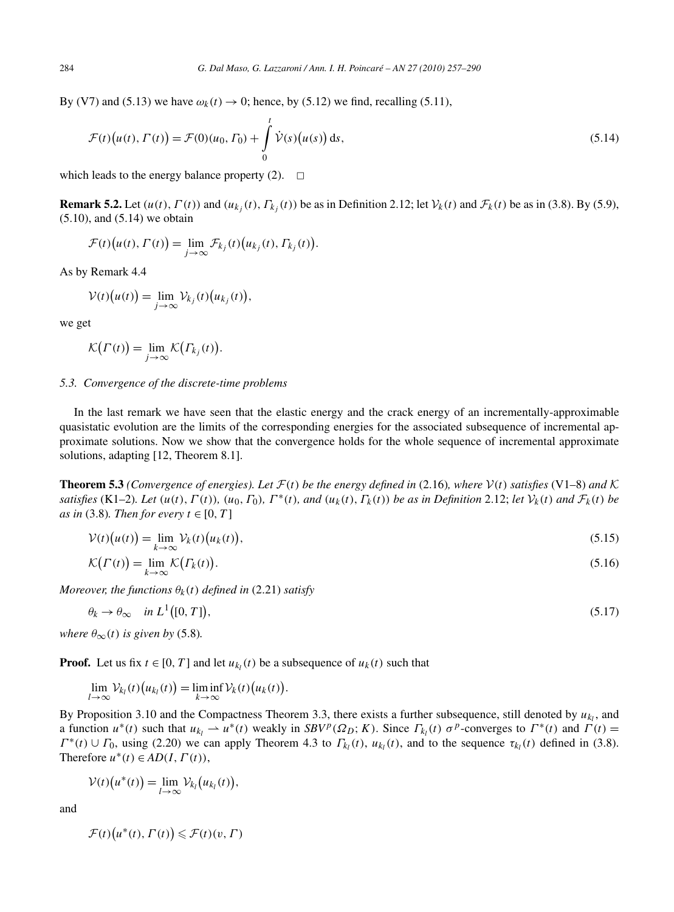By (V7) and (5.13) we have  $\omega_k(t) \to 0$ ; hence, by (5.12) we find, recalling (5.11),

$$
\mathcal{F}(t)(u(t), \Gamma(t)) = \mathcal{F}(0)(u_0, \Gamma_0) + \int_0^t \dot{\mathcal{V}}(s)(u(s)) \, \mathrm{d}s,\tag{5.14}
$$

which leads to the energy balance property (2).  $\Box$ 

**Remark 5.2.** Let  $(u(t), \Gamma(t))$  and  $(u_{k_i}(t), \Gamma_{k_i}(t))$  be as in Definition 2.12; let  $V_k(t)$  and  $\mathcal{F}_k(t)$  be as in (3.8). By (5.9), (5.10), and (5.14) we obtain

$$
\mathcal{F}(t)\big(u(t),\,\Gamma(t)\big)=\lim_{j\to\infty}\mathcal{F}_{k_j}(t)\big(u_{k_j}(t),\,\Gamma_{k_j}(t)\big).
$$

As by Remark 4.4

$$
\mathcal{V}(t)\big(u(t)\big) = \lim_{j \to \infty} \mathcal{V}_{k_j}(t)\big(u_{k_j}(t)\big),
$$

we get

$$
\mathcal{K}\big(\Gamma(t)\big)=\lim_{j\to\infty}\mathcal{K}\big(\Gamma_{k_j}(t)\big).
$$

#### *5.3. Convergence of the discrete-time problems*

In the last remark we have seen that the elastic energy and the crack energy of an incrementally-approximable quasistatic evolution are the limits of the corresponding energies for the associated subsequence of incremental approximate solutions. Now we show that the convergence holds for the whole sequence of incremental approximate solutions, adapting [12, Theorem 8.1].

**Theorem 5.3** *(Convergence of energies). Let*  $\mathcal{F}(t)$  *be the energy defined in* (2.16)*, where*  $\mathcal{V}(t)$  *satisfies* (V1–8) *and* K satisfies (K1–2). Let  $(u(t), \Gamma(t))$ ,  $(u_0, \Gamma_0)$ ,  $\Gamma^*(t)$ , and  $(u_k(t), \Gamma_k(t))$  be as in Definition 2.12; let  $V_k(t)$  and  $\mathcal{F}_k(t)$  be *as in* (3.8)*. Then for every*  $t \in [0, T]$ 

$$
\mathcal{V}(t)\big(u(t)\big) = \lim_{k \to \infty} \mathcal{V}_k(t)\big(u_k(t)\big),\tag{5.15}
$$

$$
\mathcal{K}\big(\Gamma(t)\big) = \lim_{k \to \infty} \mathcal{K}\big(\Gamma_k(t)\big). \tag{5.16}
$$

*Moreover, the functions*  $\theta_k(t)$  *defined in* (2.21) *satisfy* 

$$
\theta_k \to \theta_\infty \quad \text{in } L^1([0, T]), \tag{5.17}
$$

*where*  $\theta_{\infty}(t)$  *is given by* (5.8)*.* 

**Proof.** Let us fix  $t \in [0, T]$  and let  $u_{k_l}(t)$  be a subsequence of  $u_k(t)$  such that

$$
\lim_{l\to\infty} \mathcal{V}_{k_l}(t)\big(u_{k_l}(t)\big) = \liminf_{k\to\infty} \mathcal{V}_k(t)\big(u_k(t)\big).
$$

By Proposition 3.10 and the Compactness Theorem 3.3, there exists a further subsequence, still denoted by  $u_{k_l}$ , and a function  $u^*(t)$  such that  $u_{k_l} \rightharpoonup u^*(t)$  weakly in  $SBV^p(\Omega_D; K)$ . Since  $\Gamma_{k_l}(t) \sigma^p$ -converges to  $\Gamma^*(t)$  and  $\Gamma(t)$  = *Γ*<sup>\*</sup>(*t*) ∪ *Γ*<sub>0</sub>, using (2.20) we can apply Theorem 4.3 to  $\Gamma_{k_l}(t)$ ,  $u_{k_l}(t)$ , and to the sequence  $\tau_{k_l}(t)$  defined in (3.8). Therefore  $u^*(t) \in AD(I, \Gamma(t)),$ 

$$
\mathcal{V}(t)\big(u^*(t)\big) = \lim_{l \to \infty} \mathcal{V}_{k_l}\big(u_{k_l}(t)\big),
$$

and

 $\mathcal{F}(t)\big(u^*(t),\Gamma(t)\big) \leqslant \mathcal{F}(t)(v,\Gamma)$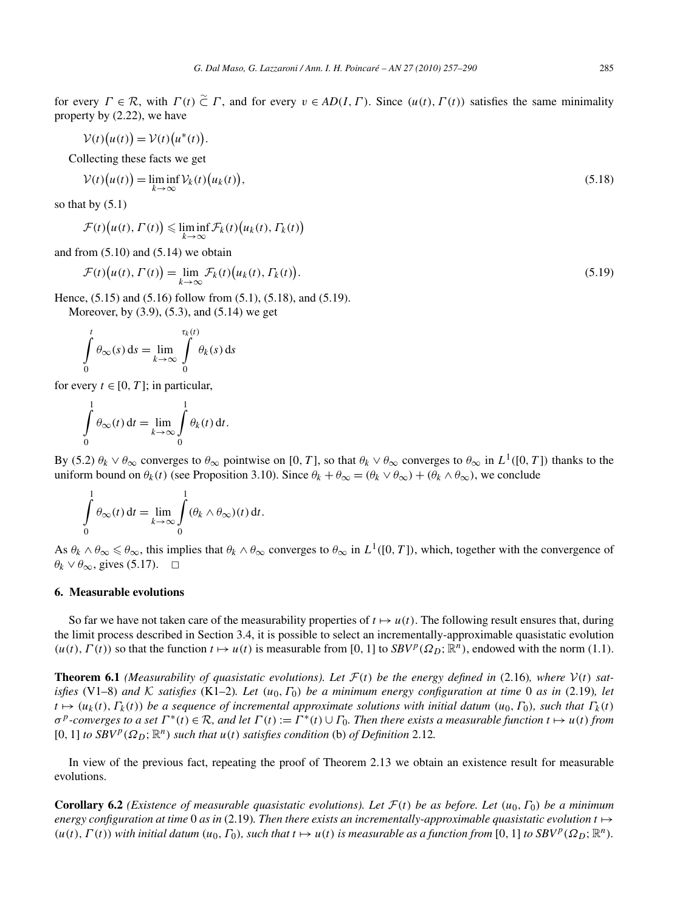for every  $\Gamma \in \mathcal{R}$ , with  $\Gamma(t) \subseteq \Gamma$ , and for every  $v \in AD(I, \Gamma)$ . Since  $(u(t), \Gamma(t))$  satisfies the same minimality property by (2.22), we have

$$
\mathcal{V}(t)\big(u(t)\big) = \mathcal{V}(t)\big(u^*(t)\big).
$$

Collecting these facts we get

$$
\mathcal{V}(t)\big(u(t)\big) = \liminf_{k \to \infty} \mathcal{V}_k(t)\big(u_k(t)\big),\tag{5.18}
$$

so that by  $(5.1)$ 

$$
\mathcal{F}(t)\big(u(t),\,\Gamma(t)\big)\leqslant \liminf_{k\to\infty}\mathcal{F}_k(t)\big(u_k(t),\,\Gamma_k(t)\big)
$$

and from  $(5.10)$  and  $(5.14)$  we obtain

$$
\mathcal{F}(t)\big(u(t),\Gamma(t)\big) = \lim_{k \to \infty} \mathcal{F}_k(t)\big(u_k(t),\Gamma_k(t)\big). \tag{5.19}
$$

Hence, (5.15) and (5.16) follow from (5.1), (5.18), and (5.19).

Moreover, by (3.9), (5.3), and (5.14) we get

$$
\int_{0}^{t} \theta_{\infty}(s) ds = \lim_{k \to \infty} \int_{0}^{\tau_k(t)} \theta_k(s) ds
$$

for every  $t \in [0, T]$ ; in particular,

$$
\int_{0}^{1} \theta_{\infty}(t) dt = \lim_{k \to \infty} \int_{0}^{1} \theta_{k}(t) dt.
$$

By (5.2)  $\theta_k \vee \theta_\infty$  converges to  $\theta_\infty$  pointwise on [0, T], so that  $\theta_k \vee \theta_\infty$  converges to  $\theta_\infty$  in  $L^1([0, T])$  thanks to the uniform bound on  $\theta_k(t)$  (see Proposition 3.10). Since  $\theta_k + \theta_\infty = (\theta_k \vee \theta_\infty) + (\theta_k \wedge \theta_\infty)$ , we conclude

$$
\int_{0}^{1} \theta_{\infty}(t) dt = \lim_{k \to \infty} \int_{0}^{1} (\theta_k \wedge \theta_{\infty})(t) dt.
$$

As  $\theta_k \wedge \theta_\infty \leq \theta_\infty$ , this implies that  $\theta_k \wedge \theta_\infty$  converges to  $\theta_\infty$  in  $L^1([0, T])$ , which, together with the convergence of  $\theta_k \vee \theta_\infty$ , gives (5.17).  $\Box$ 

## **6. Measurable evolutions**

So far we have not taken care of the measurability properties of  $t \mapsto u(t)$ . The following result ensures that, during the limit process described in Section 3.4, it is possible to select an incrementally-approximable quasistatic evolution  $(u(t), \Gamma(t))$  so that the function  $t \mapsto u(t)$  is measurable from [0, 1] to *SBV<sup>p</sup>*( $\Omega_D$ ;  $\mathbb{R}^n$ ), endowed with the norm (1.1).

**Theorem 6.1** *(Measurability of quasistatic evolutions). Let*  $\mathcal{F}(t)$  *be the energy defined in* (2.16)*, where*  $\mathcal{V}(t)$  *satisfies* (V1–8) *and* K *satisfies* (K1–2)*. Let (u*0*,Γ*0*) be a minimum energy configuration at time* 0 *as in* (2.19)*, let*  $t \mapsto (u_k(t), \Gamma_k(t))$  *be a sequence of incremental approximate solutions with initial datum*  $(u_0, \Gamma_0)$ *, such that*  $\Gamma_k(t)$  $\sigma^p$ -converges to a set  $\Gamma^*(t) \in \mathcal{R}$ , and let  $\Gamma(t) := \Gamma^*(t) \cup \Gamma_0$ . Then there exists a measurable function  $t \mapsto u(t)$  from  $[0, 1]$  *to*  $SBV^p(\Omega_D; \mathbb{R}^n)$  *such that*  $u(t)$  *satisfies condition* (b) *of Definition* 2.12*.* 

In view of the previous fact, repeating the proof of Theorem 2.13 we obtain an existence result for measurable evolutions.

**Corollary 6.2** *(Existence of measurable quasistatic evolutions). Let* F*(t) be as before. Let (u*0*,Γ*0*) be a minimum energy configuration at time* 0 *as in* (2.19)*. Then there exists an incrementally-approximable quasistatic evolution t* →  $(u(t), \Gamma(t))$  with initial datum  $(u_0, \Gamma_0)$ , such that  $t \mapsto u(t)$  is measurable as a function from [0, 1] to SBV<sup>*p*</sup>( $\Omega_D$ ;  $\mathbb{R}^n$ ).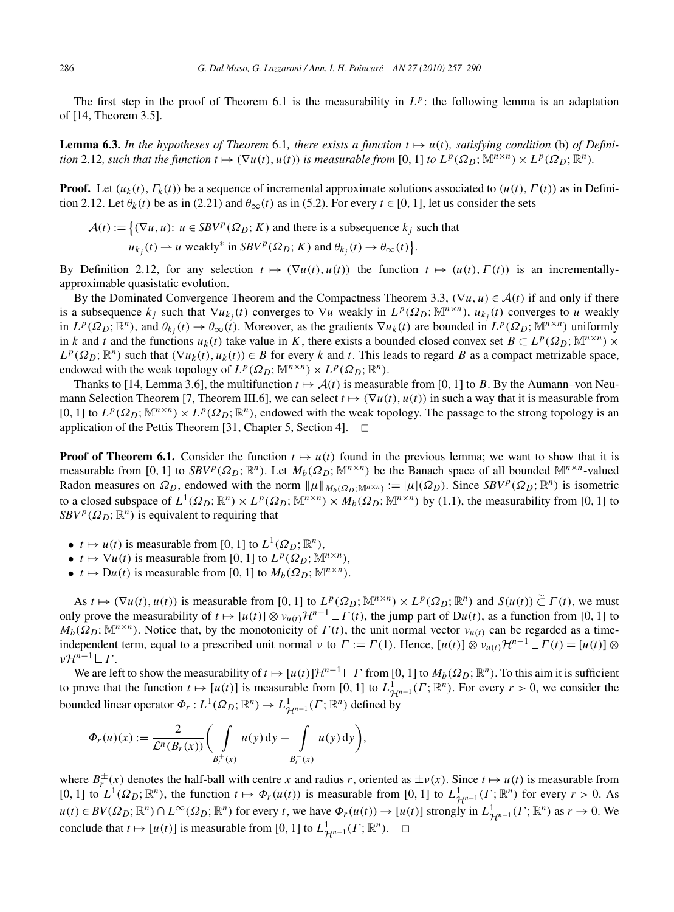The first step in the proof of Theorem 6.1 is the measurability in  $L^p$ : the following lemma is an adaptation of [14, Theorem 3.5].

**Lemma 6.3.** In the hypotheses of Theorem 6.1, there exists a function  $t \mapsto u(t)$ , satisfying condition (b) of Defini*tion* 2.12*, such that the function*  $t \mapsto (\nabla u(t), u(t))$  *is measurable from* [0*,* 1] *to*  $L^p(\Omega_D; \mathbb{M}^{n \times n}) \times L^p(\Omega_D; \mathbb{R}^n)$ *.* 

**Proof.** Let *(uk(t),Γk(t))* be a sequence of incremental approximate solutions associated to *(u(t),Γ (t))* as in Definition 2.12. Let  $\theta_k(t)$  be as in (2.21) and  $\theta_\infty(t)$  as in (5.2). For every  $t \in [0, 1]$ , let us consider the sets

 $A(t) := \left\{ (\nabla u, u): u \in SBV^p(\Omega_D; K) \right\}$  and there is a subsequence  $k_j$  such that

 $u_{k_j}(t) \to u$  weakly<sup>\*</sup> in *SBV<sup>P</sup>*( $\Omega_D$ ; *K*) and  $\theta_{k_j}(t) \to \theta_{\infty}(t)$ .

By Definition 2.12, for any selection  $t \mapsto (\nabla u(t), u(t))$  the function  $t \mapsto (u(t), \Gamma(t))$  is an incrementallyapproximable quasistatic evolution.

By the Dominated Convergence Theorem and the Compactness Theorem 3.3,  $(\nabla u, u) \in \mathcal{A}(t)$  if and only if there is a subsequence  $k_j$  such that  $\nabla u_{k_j}(t)$  converges to  $\nabla u$  weakly in  $L^p(\Omega_D; \mathbb{M}^{n \times n})$ ,  $u_{k_j}(t)$  converges to *u* weakly in  $L^p(\Omega_D;\mathbb{R}^n)$ , and  $\theta_{k_i}(t) \to \theta_{\infty}(t)$ . Moreover, as the gradients  $\nabla u_k(t)$  are bounded in  $L^p(\Omega_D;\mathbb{M}^{n \times n})$  uniformly in *k* and *t* and the functions  $u_k(t)$  take value in *K*, there exists a bounded closed convex set  $B \subset L^p(\Omega_D; \mathbb{M}^{n \times n}) \times$  $L^p(\Omega_D;\mathbb{R}^n)$  such that  $(\nabla u_k(t), u_k(t)) \in B$  for every *k* and *t*. This leads to regard *B* as a compact metrizable space, endowed with the weak topology of  $L^p(\Omega_D; \mathbb{M}^{n \times n}) \times L^p(\Omega_D; \mathbb{R}^n)$ .

Thanks to [14, Lemma 3.6], the multifunction  $t \mapsto A(t)$  is measurable from [0, 1] to *B*. By the Aumann–von Neumann Selection Theorem [7, Theorem III.6], we can select  $t \mapsto (\nabla u(t), u(t))$  in such a way that it is measurable from [0, 1] to  $L^p(\Omega_D; \mathbb{M}^{n \times n}) \times L^p(\Omega_D; \mathbb{R}^n)$ , endowed with the weak topology. The passage to the strong topology is an application of the Pettis Theorem [31, Chapter 5, Section 4].  $\Box$ 

**Proof of Theorem 6.1.** Consider the function  $t \mapsto u(t)$  found in the previous lemma; we want to show that it is measurable from [0, 1] to  $SBV^p(\Omega_D;\mathbb{R}^n)$ . Let  $M_b(\Omega_D;\mathbb{M}^{n\times n})$  be the Banach space of all bounded  $\mathbb{M}^{n\times n}$ -valued Radon measures on  $\Omega_D$ , endowed with the norm  $\|\mu\|_{M_b(\Omega_D;\mathbb{M}^{n\times n})} := |\mu|(\Omega_D)$ . Since  $SBV^p(\Omega_D;\mathbb{R}^n)$  is isometric to a closed subspace of  $L^1(\Omega_D;\mathbb{R}^n)\times L^p(\Omega_D;\mathbb{M}^{n\times n})\times M_b(\Omega_D;\mathbb{M}^{n\times n})$  by (1.1), the measurability from [0, 1] to  $SBV^p(\Omega_D;\mathbb{R}^n)$  is equivalent to requiring that

- $t \mapsto u(t)$  is measurable from [0, 1] to  $L^1(\Omega_D; \mathbb{R}^n)$ ,
- $t \mapsto \nabla u(t)$  is measurable from [0, 1] to  $L^p(\Omega_D; \mathbb{M}^{n \times n})$ ,
- $t \mapsto Du(t)$  is measurable from [0, 1] to  $M_b(\Omega_D; \mathbb{M}^{n \times n})$ .

As  $t \mapsto (\nabla u(t), u(t))$  is measurable from [0, 1] to  $L^p(\Omega_D; \mathbb{M}^{n \times n}) \times L^p(\Omega_D; \mathbb{R}^n)$  and  $S(u(t)) \overset{\sim}{\subset} \Gamma(t)$ , we must only prove the measurability of  $t \mapsto [u(t)] \otimes v_{u(t)} \mathcal{H}^{n-1} \mathcal{L} \Gamma(t)$ , the jump part of  $Du(t)$ , as a function from [0, 1] to  $M_b(\Omega_D; \mathbb{M}^{n \times n})$ . Notice that, by the monotonicity of  $\Gamma(t)$ , the unit normal vector  $v_{u(t)}$  can be regarded as a timeindependent term, equal to a prescribed unit normal *ν* to  $\Gamma := \Gamma(1)$ . Hence,  $[u(t)] \otimes v_{u(t)} \mathcal{H}^{n-1} \mathcal{L} \Gamma(t) = [u(t)] \otimes$ *ν*H<sup>*n*−1</sup> **Γ** *Γ* 

We are left to show the measurability of  $t \mapsto [u(t)]\mathcal{H}^{n-1} \mathcal{L} \Gamma$  from [0, 1] to  $M_b(\Omega_D;\mathbb{R}^n)$ . To this aim it is sufficient to prove that the function  $t \mapsto [u(t)]$  is measurable from [0, 1] to  $L^1_{\mathcal{H}^{n-1}}(\Gamma;\mathbb{R}^n)$ . For every  $r > 0$ , we consider the bounded linear operator  $\Phi_r: L^1(\Omega_D; \mathbb{R}^n) \to L^1_{\mathcal{H}^{n-1}}(\Gamma; \mathbb{R}^n)$  defined by

$$
\Phi_r(u)(x) := \frac{2}{\mathcal{L}^n(B_r(x))} \bigg( \int\limits_{B_r^+(x)} u(y) \, dy - \int\limits_{B_r^-(x)} u(y) \, dy \bigg),
$$

where  $B_r^{\pm}(x)$  denotes the half-ball with centre *x* and radius *r*, oriented as  $\pm v(x)$ . Since  $t \mapsto u(t)$  is measurable from [0, 1] to  $L^1(\Omega_D; \mathbb{R}^n)$ , the function  $t \mapsto \Phi_r(u(t))$  is measurable from [0, 1] to  $L^1_{\mathcal{H}^{n-1}}(\Gamma; \mathbb{R}^n)$  for every  $r > 0$ . As *u(t)* ∈ *BV*( $\Omega_D$ ;  $\mathbb{R}^n$ ) ∩  $L^\infty(\Omega_D; \mathbb{R}^n)$  for every *t*, we have  $\Phi_r(u(t)) \to [u(t)]$  strongly in  $L^1_{\mathcal{H}^{n-1}}(\Gamma; \mathbb{R}^n)$  as  $r \to 0$ . We conclude that  $t \mapsto [u(t)]$  is measurable from [0, 1] to  $L^1_{\mathcal{H}^{n-1}}(\Gamma; \mathbb{R}^n)$ .  $\Box$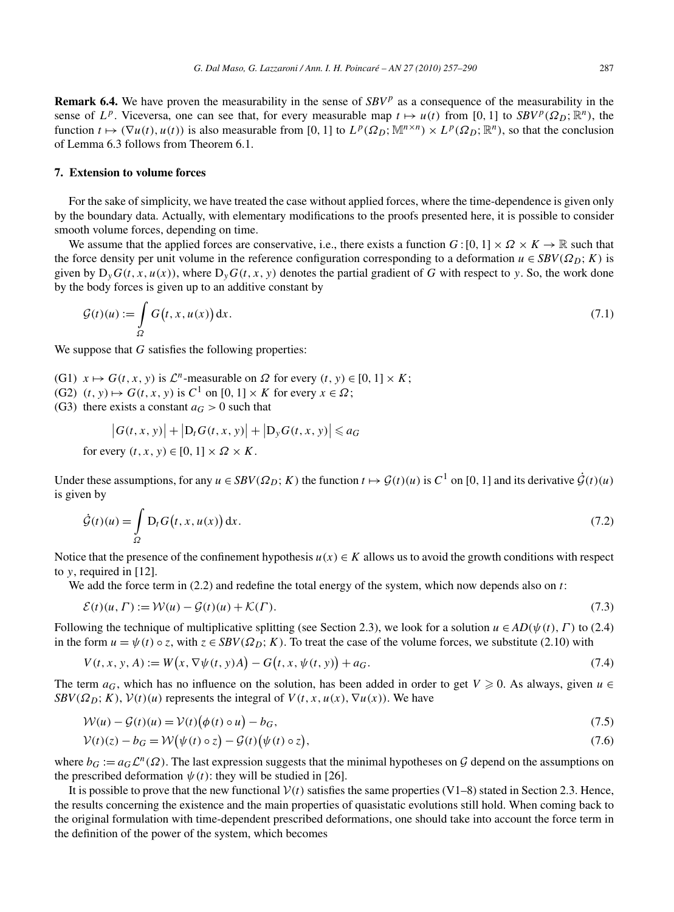**Remark 6.4.** We have proven the measurability in the sense of *SBV<sup>p</sup>* as a consequence of the measurability in the sense of  $L^p$ . Viceversa, one can see that, for every measurable map  $t \mapsto u(t)$  from [0, 1] to  $SBV^p(\Omega_D;\mathbb{R}^n)$ , the function  $t \mapsto (\nabla u(t), u(t))$  is also measurable from [0, 1] to  $L^p(\Omega_D; \mathbb{M}^{n \times n}) \times L^p(\Omega_D; \mathbb{R}^n)$ , so that the conclusion of Lemma 6.3 follows from Theorem 6.1.

# **7. Extension to volume forces**

For the sake of simplicity, we have treated the case without applied forces, where the time-dependence is given only by the boundary data. Actually, with elementary modifications to the proofs presented here, it is possible to consider smooth volume forces, depending on time.

We assume that the applied forces are conservative, i.e., there exists a function  $G$ :[0, 1]  $\times \Omega \times K \to \mathbb{R}$  such that the force density per unit volume in the reference configuration corresponding to a deformation  $u \in SBV(\Omega_D; K)$  is given by  $D_yG(t, x, u(x))$ , where  $D_yG(t, x, y)$  denotes the partial gradient of *G* with respect to *y*. So, the work done by the body forces is given up to an additive constant by

$$
\mathcal{G}(t)(u) := \int_{\Omega} G\big(t, x, u(x)\big) \, \mathrm{d}x. \tag{7.1}
$$

We suppose that *G* satisfies the following properties:

- (G1)  $x \mapsto G(t, x, y)$  is  $\mathcal{L}^n$ -measurable on  $\Omega$  for every  $(t, y) \in [0, 1] \times K$ ;
- (G2)  $(t, y) \mapsto G(t, x, y)$  is  $C^1$  on  $[0, 1] \times K$  for every  $x \in \Omega$ ;
- (G3) there exists a constant  $a_G > 0$  such that

$$
\left|G(t, x, y)\right| + \left|D_t G(t, x, y)\right| + \left|D_y G(t, x, y)\right| \leq a_G
$$

for every  $(t, x, y) \in [0, 1] \times \Omega \times K$ .

Under these assumptions, for any *u* ∈ *SBV*( $Ω<sub>D</sub>$ ; *K*) the function *t*  $\mapsto$  *G*(*t*)(*u*) is *C*<sup>1</sup> on [0, 1] and its derivative  $\dot{G}(t)(u)$ is given by

$$
\dot{\mathcal{G}}(t)(u) = \int_{\Omega} \mathcal{D}_t G\big(t, x, u(x)\big) \, \mathrm{d}x. \tag{7.2}
$$

Notice that the presence of the confinement hypothesis  $u(x) \in K$  allows us to avoid the growth conditions with respect to *y*, required in [12].

We add the force term in (2.2) and redefine the total energy of the system, which now depends also on *t*:

$$
\mathcal{E}(t)(u,\Gamma) := \mathcal{W}(u) - \mathcal{G}(t)(u) + \mathcal{K}(\Gamma). \tag{7.3}
$$

Following the technique of multiplicative splitting (see Section 2.3), we look for a solution  $u \in AD(\psi(t), \Gamma)$  to (2.4) in the form  $u = \psi(t) \circ z$ , with  $z \in SBV(\Omega_D; K)$ . To treat the case of the volume forces, we substitute (2.10) with

$$
V(t, x, y, A) := W(x, \nabla \psi(t, y)A) - G(t, x, \psi(t, y)) + a_G.
$$
\n(7.4)

The term  $a_G$ , which has no influence on the solution, has been added in order to get  $V \ge 0$ . As always, given  $u \in$ *SBV*( $\Omega_D$ ; *K*),  $V(t)(u)$  represents the integral of  $V(t, x, u(x), \nabla u(x))$ . We have

$$
\mathcal{W}(u) - \mathcal{G}(t)(u) = \mathcal{V}(t)\big(\phi(t) \circ u\big) - b_G,\tag{7.5}
$$

$$
\mathcal{V}(t)(z) - b_G = \mathcal{W}(\psi(t) \circ z) - \mathcal{G}(t)(\psi(t) \circ z), \tag{7.6}
$$

where  $b_G := a_G \mathcal{L}^n(\Omega)$ . The last expression suggests that the minimal hypotheses on G depend on the assumptions on the prescribed deformation  $\psi(t)$ : they will be studied in [26].

It is possible to prove that the new functional  $V(t)$  satisfies the same properties (V1–8) stated in Section 2.3. Hence, the results concerning the existence and the main properties of quasistatic evolutions still hold. When coming back to the original formulation with time-dependent prescribed deformations, one should take into account the force term in the definition of the power of the system, which becomes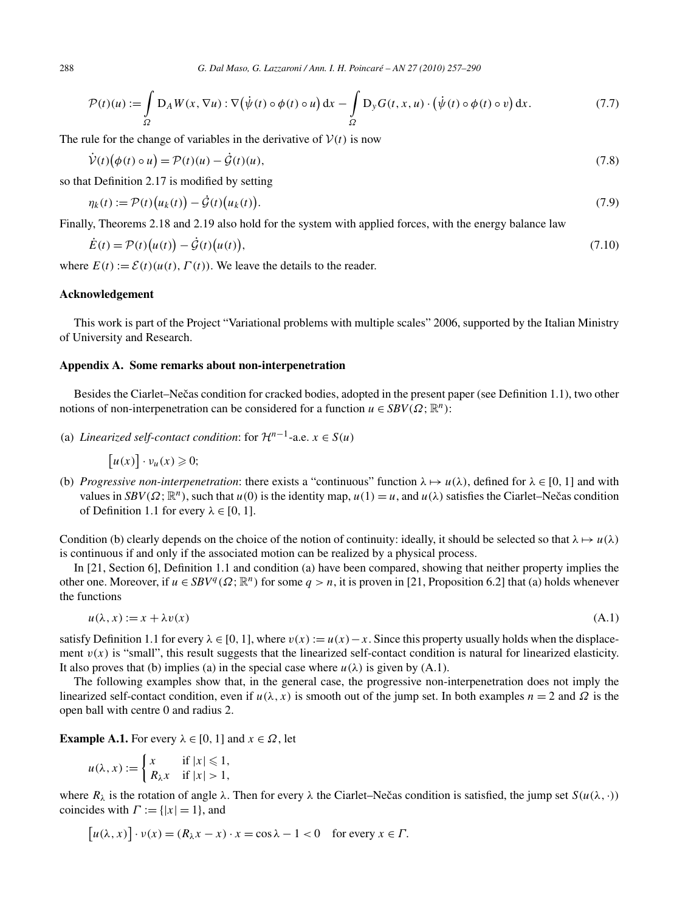$$
\mathcal{P}(t)(u) := \int_{\Omega} D_A W(x, \nabla u) : \nabla (\dot{\psi}(t) \circ \phi(t) \circ u) dx - \int_{\Omega} D_y G(t, x, u) \cdot (\dot{\psi}(t) \circ \phi(t) \circ v) dx.
$$
\n(7.7)

The rule for the change of variables in the derivative of  $V(t)$  is now

$$
\dot{\mathcal{V}}(t)(\phi(t) \circ u) = \mathcal{P}(t)(u) - \dot{\mathcal{G}}(t)(u),\tag{7.8}
$$

so that Definition 2.17 is modified by setting

$$
\eta_k(t) := \mathcal{P}(t)\big(u_k(t)\big) - \dot{\mathcal{G}}(t)\big(u_k(t)\big). \tag{7.9}
$$

Finally, Theorems 2.18 and 2.19 also hold for the system with applied forces, with the energy balance law

$$
\dot{E}(t) = \mathcal{P}(t)\big(u(t)\big) - \dot{\mathcal{G}}(t)\big(u(t)\big),\tag{7.10}
$$

where  $E(t) := \mathcal{E}(t)(u(t), \Gamma(t))$ . We leave the details to the reader.

#### **Acknowledgement**

This work is part of the Project "Variational problems with multiple scales" 2006, supported by the Italian Ministry of University and Research.

# **Appendix A. Some remarks about non-interpenetration**

Besides the Ciarlet–Nečas condition for cracked bodies, adopted in the present paper (see Definition 1.1), two other notions of non-interpenetration can be considered for a function  $u \in SBV(\Omega;\mathbb{R}^n)$ :

(a) *Linearized self-contact condition*: for  $\mathcal{H}^{n-1}$ -a.e. *x* ∈ *S*(*u*)

$$
[u(x)]\cdot v_u(x)\geq 0;
$$

(b) *Progressive non-interpenetration*: there exists a "continuous" function  $\lambda \mapsto u(\lambda)$ , defined for  $\lambda \in [0, 1]$  and with values in  $SBV(\Omega;\mathbb{R}^n)$ , such that  $u(0)$  is the identity map,  $u(1) = u$ , and  $u(\lambda)$  satisfies the Ciarlet–Necas condition of Definition 1.1 for every  $\lambda \in [0, 1]$ .

Condition (b) clearly depends on the choice of the notion of continuity: ideally, it should be selected so that  $\lambda \mapsto u(\lambda)$ is continuous if and only if the associated motion can be realized by a physical process.

In [21, Section 6], Definition 1.1 and condition (a) have been compared, showing that neither property implies the other one. Moreover, if  $u \in SBV^q(\Omega; \mathbb{R}^n)$  for some  $q > n$ , it is proven in [21, Proposition 6.2] that (a) holds whenever the functions

$$
u(\lambda, x) := x + \lambda v(x) \tag{A.1}
$$

satisfy Definition 1.1 for every  $\lambda \in [0, 1]$ , where  $v(x) := u(x) - x$ . Since this property usually holds when the displacement  $v(x)$  is "small", this result suggests that the linearized self-contact condition is natural for linearized elasticity. It also proves that (b) implies (a) in the special case where  $u(\lambda)$  is given by (A.1).

The following examples show that, in the general case, the progressive non-interpenetration does not imply the linearized self-contact condition, even if  $u(\lambda, x)$  is smooth out of the jump set. In both examples  $n = 2$  and  $\Omega$  is the open ball with centre 0 and radius 2.

**Example A.1.** For every  $\lambda \in [0, 1]$  and  $x \in \Omega$ , let

$$
u(\lambda, x) := \begin{cases} x & \text{if } |x| \leq 1, \\ R_{\lambda} x & \text{if } |x| > 1, \end{cases}
$$

where  $R_{\lambda}$  is the rotation of angle  $\lambda$ . Then for every  $\lambda$  the Ciarlet–Nečas condition is satisfied, the jump set  $S(u(\lambda, \cdot))$ coincides with  $\Gamma := \{ |x| = 1 \}$ , and

$$
[u(\lambda, x)] \cdot v(x) = (R_{\lambda}x - x) \cdot x = \cos \lambda - 1 < 0 \quad \text{for every } x \in \Gamma.
$$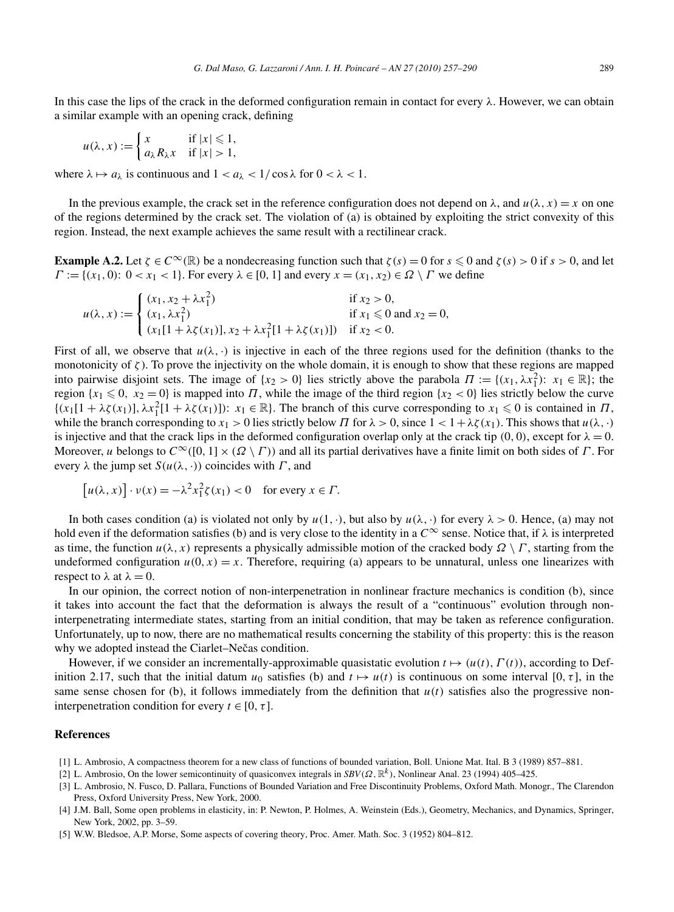In this case the lips of the crack in the deformed configuration remain in contact for every *λ*. However, we can obtain a similar example with an opening crack, defining

$$
u(\lambda, x) := \begin{cases} x & \text{if } |x| \leq 1, \\ a_{\lambda} R_{\lambda} x & \text{if } |x| > 1, \end{cases}
$$

where  $\lambda \mapsto a_{\lambda}$  is continuous and  $1 < a_{\lambda} < 1/\cos \lambda$  for  $0 < \lambda < 1$ .

In the previous example, the crack set in the reference configuration does not depend on  $\lambda$ , and  $u(\lambda, x) = x$  on one of the regions determined by the crack set. The violation of (a) is obtained by exploiting the strict convexity of this region. Instead, the next example achieves the same result with a rectilinear crack.

**Example A.2.** Let  $\zeta \in C^{\infty}(\mathbb{R})$  be a nondecreasing function such that  $\zeta(s) = 0$  for  $s \leq 0$  and  $\zeta(s) > 0$  if  $s > 0$ , and let  $\Gamma := \{(x_1, 0): 0 < x_1 < 1\}$ . For every  $\lambda \in [0, 1]$  and every  $x = (x_1, x_2) \in \Omega \setminus \Gamma$  we define

$$
u(\lambda, x) := \begin{cases} (x_1, x_2 + \lambda x_1^2) & \text{if } x_2 > 0, \\ (x_1, \lambda x_1^2) & \text{if } x_1 \le 0 \text{ and } x_2 = 0, \\ (x_1[1 + \lambda \zeta(x_1)], x_2 + \lambda x_1^2[1 + \lambda \zeta(x_1)]) & \text{if } x_2 < 0. \end{cases}
$$

First of all, we observe that  $u(\lambda, \cdot)$  is injective in each of the three regions used for the definition (thanks to the monotonicity of  $\zeta$ ). To prove the injectivity on the whole domain, it is enough to show that these regions are mapped into pairwise disjoint sets. The image of  $\{x_2 > 0\}$  lies strictly above the parabola  $\Pi := \{(x_1, \lambda x_1^2): x_1 \in \mathbb{R}\}$ ; the region  ${x_1 \leq 0, x_2 = 0}$  is mapped into *Π*, while the image of the third region  ${x_2 < 0}$  lies strictly below the curve  $\{(x_1[1 + \lambda \zeta(x_1)], \lambda x_1^2[1 + \lambda \zeta(x_1)]\colon x_1 \in \mathbb{R}\}\)$ . The branch of this curve corresponding to  $x_1 \leq 0$  is contained in  $\Pi$ , while the branch corresponding to  $x_1 > 0$  lies strictly below  $\Pi$  for  $\lambda > 0$ , since  $1 < 1 + \lambda \zeta(x_1)$ . This shows that  $u(\lambda, \cdot)$ is injective and that the crack lips in the deformed configuration overlap only at the crack tip  $(0, 0)$ , except for  $\lambda = 0$ . Moreover, *u* belongs to  $C^{\infty}([0, 1] \times (\Omega \setminus \Gamma))$  and all its partial derivatives have a finite limit on both sides of *Γ*. For every  $\lambda$  the jump set  $S(u(\lambda, \cdot))$  coincides with  $\Gamma$ , and

$$
[u(\lambda, x)] \cdot v(x) = -\lambda^2 x_1^2 \zeta(x_1) < 0 \quad \text{for every } x \in \Gamma.
$$

In both cases condition (a) is violated not only by  $u(1, \cdot)$ , but also by  $u(\lambda, \cdot)$  for every  $\lambda > 0$ . Hence, (a) may not hold even if the deformation satisfies (b) and is very close to the identity in a *C*<sup>∞</sup> sense. Notice that, if *λ* is interpreted as time, the function  $u(\lambda, x)$  represents a physically admissible motion of the cracked body  $\Omega \setminus \Gamma$ , starting from the undeformed configuration  $u(0, x) = x$ . Therefore, requiring (a) appears to be unnatural, unless one linearizes with respect to  $\lambda$  at  $\lambda = 0$ .

In our opinion, the correct notion of non-interpenetration in nonlinear fracture mechanics is condition (b), since it takes into account the fact that the deformation is always the result of a "continuous" evolution through noninterpenetrating intermediate states, starting from an initial condition, that may be taken as reference configuration. Unfortunately, up to now, there are no mathematical results concerning the stability of this property: this is the reason why we adopted instead the Ciarlet–Nečas condition.

However, if we consider an incrementally-approximable quasistatic evolution  $t \mapsto (u(t), \Gamma(t))$ , according to Definition 2.17, such that the initial datum  $u_0$  satisfies (b) and  $t \mapsto u(t)$  is continuous on some interval [0,  $\tau$ ], in the same sense chosen for (b), it follows immediately from the definition that  $u(t)$  satisfies also the progressive noninterpenetration condition for every  $t \in [0, \tau]$ .

## **References**

- [1] L. Ambrosio, A compactness theorem for a new class of functions of bounded variation, Boll. Unione Mat. Ital. B 3 (1989) 857–881.
- [2] L. Ambrosio, On the lower semicontinuity of quasiconvex integrals in *SBV(Ω,*R*k)*, Nonlinear Anal. 23 (1994) 405–425.
- [3] L. Ambrosio, N. Fusco, D. Pallara, Functions of Bounded Variation and Free Discontinuity Problems, Oxford Math. Monogr., The Clarendon Press, Oxford University Press, New York, 2000.
- [4] J.M. Ball, Some open problems in elasticity, in: P. Newton, P. Holmes, A. Weinstein (Eds.), Geometry, Mechanics, and Dynamics, Springer, New York, 2002, pp. 3–59.
- [5] W.W. Bledsoe, A.P. Morse, Some aspects of covering theory, Proc. Amer. Math. Soc. 3 (1952) 804–812.